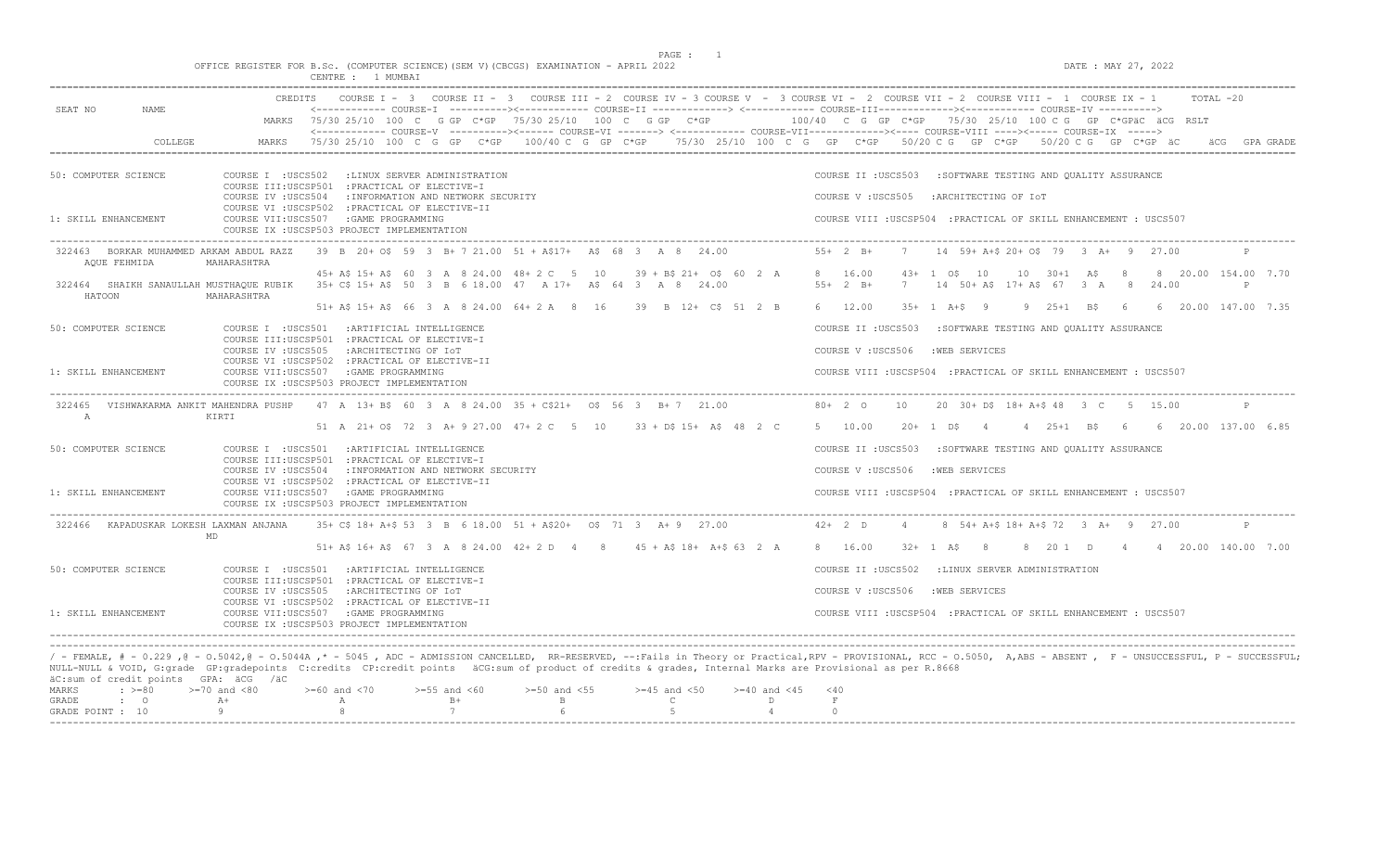$DATA: MAX 27, 2022$ 

|  |  |  |  |  | OFFICE REGISTER FOR B.Sc. (COMPUTER SCIENCE)(SEM V)(CBCGS) EXAMINATION - APRIL 2022 |  |  |
|--|--|--|--|--|-------------------------------------------------------------------------------------|--|--|
|  |  |  |  |  |                                                                                     |  |  |

|                                                         | CREDITS                               | COURSE I = 3 COURSE II = 3 COURSE III = 2 COURSE IV = 3 COURSE V = 3 COURSE VI = 2 COURSE VII = 2 COURSE VIII = 1 COURSE IX = 1                                                                                                                                                                                                                                                                                                         |                   |                                         |                          |                                                                   |                |                  |                                            |  | $TOTAI. -20$                                  |
|---------------------------------------------------------|---------------------------------------|-----------------------------------------------------------------------------------------------------------------------------------------------------------------------------------------------------------------------------------------------------------------------------------------------------------------------------------------------------------------------------------------------------------------------------------------|-------------------|-----------------------------------------|--------------------------|-------------------------------------------------------------------|----------------|------------------|--------------------------------------------|--|-----------------------------------------------|
| SEAT NO<br>NAME.                                        |                                       | <------------ COURSE-T ----------><----------- COURSE-TT --------------> <------------ COURSE-TTT----------><---------><---------- COURSE-TV ---------->><br>MARKS 75/30 25/10 100 C G GP C*GP 75/30 25/10 100 C G GP C*GP 100/40 C G GP C*GP 75/30 25/10 100 C G GP C*GPäC äCG RSLT<br><------------ COURSE-V ----------><------ COURSE-VI -------> <------------ COURSE-VII-----------><---- COURSE-VIII ----><----- COURSE-IX -----> |                   |                                         |                          |                                                                   |                |                  |                                            |  |                                               |
| <b>COLLEGE</b>                                          | MARKS                                 | 75/30 25/10 100 C G GP C*GP 100/40 C G GP C*GP 75/30 25/10 100 C G GP C*GP 50/20 C G GP C*GP 50/20 C G GP C*GP äC                                                                                                                                                                                                                                                                                                                       |                   |                                         |                          |                                                                   |                |                  |                                            |  | ACG GPA GRADE                                 |
|                                                         |                                       |                                                                                                                                                                                                                                                                                                                                                                                                                                         |                   |                                         |                          |                                                                   |                |                  |                                            |  |                                               |
| 50: COMPUTER SCIENCE                                    |                                       | COURSE I : USCS502 : LINUX SERVER ADMINISTRATION<br>COURSE III:USCSP501 : PRACTICAL OF ELECTIVE-I                                                                                                                                                                                                                                                                                                                                       |                   |                                         |                          | COURSE II : USCS503 : SOFTWARE TESTING AND QUALITY ASSURANCE      |                |                  |                                            |  |                                               |
|                                                         |                                       | COURSE IV : USCS504 : INFORMATION AND NETWORK SECURITY<br>COURSE VI : USCSP502 : PRACTICAL OF ELECTIVE-II                                                                                                                                                                                                                                                                                                                               |                   |                                         |                          | COURSE V: USCS505 : ARCHITECTING OF IOT                           |                |                  |                                            |  |                                               |
| 1: SKILL ENHANCEMENT                                    | COURSE VII:USCS507 : GAME PROGRAMMING | COURSE IX : USCSP503 PROJECT IMPLEMENTATION                                                                                                                                                                                                                                                                                                                                                                                             |                   |                                         |                          | COURSE VIII : USCSP504 : PRACTICAL OF SKILL ENHANCEMENT : USCS507 |                |                  |                                            |  |                                               |
| 322463 BORKAR MUHAMMED ARKAM ABDUL RAZZ<br>AOUE FEHMIDA | MAHARASHTRA                           | 39 B 20+ OS 59 3 B+ 7 21.00 51 + A\$17+ A\$ 68 3 A 8 24.00                                                                                                                                                                                                                                                                                                                                                                              |                   |                                         |                          | $55+2 B+$                                                         |                |                  | 7 14 59+ A+S 20+ OS 79 3 A+ 9 27.00        |  |                                               |
| HATOON                                                  | MAHARASHTRA                           | 45+ A\$ 15+ A\$ 60 3 A 8 24.00 48+ 2 C 5 10 39 + B\$ 21+ 0\$ 60 2 A 8 16.00<br>322464 SHAIKH SANAULLAH MUSTHAOUE RUBIK 35+ C\$ 15+ A\$ 50 3 B 6 18.00 47 A 17+ A\$ 64 3 A 8 24.00                                                                                                                                                                                                                                                       |                   |                                         |                          | $55+2$ B+                                                         |                | $43+1$ $05$ $10$ | 7 14 50+ A\$ 17+ A\$ 67 3 A 8 24.00        |  | 10 30+1 A\$ 8 8 20.00 154.00 7.70<br>P        |
|                                                         |                                       | 51+ A\$ 15+ A\$ 66 3 A 8 24.00 64+ 2 A 8 16 39 B 12+ C\$ 51 2 B                                                                                                                                                                                                                                                                                                                                                                         |                   |                                         |                          | 6 12.00                                                           |                |                  |                                            |  | 35+ 1 A+\$ 9 9 25+1 B\$ 6 6 20.00 147.00 7.35 |
| 50: COMPUTER SCIENCE                                    |                                       | COURSE I : USCS501 : ARTIFICIAL INTELLIGENCE<br>COURSE III:USCSP501 : PRACTICAL OF ELECTIVE-I                                                                                                                                                                                                                                                                                                                                           |                   |                                         |                          | COURSE II : USCS503 : SOFTWARE TESTING AND OUALITY ASSURANCE      |                |                  |                                            |  |                                               |
|                                                         |                                       | COURSE IV : USCS505 : ARCHITECTING OF IOT                                                                                                                                                                                                                                                                                                                                                                                               |                   |                                         |                          | COURSE V: USCS506 : WEB SERVICES                                  |                |                  |                                            |  |                                               |
| 1: SKILL ENHANCEMENT                                    | COURSE VII:USCS507 :GAME PROGRAMMING  | COURSE VI : USCSP502 : PRACTICAL OF ELECTIVE-II<br>COURSE IX : USCSP503 PROJECT IMPLEMENTATION                                                                                                                                                                                                                                                                                                                                          |                   |                                         |                          | COURSE VIII : USCSP504 : PRACTICAL OF SKILL ENHANCEMENT : USCS507 |                |                  |                                            |  |                                               |
|                                                         |                                       | 322465 VISHWAKARMA ANKIT MAHENDRA PUSHP 47 A 13+ B\$ 60 3 A 8 24.00 35 + C\$21+ 0\$ 56 3 B+ 7 21.00                                                                                                                                                                                                                                                                                                                                     |                   |                                         |                          | $80+20$                                                           | 10             |                  | 20 30+ D\$ 18+ A+\$ 48 3 C 5 15.00         |  | P                                             |
| $\mathbb{A}$                                            | KIRTI                                 | 51 A 21+ OS 72 3 A+ 9 27.00 47+ 2 C 5 10 33 + DS 15+ AS 48 2 C                                                                                                                                                                                                                                                                                                                                                                          |                   |                                         |                          | 5 10.00                                                           |                |                  |                                            |  | 20+ 1 D\$ 4 4 25+1 B\$ 6 6 20.00 137.00 6.85  |
| 50: COMPUTER SCIENCE                                    |                                       | COURSE I : USCS501 : ARTIFICIAL INTELLIGENCE                                                                                                                                                                                                                                                                                                                                                                                            |                   |                                         |                          | COURSE II : USCS503 : SOFTWARE TESTING AND QUALITY ASSURANCE      |                |                  |                                            |  |                                               |
|                                                         |                                       | COURSE III:USCSP501 : PRACTICAL OF ELECTIVE-I<br>COURSE IV : USCS504 : INFORMATION AND NETWORK SECURITY                                                                                                                                                                                                                                                                                                                                 |                   |                                         |                          | COURSE V: USCS506 : WEB SERVICES                                  |                |                  |                                            |  |                                               |
| 1: SKILL ENHANCEMENT                                    | COURSE VII:USCS507 :GAME PROGRAMMING  | COURSE VI : USCSP502 : PRACTICAL OF ELECTIVE-II<br>COURSE IX : USCSP503 PROJECT IMPLEMENTATION                                                                                                                                                                                                                                                                                                                                          |                   |                                         |                          | COURSE VIII : USCSP504 : PRACTICAL OF SKILL ENHANCEMENT : USCS507 |                |                  |                                            |  |                                               |
| 322466 KAPADUSKAR LOKESH LAXMAN ANJANA                  |                                       | 35+ C\$ 18+ A+\$ 53 3 B 6 18.00 51 + A\$20+ 0\$ 71 3 A+9 27.00                                                                                                                                                                                                                                                                                                                                                                          |                   |                                         |                          | $42+2$ D                                                          | $\overline{4}$ |                  | 8 54 + A + \$ 18 + A + \$ 72 3 A + 9 27.00 |  | P                                             |
|                                                         | <b>MD</b>                             | 51+ A\$ 16+ A\$ 67 3 A 8 24.00 42+ 2 D 4 8 45 + A\$ 18+ A+\$ 63 2 A                                                                                                                                                                                                                                                                                                                                                                     |                   |                                         |                          | 8 16.00                                                           |                |                  |                                            |  | 32+ 1 AS 8 8 20 1 D 4 4 20.00 140.00 7.00     |
| 50: COMPUTER SCIENCE                                    |                                       | COURSE I : USCS501 : ARTIFICIAL INTELLIGENCE                                                                                                                                                                                                                                                                                                                                                                                            |                   |                                         |                          | COURSE II : USCS502 : LINUX SERVER ADMINISTRATION                 |                |                  |                                            |  |                                               |
|                                                         | COURSE IV :USCS505                    | COURSE III:USCSP501 : PRACTICAL OF ELECTIVE-I<br>:ARCHITECTING OF IOT                                                                                                                                                                                                                                                                                                                                                                   |                   |                                         |                          | COURSE V: USCS506                                                 |                | :WEB SERVICES    |                                            |  |                                               |
| 1: SKILL ENHANCEMENT                                    | COURSE VII:USCS507 :GAME PROGRAMMING  | COURSE VI : USCSP502 : PRACTICAL OF ELECTIVE-II                                                                                                                                                                                                                                                                                                                                                                                         |                   |                                         |                          | COURSE VIII : USCSP504 : PRACTICAL OF SKILL ENHANCEMENT : USCS507 |                |                  |                                            |  |                                               |
|                                                         |                                       | COURSE IX : USCSP503 PROJECT IMPLEMENTATION                                                                                                                                                                                                                                                                                                                                                                                             |                   |                                         |                          |                                                                   |                |                  |                                            |  |                                               |
|                                                         |                                       |                                                                                                                                                                                                                                                                                                                                                                                                                                         |                   |                                         |                          |                                                                   |                |                  |                                            |  |                                               |
| äC:sum of credit points GPA: äCG /äC                    |                                       | / - FEMALE, # - 0.229, @ - 0.5042, @ - 0.5044A,* - 5045, ADC - ADMISSION CANCELLED, RR-RESERVED, --:Fails in Theory or Practical,RPV - PROVISIONAL, RCC - 0.5050, A,ABS - ABSENT, F - UNSUCCESSFUL, P - SUCCESSFUL;<br>NULL-NULL & VOID, G:grade GP:gradepoints C:credits CP:credit points äCG:sum of product of credits & grades, Internal Marks are Provisional as per R.8668                                                         |                   |                                         |                          |                                                                   |                |                  |                                            |  |                                               |
| $: >=80$<br>MARKS                                       | $>=70$ and $<80$                      | $>=60$ and $<70$<br>$>=55$ and $<60$                                                                                                                                                                                                                                                                                                                                                                                                    | $>=50$ and $<55$  | $>=45$ and $<50$ $>=40$ and $<45$ $<40$ |                          |                                                                   |                |                  |                                            |  |                                               |
| $\cdot$ 0<br>GRADE<br>GRADE POINT : 10                  | $A+$<br>$\overline{9}$                | $B+$<br>A<br>7<br>8                                                                                                                                                                                                                                                                                                                                                                                                                     | $\mathbb B$<br>-6 | $\mathbb{C}$<br>- 5                     | $\Box$<br>$\overline{4}$ | $\;$ F<br>$\cap$                                                  |                |                  |                                            |  |                                               |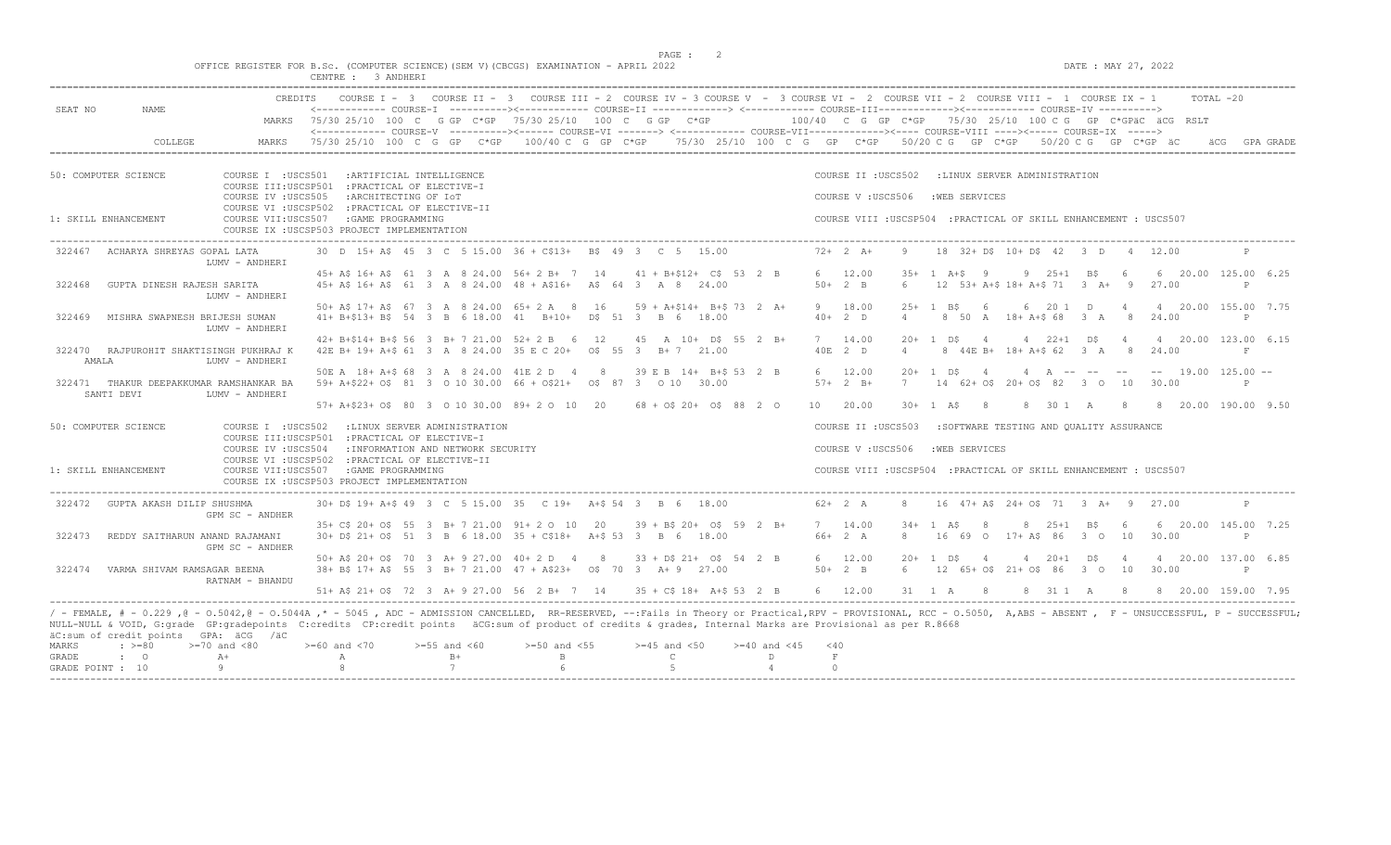$DATA: MAX 27, 2022$ 

|  |  |  |                    |  | OFFICE REGISTER FOR B.Sc. (COMPUTER SCIENCE)(SEM V)(CBCGS) EXAMINATION - APRIL 2022 |  |  |
|--|--|--|--------------------|--|-------------------------------------------------------------------------------------|--|--|
|  |  |  | CENTRE : 3 ANDHERI |  |                                                                                     |  |  |

| SEAT NO<br>NAME.                                                         | CREDITS                                                                                                              |                                                                                                                                                          | COURSE I - 3 COURSE II - 3 COURSE III - 2 COURSE IV - 3 COURSE V - 3 COURSE VI - 2 COURSE VII - 2 COURSE VIII - 1 COURSE IX - 1<br>TOTAL -20<br><------------ COURSE-T ----------><----------- COURSE-TT -------------> <------------ COURSE-TTT------------><----------- COURSE-TV ----------> |            |
|--------------------------------------------------------------------------|----------------------------------------------------------------------------------------------------------------------|----------------------------------------------------------------------------------------------------------------------------------------------------------|-------------------------------------------------------------------------------------------------------------------------------------------------------------------------------------------------------------------------------------------------------------------------------------------------|------------|
| MARKS                                                                    |                                                                                                                      | 75/30 25/10 100 C G GP C*GP 75/30 25/10 100 C G GP C*GP                                                                                                  | 100/40    C    G    GP    C*GP      75/30    25/10    100    C    G    C*GPäC    äCG    RSLT                                                                                                                                                                                                    |            |
| COLLEGE<br>MARKS                                                         |                                                                                                                      |                                                                                                                                                          | <------------- COURSE-V ----------><----- COURSE-VI -------> <------------ COURSE-VII-----------><---- COURSE-VIII ----><----- COURSE-VI<br>$75/30$ 25/10 100 C G GP C*GP $100/40$ C G GP C*GP $75/30$ 25/10 100 C G GP C*GP 50/20 C G GP C*GP 50/20 C G GP C*GP äC                             | GPA GRADE  |
| 50: COMPUTER SCIENCE<br>COURSE I : USCS501                               | : ARTIFICIAL INTELLIGENCE<br>COURSE III:USCSP501 : PRACTICAL OF ELECTIVE-I                                           |                                                                                                                                                          | COURSE II : USCS502<br>:LINUX SERVER ADMINISTRATION                                                                                                                                                                                                                                             |            |
| COURSE IV : USCS505                                                      | :ARCHITECTING OF IOT                                                                                                 |                                                                                                                                                          | :WEB SERVICES<br>COURSE V: USCS506                                                                                                                                                                                                                                                              |            |
| COURSE VII:USCS507<br>1: SKILL ENHANCEMENT                               | COURSE VI : USCSP502 : PRACTICAL OF ELECTIVE-II<br>: GAME PROGRAMMING<br>COURSE IX : USCSP503 PROJECT IMPLEMENTATION |                                                                                                                                                          | COURSE VIII : USCSP504 : PRACTICAL OF SKILL ENHANCEMENT : USCS507                                                                                                                                                                                                                               |            |
| ACHARYA SHREYAS GOPAL LATA<br>322467<br>LUMV - ANDHERI                   |                                                                                                                      | 30 D 15+ A\$ 45 3 C 5 15.00 36 + C\$13+ B\$ 49 3 C 5 15.00                                                                                               | $72+2$ A+<br>9<br>18 32+ D\$ 10+ D\$ 42 3 D 4 12.00                                                                                                                                                                                                                                             |            |
|                                                                          |                                                                                                                      | 45+ A\$ 16+ A\$ 61 3 A 8 24.00 56+ 2 B+ 7 14 41 + B+\$12+ C\$ 53 2 B                                                                                     | 6 12.00<br>$35+1$ A+S 9<br>$9$ 25+1 B\$<br>6<br>6 20.00 125.00 6.25<br>27.00                                                                                                                                                                                                                    | P          |
| 322468<br>GUPTA DINESH RAJESH SARITA<br>LUMV - ANDHERI                   |                                                                                                                      | 45+ A\$ 16+ A\$ 61 3 A 8 24.00 48 + A\$16+ A\$ 64 3 A 8 24.00                                                                                            | $50+2$ B<br>$12$ 53+ A+\$ 18+ A+\$ 71 3 A+ 9<br>6                                                                                                                                                                                                                                               |            |
| 322469<br>MISHRA SWAPNESH BRIJESH SUMAN<br>LUMV - ANDHERI                | 50+ A\$ 17+ A\$ 67 3 A 8 24.00 65+ 2 A 8 16                                                                          | 59 + A+\$14+ B+\$ 73 2 A+<br>41+ B+\$13+ B\$ 54 3 B 6 18.00 41 B+10+ D\$ 51 3 B 6 18.00                                                                  | 9 18.00<br>1 BS<br>6 20 1 D<br>4 20.00 155.00 7.75<br>$2.5+$<br>$\overline{4}$<br>$40+2$ D<br>8 50 A 18 + A + \$ 68 3 A<br>$_{\rm 8}$<br>24.00<br>$\overline{4}$                                                                                                                                | P          |
|                                                                          | 42+ B+\$14+ B+\$ 56 3 B+ 7 21.00 52+ 2 B 6 12                                                                        | 45 A 10+ D\$ 55 2 B+                                                                                                                                     | 4 20.00 123.00 6.15<br>7 14.00<br>$20+1$ DS<br>4 $22+1$ DS<br>$\overline{4}$<br>$\overline{4}$                                                                                                                                                                                                  |            |
| 322470 RAJPUROHIT SHAKTISINGH PUKHRAJ K<br>AMALA<br>LUMV - ANDHERI       |                                                                                                                      | 42E B+ 19+ A+\$ 61 3 A 8 24.00 35 E C 20+ 0\$ 55 3 B+ 7 21.00                                                                                            | 40E 2 D<br>8 44E B+ 18+ A+\$ 62 3 A 8<br>$\overline{4}$<br>24.00                                                                                                                                                                                                                                | $_{\rm F}$ |
| 322471 THAKUR DEEPAKKUMAR RAMSHANKAR BA<br>SANTI DEVI<br>LUMV - ANDHERI  |                                                                                                                      | 50E A 18+ A+\$ 68 3 A 8 24.00 41E 2 D 4 8 39 E B 14+ B+\$ 53 2 B<br>59+ A+\$22+ O\$ 81 3 0 10 30.00 66 + O\$21+ 0\$ 87 3 0 10 30.00                      | 6 12.00<br>4 A -- -- -- -- 19.00 125.00 --<br>$20 + 1$ D\$<br>$\overline{4}$<br>$57+2 B+$<br>14 62+ 0\$ 20+ 0\$ 82 3 0 10<br>7<br>30.00                                                                                                                                                         |            |
|                                                                          | 57+ A+\$23+ O\$ 80 3 0 10 30.00 89+ 2 0 10 20                                                                        | $68 + 0$ \$ 20+ 0\$ 88 2 0                                                                                                                               | 10 20.00<br>$30 + 1$ AS<br>30 1 A<br>8 20.00 190.00 9.50<br>- 8<br>8<br>- 8                                                                                                                                                                                                                     |            |
| 50: COMPUTER SCIENCE                                                     | COURSE I : USCS502 : LINUX SERVER ADMINISTRATION                                                                     |                                                                                                                                                          | COURSE II : USCS503<br>:SOFTWARE TESTING AND OUALITY ASSURANCE                                                                                                                                                                                                                                  |            |
| COURSE IV : USCS504                                                      | COURSE III:USCSP501 : PRACTICAL OF ELECTIVE-I<br>: INFORMATION AND NETWORK SECURITY                                  |                                                                                                                                                          | COURSE V: USCS506<br>: WEB SERVICES                                                                                                                                                                                                                                                             |            |
| 1: SKILL ENHANCEMENT<br>COURSE VII:USCS507                               | COURSE VI : USCSP502 : PRACTICAL OF ELECTIVE-II<br>: GAME PROGRAMMING<br>COURSE IX : USCSP503 PROJECT IMPLEMENTATION |                                                                                                                                                          | COURSE VIII : USCSP504 : PRACTICAL OF SKILL ENHANCEMENT : USCS507                                                                                                                                                                                                                               |            |
| 322472<br>GUPTA AKASH DILIP SHUSHMA<br>GPM SC - ANDHER                   |                                                                                                                      | 30+ D\$ 19+ A+\$ 49 3 C 5 15.00 35 C 19+ A+\$ 54 3 B 6 18.00                                                                                             | $62+2 A$<br>8<br>16 47+ A\$ 24+ 0\$ 71 3 A+ 9 27.00                                                                                                                                                                                                                                             |            |
|                                                                          | 35+ C\$ 20+ O\$ 55 3 B+ 7 21.00 91+ 2 0 10                                                                           | 20<br>$39 + B\frac{20+}{9}$ 0\$ 59 2 B+                                                                                                                  | 7 14.00<br>$8 \t25+1 \tB5$<br>6 20.00 145.00 7.25<br>$34+$<br>1 AS<br>8<br>- 6                                                                                                                                                                                                                  |            |
| 322473<br>REDDY SAITHARUN ANAND RAJAMANI<br>GPM SC - ANDHER              |                                                                                                                      | 30+ D\$ 21+ O\$ 51 3 B 6 18.00 35 + C\$18+ A+\$ 53 3 B 6 18.00                                                                                           | 66+ 2 A<br>16 69 0 17+ A\$ 86 3 0 10<br>8<br>30.00                                                                                                                                                                                                                                              | P          |
|                                                                          | 50 + A\$ 20 + O\$ 70 3 A + 9 27.00 40 + 2 D 4 8                                                                      | $33 + D5$ 21+ 0\$ 54 2 B                                                                                                                                 | 6 12.00<br>$20+$<br>1 DS<br>$4$ $20+1$ $D5$<br>4 20.00 137.00 6.85<br>$\overline{4}$<br>$\overline{4}$                                                                                                                                                                                          |            |
| VARMA SHIVAM RAMSAGAR BEENA<br>322474<br>RATNAM - BHANDU                 |                                                                                                                      | 38+ B\$ 17+ A\$ 55 3 B+ 7 21.00 47 + A\$23+ 0\$ 70 3 A+ 9 27.00                                                                                          | $50+2$ B<br>6<br>12 65+ 0\$ 21+ 0\$ 86 3 0 10<br>30.00                                                                                                                                                                                                                                          | P          |
|                                                                          | 51+ A\$ 21+ O\$ 72 3 A+ 9 27.00 56 2 B+ 7 14                                                                         | $35 + C$ \$ 18+ A+\$ 53 2 B                                                                                                                              | 6 12.00<br>31 1 A<br>8 31 1 A<br>8 20.00 159.00 7.95<br>8 <sup>8</sup><br>-8                                                                                                                                                                                                                    |            |
| äC:sum of credit points GPA: äCG /äC                                     |                                                                                                                      | NULL-NULL & VOID, G:grade GP:gradepoints C:credits CP:credit points äCG:sum of product of credits & grades, Internal Marks are Provisional as per R.8668 | / - FEMALE, # - 0.229 ,0 - 0.5042,0 - 0.5044A ,* - 5045 , ADC - ADMISSION CANCELLED, RR-RESERVED, --:Fails in Theory or Practical,RPV - PROVISIONAL, RCC - 0.5050, A,ABS - ABSENT , F - UNSUCCESSFUL, P - SUCCESSFUL;                                                                           |            |
| $: \ \ \>=80$<br>$>=70$ and $<80$<br>MARKS<br>GRADE<br>$\cdot$ 0<br>$A+$ | $>= 60$ and $< 70$<br>$>=55$ and $<60$<br>$B+$<br>Α                                                                  | $>=50$ and $<55$<br>$>=45$ and $<50$<br>$>= 40$ and $< 45$<br>$\mathsf{C}$<br>$\mathbf{B}$<br>D                                                          | < 40<br>F                                                                                                                                                                                                                                                                                       |            |
| Q<br>GRADE POINT : 10                                                    | 7                                                                                                                    | 6<br>$5^{\circ}$<br>4                                                                                                                                    | $\circ$                                                                                                                                                                                                                                                                                         |            |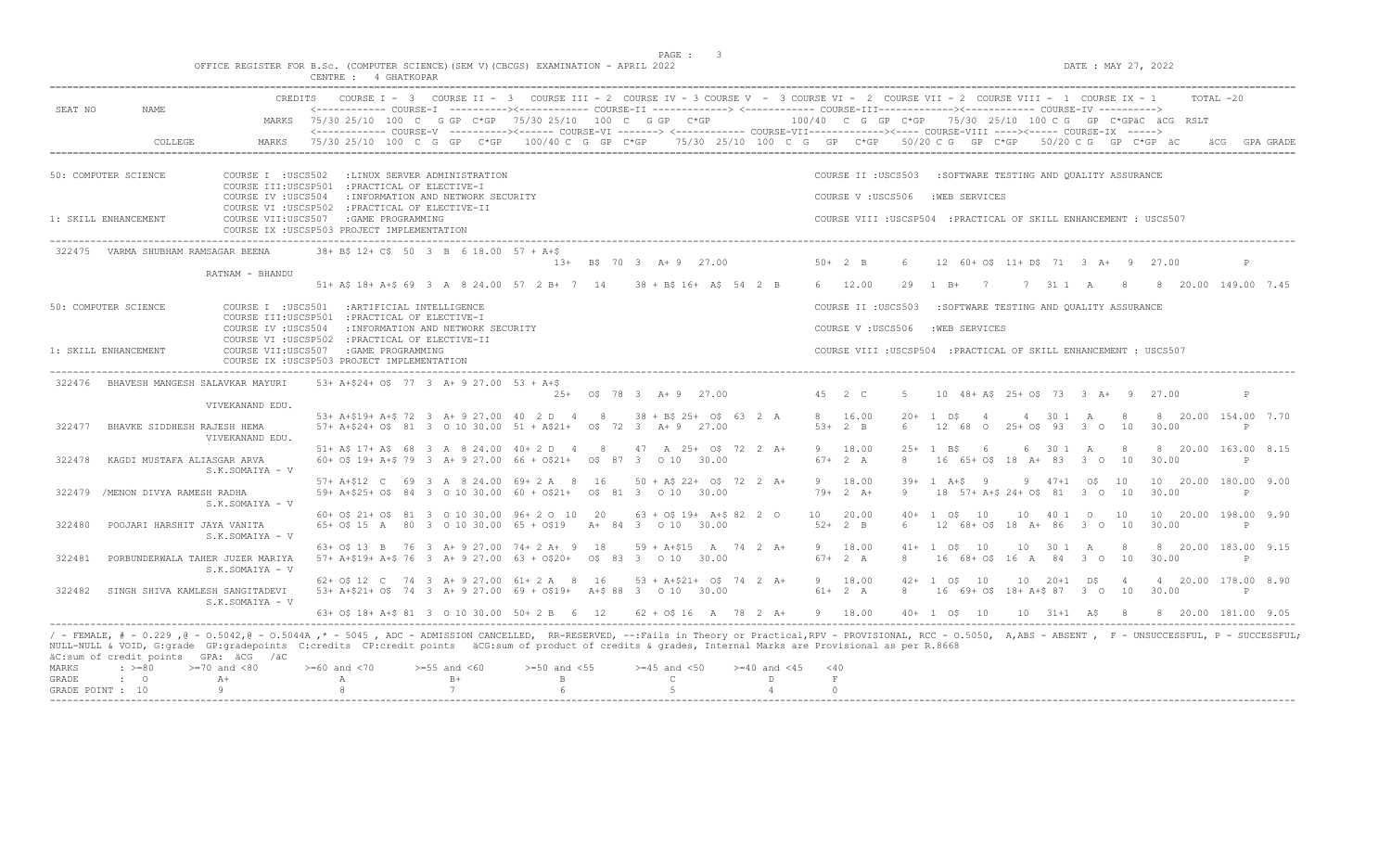$DATA: MAX 27, 2022$ 

|  |  |          |  |             |  | OFFICE REGISTER FOR B.Sc. (COMPUTER SCIENCE)(SEM V)(CBCGS) EXAMINATION - APRIL 2022 |  |  |
|--|--|----------|--|-------------|--|-------------------------------------------------------------------------------------|--|--|
|  |  | CENTRE : |  | 4 GHATKOPAR |  |                                                                                     |  |  |

| CREDITS<br>SEAT NO<br><b>NAME</b>                                                                                 |                                                                                                                                         |                                                                                                                                                                                                                                                                                             | COURSE I - 3 COURSE II - 3 COURSE III - 2 COURSE IV - 3 COURSE V - 3 COURSE VI - 2 COURSE VII - 2 COURSE VIII - 1 COURSE IX - 1<br>TOTAL -20                                                                                                         |
|-------------------------------------------------------------------------------------------------------------------|-----------------------------------------------------------------------------------------------------------------------------------------|---------------------------------------------------------------------------------------------------------------------------------------------------------------------------------------------------------------------------------------------------------------------------------------------|------------------------------------------------------------------------------------------------------------------------------------------------------------------------------------------------------------------------------------------------------|
|                                                                                                                   |                                                                                                                                         | MARKS 75/30 25/10 100 C G GP C*GP 75/30 25/10 100 C G GP C*GP                                                                                                                                                                                                                               | $100/40$ C G GP C*GP $75/30$ 25/10 100 C G GP C*GPäC äCG RSLT<br><------------- COURSE-V ----------><----- COURSE-VI -------> <------------ COURSE-VII------------><----- COURSE-VIII ----><----- COURSE-IX ----->                                   |
| COLLEGE<br>MARKS                                                                                                  |                                                                                                                                         |                                                                                                                                                                                                                                                                                             | 75/30 25/10 100 C G GP C*GP 100/40 C G GP C*GP 75/30 25/10 100 C G GP C*GP 50/20 C G GP C*GP 50/20 C G GP C*GP äC<br>GPA GRADE                                                                                                                       |
| 50: COMPUTER SCIENCE<br>COURSE I : USCS502                                                                        | :LINUX SERVER ADMINISTRATION                                                                                                            |                                                                                                                                                                                                                                                                                             | COURSE II : USCS503<br>:SOFTWARE TESTING AND OUALITY ASSURANCE                                                                                                                                                                                       |
| COURSE IV : USCS504                                                                                               | COURSE III:USCSP501 : PRACTICAL OF ELECTIVE-I<br>: INFORMATION AND NETWORK SECURITY<br>COURSE VI : USCSP502 : PRACTICAL OF ELECTIVE-II  |                                                                                                                                                                                                                                                                                             | COURSE V: USCS506<br>:WEB SERVICES                                                                                                                                                                                                                   |
| 1: SKILL ENHANCEMENT                                                                                              | COURSE VII:USCS507 :GAME PROGRAMMING<br>COURSE IX : USCSP503 PROJECT IMPLEMENTATION                                                     |                                                                                                                                                                                                                                                                                             | COURSE VIII : USCSP504 : PRACTICAL OF SKILL ENHANCEMENT : USCS507                                                                                                                                                                                    |
| 322475 VARMA SHUBHAM RAMSAGAR BEENA                                                                               | 38+ B\$ 12+ C\$ 50 3 B 6 18.00 57 + A+\$                                                                                                | 13+ B\$ 70 3 A+ 9 27.00                                                                                                                                                                                                                                                                     | $50+2$ B<br>12 60+ 0\$ 11+ D\$ 71 3 A+ 9 27.00<br>P                                                                                                                                                                                                  |
| RATNAM - BHANDU                                                                                                   |                                                                                                                                         | 51+ A\$ 18+ A+\$ 69 3 A 8 24.00 57 2 B+ 7 14 38 + B\$ 16+ A\$ 54 2 B                                                                                                                                                                                                                        | 6 12.00<br>29<br>$1$ B+ 7<br>7 31 1 A 8 8 20.00 149.00 7.45                                                                                                                                                                                          |
| 50: COMPUTER SCIENCE                                                                                              | COURSE I : USCS501 : ARTIFICIAL INTELLIGENCE                                                                                            |                                                                                                                                                                                                                                                                                             | COURSE II : USCS503<br>:SOFTWARE TESTING AND QUALITY ASSURANCE                                                                                                                                                                                       |
| COURSE IV : USCS504                                                                                               | COURSE III:USCSP501 : PRACTICAL OF ELECTIVE-I<br>: INFORMATION AND NETWORK SECURITY                                                     |                                                                                                                                                                                                                                                                                             | COURSE V: USCS506<br>:WEB SERVICES                                                                                                                                                                                                                   |
| 1: SKILL ENHANCEMENT                                                                                              | COURSE VI : USCSP502 : PRACTICAL OF ELECTIVE-II<br>COURSE VII:USCS507 : GAME PROGRAMMING<br>COURSE IX : USCSP503 PROJECT IMPLEMENTATION |                                                                                                                                                                                                                                                                                             | COURSE VIII : USCSP504 : PRACTICAL OF SKILL ENHANCEMENT : USCS507                                                                                                                                                                                    |
| 322476 BHAVESH MANGESH SALAVKAR MAYURI                                                                            | 53+ A+\$24+ O\$ 77 3 A+ 9 27.00 53 + A+\$                                                                                               |                                                                                                                                                                                                                                                                                             |                                                                                                                                                                                                                                                      |
| VIVEKANAND EDU.                                                                                                   |                                                                                                                                         | $25+$ 0\$ 78 3 A + 9 27.00                                                                                                                                                                                                                                                                  | 45 2 C<br>10 48 + A\$ 25 + 0\$ 73 3 A + 9 27.00<br>-5<br>P                                                                                                                                                                                           |
| BHAVKE SIDDHESH RAJESH HEMA<br>322477                                                                             |                                                                                                                                         | 53+ A+\$19+ A+\$ 72 3 A+ 9 27.00 40 2 D 4 8 38 + B\$ 25+ 0\$ 63 2 A<br>$57+$ A+\$24+ O\$ 81 3 O 10 30.00 51 + A\$21+ O\$ 72 3 A+ 9 27.00                                                                                                                                                    | 8 20.00 154.00 7.70<br>8 16.00<br>$20+$<br>4 30 1 A<br>1 DS<br>$\overline{4}$<br>- 8<br>$53+2$ B<br>12 68 0 25+ 0\$ 93 3 0 10<br>30.00<br>P                                                                                                          |
| VIVEKANAND EDU.                                                                                                   |                                                                                                                                         |                                                                                                                                                                                                                                                                                             |                                                                                                                                                                                                                                                      |
|                                                                                                                   |                                                                                                                                         | 51+ A\$ 17+ A\$ 68 3 A 8 24.00 40+ 2 D 4 8 47 A 25+ 0\$ 72 2 A+                                                                                                                                                                                                                             | 9 18.00<br>8 20.00 163.00 8.15<br>$25+$<br>1 B\$<br>6<br>6 30 1 A<br>- 8                                                                                                                                                                             |
| KAGDI MUSTAFA ALIASGAR ARVA<br>322478<br>S.K.SOMAIYA - V                                                          |                                                                                                                                         | 60+ 0\$ 19+ A+\$ 79 3 A+ 9 27.00 66 + 0\$21+ 0\$ 87 3 0 10 30.00                                                                                                                                                                                                                            | $67 + 2 A$<br>16 65+ 0\$ 18 A+ 83 3 0 10<br>30.00<br>8<br>P                                                                                                                                                                                          |
|                                                                                                                   | 57+ A+\$12 C 69 3 A 8 24.00 69+ 2 A 8 16                                                                                                | $50 + AS 22 + OS 72 2 A+$                                                                                                                                                                                                                                                                   | 9 18.00<br>$39+ 1 A+S 9$<br>$9 \t 47+1 \t 05 \t 10$<br>10 20.00 180.00 9.00                                                                                                                                                                          |
| 322479 / MENON DIVYA RAMESH RADHA<br>S.K.SOMAIYA - V                                                              |                                                                                                                                         | 59+ A+\$25+ O\$ 84 3 0 10 30.00 60 + O\$21+ 0\$ 81 3 0 10 30.00                                                                                                                                                                                                                             | $79+2 A+$<br>18 57+ A+\$ 24+ 0\$ 81 3 0 10<br>30.00<br>9<br>P                                                                                                                                                                                        |
|                                                                                                                   | 60+ 0\$ 21+ 0\$ 81 3 0 10 30.00 96+ 2 0 10 20                                                                                           | $63 + 05$ 19+ A+\$ 82 2 0                                                                                                                                                                                                                                                                   | 10 20.00<br>10<br>10 40 1 0<br>10<br>10 20.00 198.00 9.90<br>$40+$<br>1 O.S                                                                                                                                                                          |
| 322480<br>POOJARI HARSHIT JAYA VANITA<br>S.K.SOMAIYA - V                                                          |                                                                                                                                         | 65+ 0\$ 15 A 80 3 0 10 30.00 65 + 0\$19 A+ 84 3 0 10 30.00                                                                                                                                                                                                                                  | $52+2$ B<br>12 68+ 0\$ 18 A+ 86 3 0 10<br>30.00<br>6<br>P                                                                                                                                                                                            |
|                                                                                                                   | 63+ 0\$ 13 B 76 3 A+ 9 27.00 74+ 2 A+ 9 18                                                                                              | 59 + A+\$15 A 74 2 A+                                                                                                                                                                                                                                                                       | 9 18.00<br>$41 + 1$ $05$<br>10<br>10 30 1 A<br>8 20.00 183.00 9.15<br>- 8                                                                                                                                                                            |
| 322481<br>PORBUNDERWALA TAHER JUZER MARIYA<br>S.K.SOMAIYA - V                                                     |                                                                                                                                         | 57+ A+\$19+ A+\$ 76 3 A+ 9 27.00 63 + 0\$20+ 0\$ 83 3 0 10 30.00                                                                                                                                                                                                                            | $67 + 2 A$<br>8<br>16 68+ 0\$ 16 A 84 3 0 10<br>30.00<br>P                                                                                                                                                                                           |
|                                                                                                                   | 62+ 0\$ 12 C 74 3 A+ 9 27.00 61+ 2 A 8 16                                                                                               | $53 + A + $21 + O$$ 74 2 A+                                                                                                                                                                                                                                                                 | 9 18.00<br>$42+$<br>1 O.S<br>10<br>10 20+1 D\$<br>4 20.00 178.00 8.90<br>$\overline{4}$                                                                                                                                                              |
| 322482<br>SINGH SHIVA KAMLESH SANGITADEVI<br>S.K.SOMAIYA - V                                                      |                                                                                                                                         | 53+ A+\$21+ O\$ 74 3 A+ 9 27.00 69 + O\$19+ A+\$ 88 3 0 10 30.00                                                                                                                                                                                                                            | $61+$ 2 A<br>8<br>16 69+ 0\$ 18+ A+\$ 87 3 0 10<br>30.00<br>P                                                                                                                                                                                        |
|                                                                                                                   | 63+ 0\$ 18+ A+\$ 81 3 0 10 30.00 50+ 2 B 6 12                                                                                           | $62 + 0$ \$ 16 A 78 2 A+ 9 18.00                                                                                                                                                                                                                                                            | $40+1$ $05$ $10$<br>$10 \t 31+1 \t A5 \t 8$<br>8 20.00 181.00 9.05                                                                                                                                                                                   |
| äC:sum of credit points GPA: äCG /äC<br>MARKS<br>$\div$ >=80<br>$>=70$ and $<80$<br>GRADE<br>$\mathbf{C}$<br>$A+$ | $>=60$ and $<70$<br>$>=55$ and $<60$<br>$B+$<br>$\mathbb A$<br>8<br>7                                                                   | NULL-NULL & VOID, G:grade GP:gradepoints C:credits CP:credit points äCG:sum of product of credits & grades, Internal Marks are Provisional as per R.8668<br>$>=50$ and $<55$<br>$>=45$ and $<50$<br>$>= 40$ and $< 45$<br>$\mathbf{B}$<br>$\mathsf{C}$<br>D<br>$5 -$<br>6<br>$\overline{4}$ | / - FEMALE, # - 0.229 ,@ - 0.5042,@ - 0.5044A ,* - 5045 , ADC - ADMISSION CANCELLED, RR-RESERVED, --:Fails in Theory or Practical,RPV - PROVISIONAL, RCC - 0.5050, A,ABS - ABSENT , F - UNSUCCESSFUL, P - SUCCESSFUL;<br>$<$ 40<br>$\,$ F<br>$\circ$ |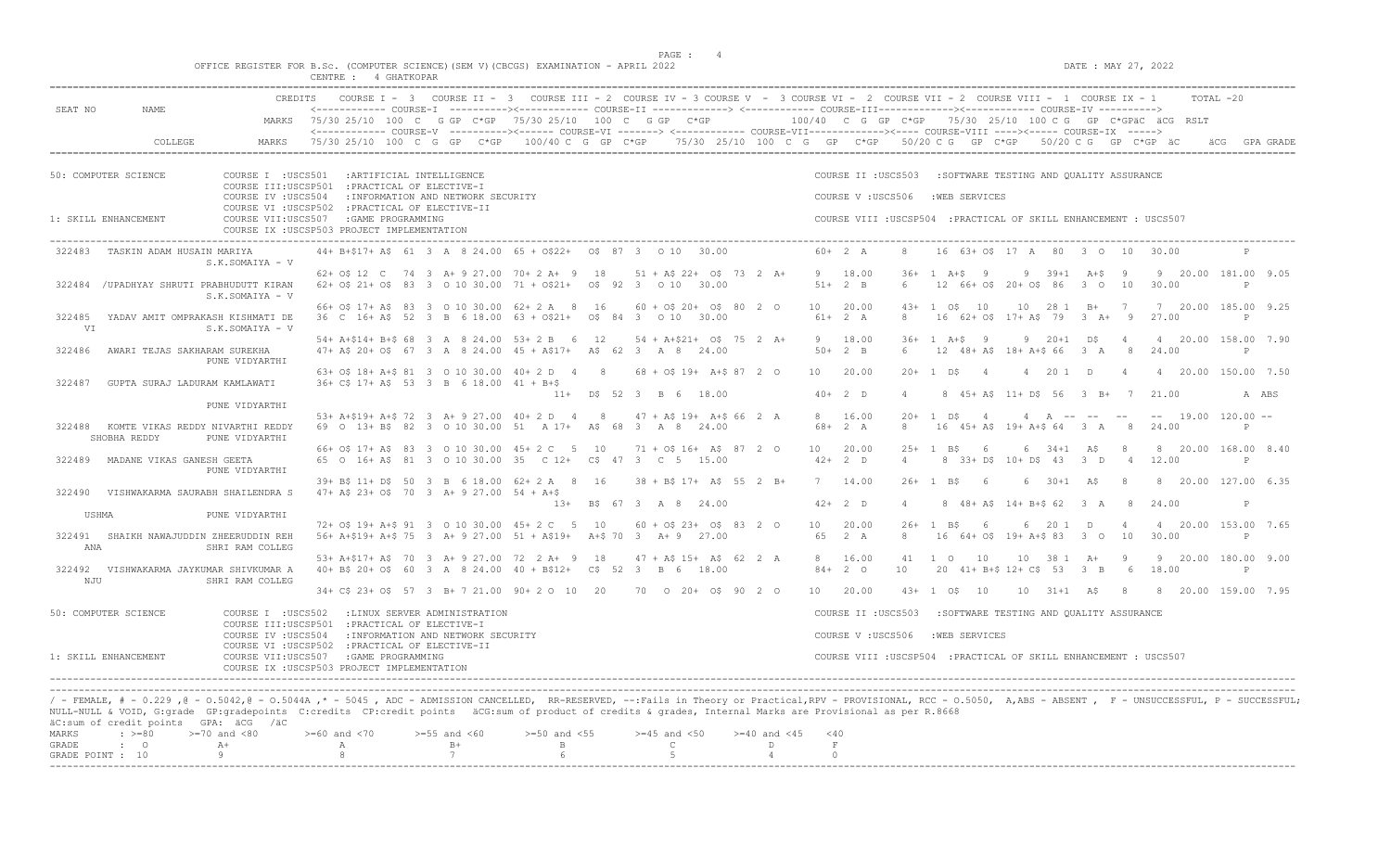$DATAE : MAY 27, 2022$ 

|  |  |          |  |             |  | OFFICE REGISTER FOR B.Sc. (COMPUTER SCIENCE)(SEM V)(CBCGS) EXAMINATION - APRIL 2022 |  |  |
|--|--|----------|--|-------------|--|-------------------------------------------------------------------------------------|--|--|
|  |  | CENTRE : |  | 4 GHATKOPAR |  |                                                                                     |  |  |

GRADE POINT :  $10$  9 8 7 6 5 4 0

| <------------ COURSE-I ----------><----------- COURSE-II --------------> <------------ COURSE-III------------><------------- COURSE-IV ----------><br>MARKS 75/30 25/10 100 C G GP C*GP 75/30 25/10 100 C G GP C*GP<br>100/40 C G GP C*GP 75/30 25/10 100 C G GP C*GPäC äCG RSLT<br><------------- COURSE-V ----------><----- COURSE-VI -------> <----------- COURSE-VII-----------><---- COURSE-VIII ----><----- COURSE-IX -----><br>75/30 25/10 100 C G GP C*GP 100/40 C G GP C*GP 75/30 25/10 100 C G GP C*GP 50/20 C G GP C*GP 50/20 C G GP C*GP äC<br>COLLEGE<br>MARKS<br>äCG<br>GPA GRADE<br>COURSE I : USCS501 : ARTIFICIAL INTELLIGENCE<br>COURSE II : USCS503<br>:SOFTWARE TESTING AND OUALITY ASSURANCE<br>COURSE III:USCSP501 : PRACTICAL OF ELECTIVE-I<br>COURSE IV : USCS504<br>: INFORMATION AND NETWORK SECURITY<br>COURSE V: USCS506<br>: WEB SERVICES<br>COURSE VI : USCSP502 : PRACTICAL OF ELECTIVE-II<br>COURSE VII:USCS507 :GAME PROGRAMMING<br>COURSE VIII : USCSP504 : PRACTICAL OF SKILL ENHANCEMENT : USCS507<br>COURSE IX : USCSP503 PROJECT IMPLEMENTATION<br>44+ B+\$17+ A\$ 61 3 A 8 24.00 65 + 0\$22+ 0\$ 87 3 0 10 30.00<br>16 63+ 0\$ 17 A 80 3 0 10<br>$60+2 A$<br>$\mathcal{R}$<br>30.00<br>322483<br>TASKIN ADAM HUSAIN MARIYA<br>S.K.SOMAIYA - V<br>62+ 0\$ 12 C 74 3 A+ 9 27.00 70+ 2 A+ 9 18<br>-9<br>18.00<br>$9 \t39+1 \tA+5$<br>9 20.00 181.00 9.05<br>$51 + A\frac{2}{7} + O\frac{2}{7} + 73$ 2 A+<br>$.36+$<br>$1 A+S$<br>- 9<br>-9<br>$51+2$ B<br>322484 / UPADHYAY SHRUTI PRABHUDUTT KIRAN<br>62+ 0\$ 21+ 0\$ 83 3 0 10 30.00 71 + 0\$21+ 0\$ 92 3 0 10<br>30.00<br>12 66+ 0\$ 20+ 0\$ 86<br>$3^{\circ}$<br>10<br>30.00<br>6<br>P<br>S.K.SOMAIYA - V<br>66+ 0\$ 17+ A\$ 83 3 0 10 30.00 62+ 2 A 8 16<br>$60 + 0$ \$ 20+ 0\$ 80 2 0<br>10<br>20.00<br>10<br>28 1 B+<br>7 20.00 185.00 9.25<br>$43+$<br>$\overline{1}$<br>O\$<br>10<br>$\overline{7}$<br>322485<br>YADAV AMIT OMPRAKASH KISHMATI DE<br>36 C 16+ A\$ 52 3 B 6 18.00 63 + 0\$21+ 0\$ 84 3 0 10 30.00<br>$61+2 A$<br>16 62+ 0\$ 17+ A\$ 79 3 A+ 9<br>27.00<br>8<br>P<br>VI<br>S.K.SOMAIYA - V<br>9<br>18.00<br>$36+$<br>4 20.00 158.00 7.90<br>54+ A+\$14+ B+\$ 68 3 A 8 24.00 53+ 2 B 6 12<br>$54 + A + $21 + O$$ 75 2 A+<br>$1 A+S 9$<br>$9 \t 20 + 1 \t D5$<br>$\overline{4}$<br>$50+2$ B<br>AWARI TEJAS SAKHARAM SUREKHA<br>47+ A\$ 20+ O\$ 67 3 A 8 24.00 45 + A\$17+ A\$ 62 3 A 8 24.00<br>12 48+ A\$ 18+ A+\$ 66 3 A<br>8<br>322486<br>6<br>24.00<br>P<br>PUNE VIDYARTHI<br>63+ 0\$ 18+ A+\$ 81 3 0 10 30.00 40+ 2 D 4 8<br>$68 + 0$ \$ 19+ A+\$ 87 2 0<br>10<br>20.00<br>20 1 D<br>4 20.00 150.00 7.50<br>$20+$<br>1 DS<br>$\overline{4}$<br>$\overline{4}$<br>$\overline{4}$<br>322487<br>GUPTA SURAJ LADURAM KAMLAWATI<br>$36+ C5$ 17+ AS 53 3 B 6 18.00 41 + B+\$<br>$40+2$ D<br>8 45+ A\$ 11+ D\$ 56 3 B+<br>$11+$<br>D\$ 52 3 B 6<br>18.00<br>$\Delta$<br>7<br>21.00<br>A ABS<br>PUNE VIDYARTHI<br>53+ A+\$19+ A+\$ 72 3 A+ 9 27.00 40+ 2 D 4 8<br>$47 + A\$ 19+ $A+\$ 66 2 A<br>16.00<br>$-- 19.00 120.00 --$<br>8<br>$20+$<br>$\overline{1}$<br>D.S<br>$\overline{4}$<br>$4$ A $- - --$<br>322488<br>KOMTE VIKAS REDDY NIVARTHI REDDY<br>69 O 13+ B\$ 82 3 O 10 30.00 51 A 17+ A\$ 68 3 A 8<br>$68 + 2 A$<br>8<br>16 45+ A\$ 19+ A+\$ 64<br>3 A<br>24.00<br>24.00<br>8<br>SHOBHA REDDY<br>PUNE VIDYARTHI<br>66+ 0\$ 17+ A\$ 83 3 0 10 30.00 45+ 2 C 5 10<br>$71 + 05$ 16+ A\$ 87 2 0<br>10 <sup>1</sup><br>20.00<br>8 20.00 168.00 8.40<br>$25+$<br><sup>1</sup><br>B\$<br>6<br>6<br>34+1 A\$<br>-8<br>MADANE VIKAS GANESH GEETA<br>65 0 16+ A\$ 81 3 0 10 30.00 35 C 12+ C\$ 47 3 C 5 15.00<br>$42+2$ D<br>8 33+ D\$ 10+ D\$ 43 3 D<br>12.00<br>322489<br>$\overline{4}$<br>4<br>P<br>PUNE VIDYARTHI<br>39+ B\$ 11+ D\$ 50 3 B 6 18.00 62+ 2 A 8 16<br>$38 + B$ \$ 17+ A\$ 55 2 B+<br>7<br>14.00<br>$26+$<br>$30+1$ AS<br>8 20.00 127.00 6.35<br>1 B\$<br>- 6<br>6<br>8<br>47+ A\$ 23+ O\$ 70 3 A+ 9 27.00 54 + A+\$<br>322490<br>VISHWAKARMA SAURABH SHAILENDRA S<br>$42+2$ D<br>13+ B\$ 67 3 A 8 24.00<br>8 48+ A\$ 14+ B+\$ 62 3 A<br>8<br>P<br>$\overline{4}$<br>24.00<br>USHMA<br>PUNE VIDYARTHI<br>72+ 0\$ 19+ A+\$ 91 3 0 10 30.00 45+ 2 C 5 10<br>$60 + 0$ \$ 23+ 0\$ 83 2 0<br>10<br>20.00<br>$26+$<br>B\$<br>6<br>20 1<br>D<br>4 20.00 153.00 7.65<br>$\overline{1}$<br>6<br>65<br>322491<br>SHAIKH NAWAJUDDIN ZHEERUDDIN REH<br>56+ A+\$19+ A+\$ 75 3 A+ 9 27.00 51 + A\$19+ A+\$ 70 3 A+ 9 27.00<br>2 A<br>$\mathcal{R}$<br>$1664+05$<br>$19+ A+S 83$<br>$3^{\circ}$<br>10<br>30.00<br>$\mathbb{P}$<br>ANA<br>SHRI RAM COLLEG<br>53+ A+\$17+ A\$ 70 3 A+ 9 27.00 72 2 A+ 9 18<br>16.00<br>10<br>10 38 1 A+<br>9 20.00 180.00 9.00<br>$47 + A\frac{2}{3} 15 + A\frac{2}{3} 62 2 A$<br>8<br>41<br>$1 \Omega$<br>-9<br>18.00<br>322492<br>VISHWAKARMA JAYKUMAR SHIVKUMAR A<br>$40+$ BS 20+ OS 60 3 A 8 24.00 40 + BS12+<br>C\$ 52 3 B 6 18.00<br>$84+20$<br>10<br>20 41+ B+\$ 12+ C\$ 53<br>$3 \quad B$<br>6<br>P<br>NJU<br>SHRI RAM COLLEG<br>34+ C\$ 23+ O\$ 57 3 B+ 7 21.00 90+ 2 O 10 20<br>70 0 20+ 0\$ 90 2 0<br>20.00<br>8 20.00 159.00 7.95<br>10<br>$43+$<br>10\$<br>10<br>10<br>31+1 A\$<br>-8<br>COURSE I : USCS502 : LINUX SERVER ADMINISTRATION<br>COURSE II : USCS503<br>:SOFTWARE TESTING AND QUALITY ASSURANCE<br>COURSE III:USCSP501 : PRACTICAL OF ELECTIVE-I<br>COURSE IV : USCS504<br>: INFORMATION AND NETWORK SECURITY<br>COURSE V: USCS506<br>:WEB SERVICES<br>COURSE VI : USCSP502 : PRACTICAL OF ELECTIVE-II<br>COURSE VII:USCS507<br>: GAME PROGRAMMING<br>COURSE VIII : USCSP504 : PRACTICAL OF SKILL ENHANCEMENT : USCS507<br>COURSE IX : USCSP503 PROJECT IMPLEMENTATION<br>/ - FEMALE, # - 0.229, @ - 0.5042, @ - 0.5044A, * - 5045, ADC - ADMISSION CANCELLED, RR-RESERVED, --:Fails in Theory or Practical,RPV - PROVISIONAL, RCC - 0.5050, A,ABS - ABSENT, F - UNSUCCESSFUL, P - SUCCESSFUL;<br>NULL-NULL & VOID, G:grade GP:gradepoints C:credits CP:credit points äCG:sum of product of credits & grades, Internal Marks are Provisional as per R.8668<br>äC:sum of credit points GPA: äCG /äC<br>$: >=80$<br>$>=70$ and $<80$<br>$>=60$ and $<70$<br>$>=55$ and $<60$<br>$>=50$ and $<55$<br>$>=45$ and $<50$<br>$>= 40$ and $< 45$<br>< 40<br>$\mathbb{C}$<br>GRADE<br>$B+$<br>$\mathbf{B}$<br>F<br>$\mathbf{C}$<br>$A+$<br>A<br>D |                        | <b>CREDITS</b><br>COURSE II - 3 COURSE III - 2 COURSE IV - 3 COURSE V - 3 COURSE VI - 2 COURSE VII - 2 COURSE VIII - 1 COURSE IX - 1<br>COURSE $I - 3$ | TOTAL -20 |
|----------------------------------------------------------------------------------------------------------------------------------------------------------------------------------------------------------------------------------------------------------------------------------------------------------------------------------------------------------------------------------------------------------------------------------------------------------------------------------------------------------------------------------------------------------------------------------------------------------------------------------------------------------------------------------------------------------------------------------------------------------------------------------------------------------------------------------------------------------------------------------------------------------------------------------------------------------------------------------------------------------------------------------------------------------------------------------------------------------------------------------------------------------------------------------------------------------------------------------------------------------------------------------------------------------------------------------------------------------------------------------------------------------------------------------------------------------------------------------------------------------------------------------------------------------------------------------------------------------------------------------------------------------------------------------------------------------------------------------------------------------------------------------------------------------------------------------------------------------------------------------------------------------------------------------------------------------------------------------------------------------------------------------------------------------------------------------------------------------------------------------------------------------------------------------------------------------------------------------------------------------------------------------------------------------------------------------------------------------------------------------------------------------------------------------------------------------------------------------------------------------------------------------------------------------------------------------------------------------------------------------------------------------------------------------------------------------------------------------------------------------------------------------------------------------------------------------------------------------------------------------------------------------------------------------------------------------------------------------------------------------------------------------------------------------------------------------------------------------------------------------------------------------------------------------------------------------------------------------------------------------------------------------------------------------------------------------------------------------------------------------------------------------------------------------------------------------------------------------------------------------------------------------------------------------------------------------------------------------------------------------------------------------------------------------------------------------------------------------------------------------------------------------------------------------------------------------------------------------------------------------------------------------------------------------------------------------------------------------------------------------------------------------------------------------------------------------------------------------------------------------------------------------------------------------------------------------------------------------------------------------------------------------------------------------------------------------------------------------------------------------------------------------------------------------------------------------------------------------------------------------------------------------------------------------------------------------------------------------------------------------------------------------------------------------------------------------------------------------------------------------------------------------------------------------------------------------------------------------------------------------------------------------------------------------------------------------------------------------------------------------------------------------------------------------------------------------------------------------------------------------------------------------------------------------------------------------------------------------------------------------------------------------------------------------------------------------------------------------------------------------------------------------------------------------------------------------------------------------------------------------------------------------------------------------------------------------------------------------------------------------------------------------------------------------------------------------------------------------------------------------------------------------------------------------------------------------------------------------------------------------------------------------------------------------------------------------------------------------------------------------------------------------------------------------------------------------------------------------------------------------------------------------------------------------------------------------------------------------------------------------------------------------------------------------|------------------------|--------------------------------------------------------------------------------------------------------------------------------------------------------|-----------|
|                                                                                                                                                                                                                                                                                                                                                                                                                                                                                                                                                                                                                                                                                                                                                                                                                                                                                                                                                                                                                                                                                                                                                                                                                                                                                                                                                                                                                                                                                                                                                                                                                                                                                                                                                                                                                                                                                                                                                                                                                                                                                                                                                                                                                                                                                                                                                                                                                                                                                                                                                                                                                                                                                                                                                                                                                                                                                                                                                                                                                                                                                                                                                                                                                                                                                                                                                                                                                                                                                                                                                                                                                                                                                                                                                                                                                                                                                                                                                                                                                                                                                                                                                                                                                                                                                                                                                                                                                                                                                                                                                                                                                                                                                                                                                                                                                                                                                                                                                                                                                                                                                                                                                                                                                                                                                                                                                                                                                                                                                                                                                                                                                                                                                                                                                                                                                                                                                                                                                                                                                                                                                                                                                                                                                                                                                                          | SEAT NO<br><b>NAME</b> |                                                                                                                                                        |           |
|                                                                                                                                                                                                                                                                                                                                                                                                                                                                                                                                                                                                                                                                                                                                                                                                                                                                                                                                                                                                                                                                                                                                                                                                                                                                                                                                                                                                                                                                                                                                                                                                                                                                                                                                                                                                                                                                                                                                                                                                                                                                                                                                                                                                                                                                                                                                                                                                                                                                                                                                                                                                                                                                                                                                                                                                                                                                                                                                                                                                                                                                                                                                                                                                                                                                                                                                                                                                                                                                                                                                                                                                                                                                                                                                                                                                                                                                                                                                                                                                                                                                                                                                                                                                                                                                                                                                                                                                                                                                                                                                                                                                                                                                                                                                                                                                                                                                                                                                                                                                                                                                                                                                                                                                                                                                                                                                                                                                                                                                                                                                                                                                                                                                                                                                                                                                                                                                                                                                                                                                                                                                                                                                                                                                                                                                                                          |                        |                                                                                                                                                        |           |
|                                                                                                                                                                                                                                                                                                                                                                                                                                                                                                                                                                                                                                                                                                                                                                                                                                                                                                                                                                                                                                                                                                                                                                                                                                                                                                                                                                                                                                                                                                                                                                                                                                                                                                                                                                                                                                                                                                                                                                                                                                                                                                                                                                                                                                                                                                                                                                                                                                                                                                                                                                                                                                                                                                                                                                                                                                                                                                                                                                                                                                                                                                                                                                                                                                                                                                                                                                                                                                                                                                                                                                                                                                                                                                                                                                                                                                                                                                                                                                                                                                                                                                                                                                                                                                                                                                                                                                                                                                                                                                                                                                                                                                                                                                                                                                                                                                                                                                                                                                                                                                                                                                                                                                                                                                                                                                                                                                                                                                                                                                                                                                                                                                                                                                                                                                                                                                                                                                                                                                                                                                                                                                                                                                                                                                                                                                          |                        |                                                                                                                                                        |           |
|                                                                                                                                                                                                                                                                                                                                                                                                                                                                                                                                                                                                                                                                                                                                                                                                                                                                                                                                                                                                                                                                                                                                                                                                                                                                                                                                                                                                                                                                                                                                                                                                                                                                                                                                                                                                                                                                                                                                                                                                                                                                                                                                                                                                                                                                                                                                                                                                                                                                                                                                                                                                                                                                                                                                                                                                                                                                                                                                                                                                                                                                                                                                                                                                                                                                                                                                                                                                                                                                                                                                                                                                                                                                                                                                                                                                                                                                                                                                                                                                                                                                                                                                                                                                                                                                                                                                                                                                                                                                                                                                                                                                                                                                                                                                                                                                                                                                                                                                                                                                                                                                                                                                                                                                                                                                                                                                                                                                                                                                                                                                                                                                                                                                                                                                                                                                                                                                                                                                                                                                                                                                                                                                                                                                                                                                                                          | 50: COMPUTER SCIENCE   |                                                                                                                                                        |           |
|                                                                                                                                                                                                                                                                                                                                                                                                                                                                                                                                                                                                                                                                                                                                                                                                                                                                                                                                                                                                                                                                                                                                                                                                                                                                                                                                                                                                                                                                                                                                                                                                                                                                                                                                                                                                                                                                                                                                                                                                                                                                                                                                                                                                                                                                                                                                                                                                                                                                                                                                                                                                                                                                                                                                                                                                                                                                                                                                                                                                                                                                                                                                                                                                                                                                                                                                                                                                                                                                                                                                                                                                                                                                                                                                                                                                                                                                                                                                                                                                                                                                                                                                                                                                                                                                                                                                                                                                                                                                                                                                                                                                                                                                                                                                                                                                                                                                                                                                                                                                                                                                                                                                                                                                                                                                                                                                                                                                                                                                                                                                                                                                                                                                                                                                                                                                                                                                                                                                                                                                                                                                                                                                                                                                                                                                                                          |                        |                                                                                                                                                        |           |
|                                                                                                                                                                                                                                                                                                                                                                                                                                                                                                                                                                                                                                                                                                                                                                                                                                                                                                                                                                                                                                                                                                                                                                                                                                                                                                                                                                                                                                                                                                                                                                                                                                                                                                                                                                                                                                                                                                                                                                                                                                                                                                                                                                                                                                                                                                                                                                                                                                                                                                                                                                                                                                                                                                                                                                                                                                                                                                                                                                                                                                                                                                                                                                                                                                                                                                                                                                                                                                                                                                                                                                                                                                                                                                                                                                                                                                                                                                                                                                                                                                                                                                                                                                                                                                                                                                                                                                                                                                                                                                                                                                                                                                                                                                                                                                                                                                                                                                                                                                                                                                                                                                                                                                                                                                                                                                                                                                                                                                                                                                                                                                                                                                                                                                                                                                                                                                                                                                                                                                                                                                                                                                                                                                                                                                                                                                          | 1: SKILL ENHANCEMENT   |                                                                                                                                                        |           |
|                                                                                                                                                                                                                                                                                                                                                                                                                                                                                                                                                                                                                                                                                                                                                                                                                                                                                                                                                                                                                                                                                                                                                                                                                                                                                                                                                                                                                                                                                                                                                                                                                                                                                                                                                                                                                                                                                                                                                                                                                                                                                                                                                                                                                                                                                                                                                                                                                                                                                                                                                                                                                                                                                                                                                                                                                                                                                                                                                                                                                                                                                                                                                                                                                                                                                                                                                                                                                                                                                                                                                                                                                                                                                                                                                                                                                                                                                                                                                                                                                                                                                                                                                                                                                                                                                                                                                                                                                                                                                                                                                                                                                                                                                                                                                                                                                                                                                                                                                                                                                                                                                                                                                                                                                                                                                                                                                                                                                                                                                                                                                                                                                                                                                                                                                                                                                                                                                                                                                                                                                                                                                                                                                                                                                                                                                                          |                        |                                                                                                                                                        |           |
|                                                                                                                                                                                                                                                                                                                                                                                                                                                                                                                                                                                                                                                                                                                                                                                                                                                                                                                                                                                                                                                                                                                                                                                                                                                                                                                                                                                                                                                                                                                                                                                                                                                                                                                                                                                                                                                                                                                                                                                                                                                                                                                                                                                                                                                                                                                                                                                                                                                                                                                                                                                                                                                                                                                                                                                                                                                                                                                                                                                                                                                                                                                                                                                                                                                                                                                                                                                                                                                                                                                                                                                                                                                                                                                                                                                                                                                                                                                                                                                                                                                                                                                                                                                                                                                                                                                                                                                                                                                                                                                                                                                                                                                                                                                                                                                                                                                                                                                                                                                                                                                                                                                                                                                                                                                                                                                                                                                                                                                                                                                                                                                                                                                                                                                                                                                                                                                                                                                                                                                                                                                                                                                                                                                                                                                                                                          |                        |                                                                                                                                                        |           |
|                                                                                                                                                                                                                                                                                                                                                                                                                                                                                                                                                                                                                                                                                                                                                                                                                                                                                                                                                                                                                                                                                                                                                                                                                                                                                                                                                                                                                                                                                                                                                                                                                                                                                                                                                                                                                                                                                                                                                                                                                                                                                                                                                                                                                                                                                                                                                                                                                                                                                                                                                                                                                                                                                                                                                                                                                                                                                                                                                                                                                                                                                                                                                                                                                                                                                                                                                                                                                                                                                                                                                                                                                                                                                                                                                                                                                                                                                                                                                                                                                                                                                                                                                                                                                                                                                                                                                                                                                                                                                                                                                                                                                                                                                                                                                                                                                                                                                                                                                                                                                                                                                                                                                                                                                                                                                                                                                                                                                                                                                                                                                                                                                                                                                                                                                                                                                                                                                                                                                                                                                                                                                                                                                                                                                                                                                                          |                        |                                                                                                                                                        |           |
|                                                                                                                                                                                                                                                                                                                                                                                                                                                                                                                                                                                                                                                                                                                                                                                                                                                                                                                                                                                                                                                                                                                                                                                                                                                                                                                                                                                                                                                                                                                                                                                                                                                                                                                                                                                                                                                                                                                                                                                                                                                                                                                                                                                                                                                                                                                                                                                                                                                                                                                                                                                                                                                                                                                                                                                                                                                                                                                                                                                                                                                                                                                                                                                                                                                                                                                                                                                                                                                                                                                                                                                                                                                                                                                                                                                                                                                                                                                                                                                                                                                                                                                                                                                                                                                                                                                                                                                                                                                                                                                                                                                                                                                                                                                                                                                                                                                                                                                                                                                                                                                                                                                                                                                                                                                                                                                                                                                                                                                                                                                                                                                                                                                                                                                                                                                                                                                                                                                                                                                                                                                                                                                                                                                                                                                                                                          |                        |                                                                                                                                                        |           |
|                                                                                                                                                                                                                                                                                                                                                                                                                                                                                                                                                                                                                                                                                                                                                                                                                                                                                                                                                                                                                                                                                                                                                                                                                                                                                                                                                                                                                                                                                                                                                                                                                                                                                                                                                                                                                                                                                                                                                                                                                                                                                                                                                                                                                                                                                                                                                                                                                                                                                                                                                                                                                                                                                                                                                                                                                                                                                                                                                                                                                                                                                                                                                                                                                                                                                                                                                                                                                                                                                                                                                                                                                                                                                                                                                                                                                                                                                                                                                                                                                                                                                                                                                                                                                                                                                                                                                                                                                                                                                                                                                                                                                                                                                                                                                                                                                                                                                                                                                                                                                                                                                                                                                                                                                                                                                                                                                                                                                                                                                                                                                                                                                                                                                                                                                                                                                                                                                                                                                                                                                                                                                                                                                                                                                                                                                                          |                        |                                                                                                                                                        |           |
|                                                                                                                                                                                                                                                                                                                                                                                                                                                                                                                                                                                                                                                                                                                                                                                                                                                                                                                                                                                                                                                                                                                                                                                                                                                                                                                                                                                                                                                                                                                                                                                                                                                                                                                                                                                                                                                                                                                                                                                                                                                                                                                                                                                                                                                                                                                                                                                                                                                                                                                                                                                                                                                                                                                                                                                                                                                                                                                                                                                                                                                                                                                                                                                                                                                                                                                                                                                                                                                                                                                                                                                                                                                                                                                                                                                                                                                                                                                                                                                                                                                                                                                                                                                                                                                                                                                                                                                                                                                                                                                                                                                                                                                                                                                                                                                                                                                                                                                                                                                                                                                                                                                                                                                                                                                                                                                                                                                                                                                                                                                                                                                                                                                                                                                                                                                                                                                                                                                                                                                                                                                                                                                                                                                                                                                                                                          |                        |                                                                                                                                                        |           |
|                                                                                                                                                                                                                                                                                                                                                                                                                                                                                                                                                                                                                                                                                                                                                                                                                                                                                                                                                                                                                                                                                                                                                                                                                                                                                                                                                                                                                                                                                                                                                                                                                                                                                                                                                                                                                                                                                                                                                                                                                                                                                                                                                                                                                                                                                                                                                                                                                                                                                                                                                                                                                                                                                                                                                                                                                                                                                                                                                                                                                                                                                                                                                                                                                                                                                                                                                                                                                                                                                                                                                                                                                                                                                                                                                                                                                                                                                                                                                                                                                                                                                                                                                                                                                                                                                                                                                                                                                                                                                                                                                                                                                                                                                                                                                                                                                                                                                                                                                                                                                                                                                                                                                                                                                                                                                                                                                                                                                                                                                                                                                                                                                                                                                                                                                                                                                                                                                                                                                                                                                                                                                                                                                                                                                                                                                                          |                        |                                                                                                                                                        |           |
|                                                                                                                                                                                                                                                                                                                                                                                                                                                                                                                                                                                                                                                                                                                                                                                                                                                                                                                                                                                                                                                                                                                                                                                                                                                                                                                                                                                                                                                                                                                                                                                                                                                                                                                                                                                                                                                                                                                                                                                                                                                                                                                                                                                                                                                                                                                                                                                                                                                                                                                                                                                                                                                                                                                                                                                                                                                                                                                                                                                                                                                                                                                                                                                                                                                                                                                                                                                                                                                                                                                                                                                                                                                                                                                                                                                                                                                                                                                                                                                                                                                                                                                                                                                                                                                                                                                                                                                                                                                                                                                                                                                                                                                                                                                                                                                                                                                                                                                                                                                                                                                                                                                                                                                                                                                                                                                                                                                                                                                                                                                                                                                                                                                                                                                                                                                                                                                                                                                                                                                                                                                                                                                                                                                                                                                                                                          |                        |                                                                                                                                                        |           |
|                                                                                                                                                                                                                                                                                                                                                                                                                                                                                                                                                                                                                                                                                                                                                                                                                                                                                                                                                                                                                                                                                                                                                                                                                                                                                                                                                                                                                                                                                                                                                                                                                                                                                                                                                                                                                                                                                                                                                                                                                                                                                                                                                                                                                                                                                                                                                                                                                                                                                                                                                                                                                                                                                                                                                                                                                                                                                                                                                                                                                                                                                                                                                                                                                                                                                                                                                                                                                                                                                                                                                                                                                                                                                                                                                                                                                                                                                                                                                                                                                                                                                                                                                                                                                                                                                                                                                                                                                                                                                                                                                                                                                                                                                                                                                                                                                                                                                                                                                                                                                                                                                                                                                                                                                                                                                                                                                                                                                                                                                                                                                                                                                                                                                                                                                                                                                                                                                                                                                                                                                                                                                                                                                                                                                                                                                                          |                        |                                                                                                                                                        |           |
|                                                                                                                                                                                                                                                                                                                                                                                                                                                                                                                                                                                                                                                                                                                                                                                                                                                                                                                                                                                                                                                                                                                                                                                                                                                                                                                                                                                                                                                                                                                                                                                                                                                                                                                                                                                                                                                                                                                                                                                                                                                                                                                                                                                                                                                                                                                                                                                                                                                                                                                                                                                                                                                                                                                                                                                                                                                                                                                                                                                                                                                                                                                                                                                                                                                                                                                                                                                                                                                                                                                                                                                                                                                                                                                                                                                                                                                                                                                                                                                                                                                                                                                                                                                                                                                                                                                                                                                                                                                                                                                                                                                                                                                                                                                                                                                                                                                                                                                                                                                                                                                                                                                                                                                                                                                                                                                                                                                                                                                                                                                                                                                                                                                                                                                                                                                                                                                                                                                                                                                                                                                                                                                                                                                                                                                                                                          |                        |                                                                                                                                                        |           |
|                                                                                                                                                                                                                                                                                                                                                                                                                                                                                                                                                                                                                                                                                                                                                                                                                                                                                                                                                                                                                                                                                                                                                                                                                                                                                                                                                                                                                                                                                                                                                                                                                                                                                                                                                                                                                                                                                                                                                                                                                                                                                                                                                                                                                                                                                                                                                                                                                                                                                                                                                                                                                                                                                                                                                                                                                                                                                                                                                                                                                                                                                                                                                                                                                                                                                                                                                                                                                                                                                                                                                                                                                                                                                                                                                                                                                                                                                                                                                                                                                                                                                                                                                                                                                                                                                                                                                                                                                                                                                                                                                                                                                                                                                                                                                                                                                                                                                                                                                                                                                                                                                                                                                                                                                                                                                                                                                                                                                                                                                                                                                                                                                                                                                                                                                                                                                                                                                                                                                                                                                                                                                                                                                                                                                                                                                                          |                        |                                                                                                                                                        |           |
|                                                                                                                                                                                                                                                                                                                                                                                                                                                                                                                                                                                                                                                                                                                                                                                                                                                                                                                                                                                                                                                                                                                                                                                                                                                                                                                                                                                                                                                                                                                                                                                                                                                                                                                                                                                                                                                                                                                                                                                                                                                                                                                                                                                                                                                                                                                                                                                                                                                                                                                                                                                                                                                                                                                                                                                                                                                                                                                                                                                                                                                                                                                                                                                                                                                                                                                                                                                                                                                                                                                                                                                                                                                                                                                                                                                                                                                                                                                                                                                                                                                                                                                                                                                                                                                                                                                                                                                                                                                                                                                                                                                                                                                                                                                                                                                                                                                                                                                                                                                                                                                                                                                                                                                                                                                                                                                                                                                                                                                                                                                                                                                                                                                                                                                                                                                                                                                                                                                                                                                                                                                                                                                                                                                                                                                                                                          |                        |                                                                                                                                                        |           |
|                                                                                                                                                                                                                                                                                                                                                                                                                                                                                                                                                                                                                                                                                                                                                                                                                                                                                                                                                                                                                                                                                                                                                                                                                                                                                                                                                                                                                                                                                                                                                                                                                                                                                                                                                                                                                                                                                                                                                                                                                                                                                                                                                                                                                                                                                                                                                                                                                                                                                                                                                                                                                                                                                                                                                                                                                                                                                                                                                                                                                                                                                                                                                                                                                                                                                                                                                                                                                                                                                                                                                                                                                                                                                                                                                                                                                                                                                                                                                                                                                                                                                                                                                                                                                                                                                                                                                                                                                                                                                                                                                                                                                                                                                                                                                                                                                                                                                                                                                                                                                                                                                                                                                                                                                                                                                                                                                                                                                                                                                                                                                                                                                                                                                                                                                                                                                                                                                                                                                                                                                                                                                                                                                                                                                                                                                                          |                        |                                                                                                                                                        |           |
|                                                                                                                                                                                                                                                                                                                                                                                                                                                                                                                                                                                                                                                                                                                                                                                                                                                                                                                                                                                                                                                                                                                                                                                                                                                                                                                                                                                                                                                                                                                                                                                                                                                                                                                                                                                                                                                                                                                                                                                                                                                                                                                                                                                                                                                                                                                                                                                                                                                                                                                                                                                                                                                                                                                                                                                                                                                                                                                                                                                                                                                                                                                                                                                                                                                                                                                                                                                                                                                                                                                                                                                                                                                                                                                                                                                                                                                                                                                                                                                                                                                                                                                                                                                                                                                                                                                                                                                                                                                                                                                                                                                                                                                                                                                                                                                                                                                                                                                                                                                                                                                                                                                                                                                                                                                                                                                                                                                                                                                                                                                                                                                                                                                                                                                                                                                                                                                                                                                                                                                                                                                                                                                                                                                                                                                                                                          |                        |                                                                                                                                                        |           |
|                                                                                                                                                                                                                                                                                                                                                                                                                                                                                                                                                                                                                                                                                                                                                                                                                                                                                                                                                                                                                                                                                                                                                                                                                                                                                                                                                                                                                                                                                                                                                                                                                                                                                                                                                                                                                                                                                                                                                                                                                                                                                                                                                                                                                                                                                                                                                                                                                                                                                                                                                                                                                                                                                                                                                                                                                                                                                                                                                                                                                                                                                                                                                                                                                                                                                                                                                                                                                                                                                                                                                                                                                                                                                                                                                                                                                                                                                                                                                                                                                                                                                                                                                                                                                                                                                                                                                                                                                                                                                                                                                                                                                                                                                                                                                                                                                                                                                                                                                                                                                                                                                                                                                                                                                                                                                                                                                                                                                                                                                                                                                                                                                                                                                                                                                                                                                                                                                                                                                                                                                                                                                                                                                                                                                                                                                                          |                        |                                                                                                                                                        |           |
|                                                                                                                                                                                                                                                                                                                                                                                                                                                                                                                                                                                                                                                                                                                                                                                                                                                                                                                                                                                                                                                                                                                                                                                                                                                                                                                                                                                                                                                                                                                                                                                                                                                                                                                                                                                                                                                                                                                                                                                                                                                                                                                                                                                                                                                                                                                                                                                                                                                                                                                                                                                                                                                                                                                                                                                                                                                                                                                                                                                                                                                                                                                                                                                                                                                                                                                                                                                                                                                                                                                                                                                                                                                                                                                                                                                                                                                                                                                                                                                                                                                                                                                                                                                                                                                                                                                                                                                                                                                                                                                                                                                                                                                                                                                                                                                                                                                                                                                                                                                                                                                                                                                                                                                                                                                                                                                                                                                                                                                                                                                                                                                                                                                                                                                                                                                                                                                                                                                                                                                                                                                                                                                                                                                                                                                                                                          |                        |                                                                                                                                                        |           |
|                                                                                                                                                                                                                                                                                                                                                                                                                                                                                                                                                                                                                                                                                                                                                                                                                                                                                                                                                                                                                                                                                                                                                                                                                                                                                                                                                                                                                                                                                                                                                                                                                                                                                                                                                                                                                                                                                                                                                                                                                                                                                                                                                                                                                                                                                                                                                                                                                                                                                                                                                                                                                                                                                                                                                                                                                                                                                                                                                                                                                                                                                                                                                                                                                                                                                                                                                                                                                                                                                                                                                                                                                                                                                                                                                                                                                                                                                                                                                                                                                                                                                                                                                                                                                                                                                                                                                                                                                                                                                                                                                                                                                                                                                                                                                                                                                                                                                                                                                                                                                                                                                                                                                                                                                                                                                                                                                                                                                                                                                                                                                                                                                                                                                                                                                                                                                                                                                                                                                                                                                                                                                                                                                                                                                                                                                                          |                        |                                                                                                                                                        |           |
|                                                                                                                                                                                                                                                                                                                                                                                                                                                                                                                                                                                                                                                                                                                                                                                                                                                                                                                                                                                                                                                                                                                                                                                                                                                                                                                                                                                                                                                                                                                                                                                                                                                                                                                                                                                                                                                                                                                                                                                                                                                                                                                                                                                                                                                                                                                                                                                                                                                                                                                                                                                                                                                                                                                                                                                                                                                                                                                                                                                                                                                                                                                                                                                                                                                                                                                                                                                                                                                                                                                                                                                                                                                                                                                                                                                                                                                                                                                                                                                                                                                                                                                                                                                                                                                                                                                                                                                                                                                                                                                                                                                                                                                                                                                                                                                                                                                                                                                                                                                                                                                                                                                                                                                                                                                                                                                                                                                                                                                                                                                                                                                                                                                                                                                                                                                                                                                                                                                                                                                                                                                                                                                                                                                                                                                                                                          |                        |                                                                                                                                                        |           |
|                                                                                                                                                                                                                                                                                                                                                                                                                                                                                                                                                                                                                                                                                                                                                                                                                                                                                                                                                                                                                                                                                                                                                                                                                                                                                                                                                                                                                                                                                                                                                                                                                                                                                                                                                                                                                                                                                                                                                                                                                                                                                                                                                                                                                                                                                                                                                                                                                                                                                                                                                                                                                                                                                                                                                                                                                                                                                                                                                                                                                                                                                                                                                                                                                                                                                                                                                                                                                                                                                                                                                                                                                                                                                                                                                                                                                                                                                                                                                                                                                                                                                                                                                                                                                                                                                                                                                                                                                                                                                                                                                                                                                                                                                                                                                                                                                                                                                                                                                                                                                                                                                                                                                                                                                                                                                                                                                                                                                                                                                                                                                                                                                                                                                                                                                                                                                                                                                                                                                                                                                                                                                                                                                                                                                                                                                                          |                        |                                                                                                                                                        |           |
|                                                                                                                                                                                                                                                                                                                                                                                                                                                                                                                                                                                                                                                                                                                                                                                                                                                                                                                                                                                                                                                                                                                                                                                                                                                                                                                                                                                                                                                                                                                                                                                                                                                                                                                                                                                                                                                                                                                                                                                                                                                                                                                                                                                                                                                                                                                                                                                                                                                                                                                                                                                                                                                                                                                                                                                                                                                                                                                                                                                                                                                                                                                                                                                                                                                                                                                                                                                                                                                                                                                                                                                                                                                                                                                                                                                                                                                                                                                                                                                                                                                                                                                                                                                                                                                                                                                                                                                                                                                                                                                                                                                                                                                                                                                                                                                                                                                                                                                                                                                                                                                                                                                                                                                                                                                                                                                                                                                                                                                                                                                                                                                                                                                                                                                                                                                                                                                                                                                                                                                                                                                                                                                                                                                                                                                                                                          |                        |                                                                                                                                                        |           |
|                                                                                                                                                                                                                                                                                                                                                                                                                                                                                                                                                                                                                                                                                                                                                                                                                                                                                                                                                                                                                                                                                                                                                                                                                                                                                                                                                                                                                                                                                                                                                                                                                                                                                                                                                                                                                                                                                                                                                                                                                                                                                                                                                                                                                                                                                                                                                                                                                                                                                                                                                                                                                                                                                                                                                                                                                                                                                                                                                                                                                                                                                                                                                                                                                                                                                                                                                                                                                                                                                                                                                                                                                                                                                                                                                                                                                                                                                                                                                                                                                                                                                                                                                                                                                                                                                                                                                                                                                                                                                                                                                                                                                                                                                                                                                                                                                                                                                                                                                                                                                                                                                                                                                                                                                                                                                                                                                                                                                                                                                                                                                                                                                                                                                                                                                                                                                                                                                                                                                                                                                                                                                                                                                                                                                                                                                                          |                        |                                                                                                                                                        |           |
|                                                                                                                                                                                                                                                                                                                                                                                                                                                                                                                                                                                                                                                                                                                                                                                                                                                                                                                                                                                                                                                                                                                                                                                                                                                                                                                                                                                                                                                                                                                                                                                                                                                                                                                                                                                                                                                                                                                                                                                                                                                                                                                                                                                                                                                                                                                                                                                                                                                                                                                                                                                                                                                                                                                                                                                                                                                                                                                                                                                                                                                                                                                                                                                                                                                                                                                                                                                                                                                                                                                                                                                                                                                                                                                                                                                                                                                                                                                                                                                                                                                                                                                                                                                                                                                                                                                                                                                                                                                                                                                                                                                                                                                                                                                                                                                                                                                                                                                                                                                                                                                                                                                                                                                                                                                                                                                                                                                                                                                                                                                                                                                                                                                                                                                                                                                                                                                                                                                                                                                                                                                                                                                                                                                                                                                                                                          |                        |                                                                                                                                                        |           |
|                                                                                                                                                                                                                                                                                                                                                                                                                                                                                                                                                                                                                                                                                                                                                                                                                                                                                                                                                                                                                                                                                                                                                                                                                                                                                                                                                                                                                                                                                                                                                                                                                                                                                                                                                                                                                                                                                                                                                                                                                                                                                                                                                                                                                                                                                                                                                                                                                                                                                                                                                                                                                                                                                                                                                                                                                                                                                                                                                                                                                                                                                                                                                                                                                                                                                                                                                                                                                                                                                                                                                                                                                                                                                                                                                                                                                                                                                                                                                                                                                                                                                                                                                                                                                                                                                                                                                                                                                                                                                                                                                                                                                                                                                                                                                                                                                                                                                                                                                                                                                                                                                                                                                                                                                                                                                                                                                                                                                                                                                                                                                                                                                                                                                                                                                                                                                                                                                                                                                                                                                                                                                                                                                                                                                                                                                                          | 50: COMPUTER SCIENCE   |                                                                                                                                                        |           |
|                                                                                                                                                                                                                                                                                                                                                                                                                                                                                                                                                                                                                                                                                                                                                                                                                                                                                                                                                                                                                                                                                                                                                                                                                                                                                                                                                                                                                                                                                                                                                                                                                                                                                                                                                                                                                                                                                                                                                                                                                                                                                                                                                                                                                                                                                                                                                                                                                                                                                                                                                                                                                                                                                                                                                                                                                                                                                                                                                                                                                                                                                                                                                                                                                                                                                                                                                                                                                                                                                                                                                                                                                                                                                                                                                                                                                                                                                                                                                                                                                                                                                                                                                                                                                                                                                                                                                                                                                                                                                                                                                                                                                                                                                                                                                                                                                                                                                                                                                                                                                                                                                                                                                                                                                                                                                                                                                                                                                                                                                                                                                                                                                                                                                                                                                                                                                                                                                                                                                                                                                                                                                                                                                                                                                                                                                                          |                        |                                                                                                                                                        |           |
|                                                                                                                                                                                                                                                                                                                                                                                                                                                                                                                                                                                                                                                                                                                                                                                                                                                                                                                                                                                                                                                                                                                                                                                                                                                                                                                                                                                                                                                                                                                                                                                                                                                                                                                                                                                                                                                                                                                                                                                                                                                                                                                                                                                                                                                                                                                                                                                                                                                                                                                                                                                                                                                                                                                                                                                                                                                                                                                                                                                                                                                                                                                                                                                                                                                                                                                                                                                                                                                                                                                                                                                                                                                                                                                                                                                                                                                                                                                                                                                                                                                                                                                                                                                                                                                                                                                                                                                                                                                                                                                                                                                                                                                                                                                                                                                                                                                                                                                                                                                                                                                                                                                                                                                                                                                                                                                                                                                                                                                                                                                                                                                                                                                                                                                                                                                                                                                                                                                                                                                                                                                                                                                                                                                                                                                                                                          |                        |                                                                                                                                                        |           |
|                                                                                                                                                                                                                                                                                                                                                                                                                                                                                                                                                                                                                                                                                                                                                                                                                                                                                                                                                                                                                                                                                                                                                                                                                                                                                                                                                                                                                                                                                                                                                                                                                                                                                                                                                                                                                                                                                                                                                                                                                                                                                                                                                                                                                                                                                                                                                                                                                                                                                                                                                                                                                                                                                                                                                                                                                                                                                                                                                                                                                                                                                                                                                                                                                                                                                                                                                                                                                                                                                                                                                                                                                                                                                                                                                                                                                                                                                                                                                                                                                                                                                                                                                                                                                                                                                                                                                                                                                                                                                                                                                                                                                                                                                                                                                                                                                                                                                                                                                                                                                                                                                                                                                                                                                                                                                                                                                                                                                                                                                                                                                                                                                                                                                                                                                                                                                                                                                                                                                                                                                                                                                                                                                                                                                                                                                                          | 1: SKILL ENHANCEMENT   |                                                                                                                                                        |           |
|                                                                                                                                                                                                                                                                                                                                                                                                                                                                                                                                                                                                                                                                                                                                                                                                                                                                                                                                                                                                                                                                                                                                                                                                                                                                                                                                                                                                                                                                                                                                                                                                                                                                                                                                                                                                                                                                                                                                                                                                                                                                                                                                                                                                                                                                                                                                                                                                                                                                                                                                                                                                                                                                                                                                                                                                                                                                                                                                                                                                                                                                                                                                                                                                                                                                                                                                                                                                                                                                                                                                                                                                                                                                                                                                                                                                                                                                                                                                                                                                                                                                                                                                                                                                                                                                                                                                                                                                                                                                                                                                                                                                                                                                                                                                                                                                                                                                                                                                                                                                                                                                                                                                                                                                                                                                                                                                                                                                                                                                                                                                                                                                                                                                                                                                                                                                                                                                                                                                                                                                                                                                                                                                                                                                                                                                                                          |                        |                                                                                                                                                        |           |
|                                                                                                                                                                                                                                                                                                                                                                                                                                                                                                                                                                                                                                                                                                                                                                                                                                                                                                                                                                                                                                                                                                                                                                                                                                                                                                                                                                                                                                                                                                                                                                                                                                                                                                                                                                                                                                                                                                                                                                                                                                                                                                                                                                                                                                                                                                                                                                                                                                                                                                                                                                                                                                                                                                                                                                                                                                                                                                                                                                                                                                                                                                                                                                                                                                                                                                                                                                                                                                                                                                                                                                                                                                                                                                                                                                                                                                                                                                                                                                                                                                                                                                                                                                                                                                                                                                                                                                                                                                                                                                                                                                                                                                                                                                                                                                                                                                                                                                                                                                                                                                                                                                                                                                                                                                                                                                                                                                                                                                                                                                                                                                                                                                                                                                                                                                                                                                                                                                                                                                                                                                                                                                                                                                                                                                                                                                          |                        |                                                                                                                                                        |           |
|                                                                                                                                                                                                                                                                                                                                                                                                                                                                                                                                                                                                                                                                                                                                                                                                                                                                                                                                                                                                                                                                                                                                                                                                                                                                                                                                                                                                                                                                                                                                                                                                                                                                                                                                                                                                                                                                                                                                                                                                                                                                                                                                                                                                                                                                                                                                                                                                                                                                                                                                                                                                                                                                                                                                                                                                                                                                                                                                                                                                                                                                                                                                                                                                                                                                                                                                                                                                                                                                                                                                                                                                                                                                                                                                                                                                                                                                                                                                                                                                                                                                                                                                                                                                                                                                                                                                                                                                                                                                                                                                                                                                                                                                                                                                                                                                                                                                                                                                                                                                                                                                                                                                                                                                                                                                                                                                                                                                                                                                                                                                                                                                                                                                                                                                                                                                                                                                                                                                                                                                                                                                                                                                                                                                                                                                                                          | MARKS                  |                                                                                                                                                        |           |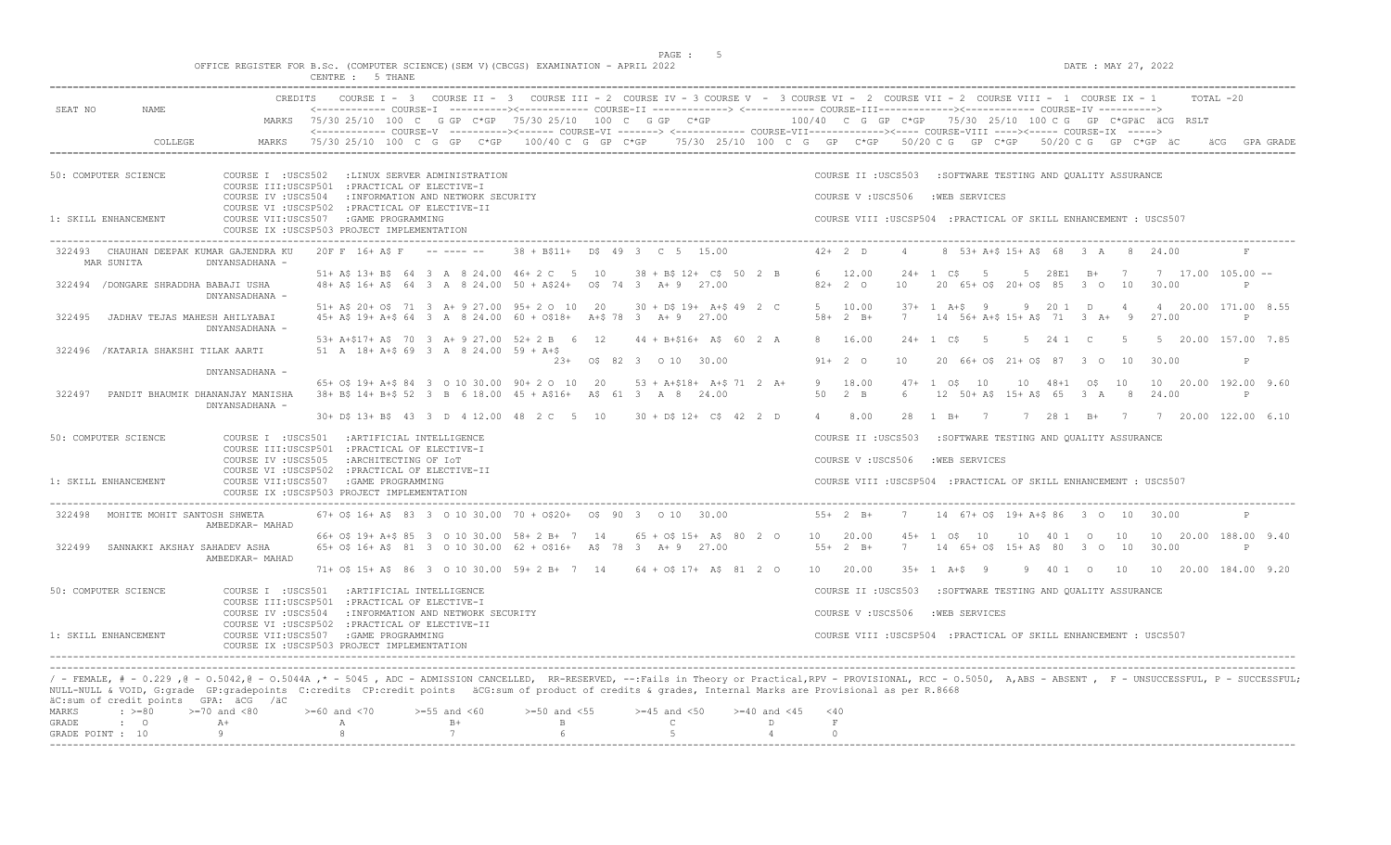OFFICE REGISTER FOR B.Sc. (COMPUTER SCIENCE)(SEM V)(CBCGS) EXAMINATION - APRIL 2022 DATE : MAY 27, 2022 DATE : MAY 27, 2022

|         |                                                       |                                                                                                                                                                                                                                                                                                                                                                               | CENTRE : 5 THANE        |                      |                                        |                                                                                                                                                                                                                                                                                                                                                               |                              |  |                |                                                                                                                       |          |                                                            |                                             |                |             |                |   |                                                             |               |  |
|---------|-------------------------------------------------------|-------------------------------------------------------------------------------------------------------------------------------------------------------------------------------------------------------------------------------------------------------------------------------------------------------------------------------------------------------------------------------|-------------------------|----------------------|----------------------------------------|---------------------------------------------------------------------------------------------------------------------------------------------------------------------------------------------------------------------------------------------------------------------------------------------------------------------------------------------------------------|------------------------------|--|----------------|-----------------------------------------------------------------------------------------------------------------------|----------|------------------------------------------------------------|---------------------------------------------|----------------|-------------|----------------|---|-------------------------------------------------------------|---------------|--|
| SEAT NO | NAME                                                  |                                                                                                                                                                                                                                                                                                                                                                               |                         |                      |                                        | CREDITS COURSE I - 3 COURSE II - 3 COURSE III - 2 COURSE IV - 3 COURSE V - 3 COURSE VI - 2 COURSE VIII - 2 COURSE VIII - 1 COURSE IX - 1<br><------------ COURSE-I ----------><------------ COURSE-II -------------> <------------ COURSE-III------------><----------- COURSE-IV ----------><br>MARKS 75/30 25/10 100 C G GP C*GP 75/30 25/10 100 C G GP C*GP |                              |  |                |                                                                                                                       |          |                                                            |                                             |                |             |                |   | $100/40$ C G GP C*GP 75/30 25/10 100 C G GP C*GPäC äCG RSLT | TOTAL -20     |  |
|         | COLLEGE                                               | MARKS                                                                                                                                                                                                                                                                                                                                                                         |                         |                      |                                        | <------------- COURSE-V ----------><----- COURSE-VI -------> <------------ COURSE-VII------------><----- COURSE-VIII ----><----- COURSE-IX -----><br>75/30 25/10 100 C G GP C*GP 100/40 C G GP C*GP 75/30 25/10 100 C G GP C*GP 50/20 C G GP C*GP 50/20 C G GP C*GP äC                                                                                        |                              |  |                |                                                                                                                       |          |                                                            |                                             |                |             |                |   |                                                             | äCG GPA GRADE |  |
|         | 50: COMPUTER SCIENCE                                  | COURSE I : USCS502 : LINUX SERVER ADMINISTRATION<br>COURSE III:USCSP501 : PRACTICAL OF ELECTIVE-I<br>COURSE IV : USCS504                                                                                                                                                                                                                                                      |                         |                      | : INFORMATION AND NETWORK SECURITY     |                                                                                                                                                                                                                                                                                                                                                               |                              |  |                | COURSE II : USCS503<br>COURSE V: USCS506                                                                              |          | : SOFTWARE TESTING AND OUALITY ASSURANCE<br>: WEB SERVICES |                                             |                |             |                |   |                                                             |               |  |
|         | 1: SKILL ENHANCEMENT                                  | COURSE VI : USCSP502 : PRACTICAL OF ELECTIVE-II<br>COURSE VII:USCS507 :GAME PROGRAMMING<br>COURSE IX : USCSP503 PROJECT IMPLEMENTATION                                                                                                                                                                                                                                        |                         |                      |                                        |                                                                                                                                                                                                                                                                                                                                                               |                              |  |                | COURSE VIII : USCSP504 : PRACTICAL OF SKILL ENHANCEMENT : USCS507                                                     |          |                                                            |                                             |                |             |                |   |                                                             |               |  |
|         | 322493 CHAUHAN DEEPAK KUMAR GAJENDRA KU<br>MAR SUNITA | DNYANSADHANA -                                                                                                                                                                                                                                                                                                                                                                | 20F F 16+ A\$ F ------- |                      |                                        | $38 + B$11 + D$493 C515.00$                                                                                                                                                                                                                                                                                                                                   |                              |  |                | $42+2$ D                                                                                                              | $\Delta$ |                                                            | 8 53+ A+\$ 15+ A\$ 68 3 A 8 24.00           |                |             |                |   |                                                             | F             |  |
|         | 322494 / DONGARE SHRADDHA BABAJI USHA                 | DNYANSADHANA -                                                                                                                                                                                                                                                                                                                                                                |                         |                      |                                        | 51+ A\$ 13+ B\$ 64 3 A 8 24.00 46+ 2 C 5 10 38 + B\$ 12+ C\$ 50 2 B<br>48+ A\$ 16+ A\$ 64 3 A 8 24.00 50 + A\$24+ 0\$ 74 3 A+ 9 27.00                                                                                                                                                                                                                         |                              |  |                | 6 12.00<br>$82+20$                                                                                                    | 10       | $24+1$ CS                                                  | 5<br>20 65+ 0\$ 20+ 0\$ 85 3 0 10           |                | 5 28E1 B+ 7 |                |   | $7$ 17.00 105.00 --<br>30.00                                | P             |  |
| 322495  | JADHAV TEJAS MAHESH AHILYABAI                         | DNYANSADHANA -                                                                                                                                                                                                                                                                                                                                                                |                         |                      |                                        | 51+ A\$ 20+ O\$ 71 3 A+ 9 27.00 95+ 2 O 10 20<br>45+ A\$ 19+ A+\$ 64 3 A 8 24.00 60 + 0\$18+ A+\$ 78 3 A+ 9 27.00                                                                                                                                                                                                                                             | $30 + D$$ $19+ A+$$ $49$ 2 C |  |                | 5 10.00<br>$58 + 2 B +$                                                                                               | 7        | $37+1$ A+\$ 9                                              | 14 56+ A+\$ 15+ A\$ 71 3 A+ 9               |                | 9 20 1 D    | $\overline{4}$ |   | 4 20.00 171.00 8.55<br>27.00                                | P.            |  |
|         | 322496 / KATARIA SHAKSHI TILAK AARTI                  |                                                                                                                                                                                                                                                                                                                                                                               |                         |                      | 51 A 18+ A+\$ 69 3 A 8 24.00 59 + A+\$ | 53+ A+\$17+ A\$ 70 3 A+ 9 27.00 52+ 2 B 6 12 44 + B+\$16+ A\$ 60 2 A                                                                                                                                                                                                                                                                                          | 23+ 0\$ 82 3 0 10 30.00      |  |                | 8 16.00<br>$91+ 2 0$                                                                                                  | 10       | $24+1$ C\$                                                 | $5^{\circ}$<br>20 66+ 0\$ 21+ 0\$ 87 3 0 10 |                | 5 24 1 C    | $5^{\circ}$    |   | 5 20.00 157.00 7.85<br>30.00                                | P             |  |
| 322497  |                                                       | DNYANSADHANA -<br>PANDIT BHAUMIK DHANANJAY MANISHA<br>DNYANSADHANA -                                                                                                                                                                                                                                                                                                          |                         |                      |                                        | 65+ 0\$ 19+ A+\$ 84 3 0 10 30.00 90+ 2 0 10 20 53 + A+\$18+ A+\$ 71 2 A+<br>38+ B\$ 14+ B+\$ 52 3 B 6 18.00 45 + A\$16+ A\$ 61 3 A 8 24.00                                                                                                                                                                                                                    |                              |  |                | 9 18.00<br>50 2 B                                                                                                     | 6        | $47 + 1$ $05$ $10$                                         | 12 50+ A\$ 15+ A\$ 65 3 A                   | 10 48+1 0\$ 10 |             |                | 8 | 10 20.00 192.00 9.60<br>24.00                               | $\mathbb{P}$  |  |
|         | 50: COMPUTER SCIENCE<br>1: SKILL ENHANCEMENT          | COURSE I : USCS501 : ARTIFICIAL INTELLIGENCE<br>COURSE III:USCSP501 : PRACTICAL OF ELECTIVE-I<br>COURSE IV : USCS505<br>COURSE VI : USCSP502 : PRACTICAL OF ELECTIVE-II<br>COURSE VII:USCS507 : GAME PROGRAMMING<br>COURSE IX : USCSP503 PROJECT IMPLEMENTATION                                                                                                               |                         | :ARCHITECTING OF IOT |                                        | 30+ D\$ 13+ B\$ 43 3 D 4 12.00 48 2 C 5 10 30 + D\$ 12+ C\$ 42 2 D                                                                                                                                                                                                                                                                                            |                              |  | $\overline{4}$ | 8.00<br>COURSE II : USCS503<br>COURSE V: USCS506<br>COURSE VIII : USCSP504 : PRACTICAL OF SKILL ENHANCEMENT : USCS507 |          | : SOFTWARE TESTING AND QUALITY ASSURANCE<br>:WEB SERVICES  |                                             |                |             |                |   | 28 1 B+ 7 7 28 1 B+ 7 7 20.00 122.00 6.10                   |               |  |
|         | 322498 MOHITE MOHIT SANTOSH SHWETA                    | AMBEDKAR- MAHAD                                                                                                                                                                                                                                                                                                                                                               |                         |                      |                                        | $67+$ OS 16+ AS 83 3 0 10 30.00 70 + OS20+ 0S 90 3 0 10 30.00                                                                                                                                                                                                                                                                                                 |                              |  |                | $55+2 B+$                                                                                                             |          | 7 14 67+ 0\$ 19+ A+\$ 86 3 0 10 30.00                      |                                             |                |             |                |   |                                                             | $\mathbb{P}$  |  |
| 322499  | SANNAKKI AKSHAY SAHADEV ASHA                          | AMBEDKAR- MAHAD                                                                                                                                                                                                                                                                                                                                                               |                         |                      |                                        | 66+ 0\$ 19+ A+\$ 85 3 0 10 30.00 58+ 2 B+ 7 14 65 + 0\$ 15+ A\$ 80 2 0 10 20.00<br>65+ 0\$ 16+ A\$ 81 3 0 10 30.00 62 + 0\$16+ A\$ 78 3 A+ 9 27.00                                                                                                                                                                                                            |                              |  |                | $55+2 B+$                                                                                                             | 7        | 45+ 1 0\$ 10<br>14 65+ 0\$ 15+ A\$ 80 3 0 10               |                                             | 10 40 1 0 10   |             |                |   | 10 20.00 188.00 9.40<br>30.00                               | $\mathbb{P}$  |  |
|         | 50: COMPUTER SCIENCE                                  | COURSE I : USCS501 : ARTIFICIAL INTELLIGENCE<br>COURSE III:USCSP501 : PRACTICAL OF ELECTIVE-I                                                                                                                                                                                                                                                                                 |                         |                      |                                        | 71+ 0\$ 15+ A\$ 86 3 0 10 30.00 59+ 2 B+ 7 14 64 + 0\$ 17+ A\$ 81 2 0                                                                                                                                                                                                                                                                                         |                              |  | 10 20.00       | COURSE II : USCS503                                                                                                   |          | $35+1$ $A+S$ 9                                             | :SOFTWARE TESTING AND QUALITY ASSURANCE     |                |             |                |   | 9 40 1 0 10 10 20.00 184.00 9.20                            |               |  |
|         | 1: SKILL ENHANCEMENT                                  | COURSE IV : USCS504<br>COURSE VI : USCSP502 : PRACTICAL OF ELECTIVE-II<br>COURSE VII:USCS507 : GAME PROGRAMMING<br>COURSE IX : USCSP503 PROJECT IMPLEMENTATION                                                                                                                                                                                                                |                         |                      | : INFORMATION AND NETWORK SECURITY     |                                                                                                                                                                                                                                                                                                                                                               |                              |  |                | COURSE V : USCS506<br>COURSE VIII : USCSP504 : PRACTICAL OF SKILL ENHANCEMENT : USCS507                               |          | :WEB SERVICES                                              |                                             |                |             |                |   |                                                             |               |  |
|         | äC:sum of credit points GPA: äCG /äC                  | / - FEMALE, # - 0.229,0 - 0.5042,0 - 0.5044A,* - 5045, ADC - ADMISSION CANCELLED, RR-RESERVED, --:Fails in Theory or Practical,RPV - PROVISIONAL, RCC - 0.5050, A,ABS - ABSENT, F - UNSUCCESSFUL, P - SUCCESSFUL;<br>NULL-NULL & VOID, G:grade GP:gradepoints C:credits CP:credit points äCG:sum of product of credits & grades, Internal Marks are Provisional as per R.8668 |                         |                      |                                        |                                                                                                                                                                                                                                                                                                                                                               |                              |  |                |                                                                                                                       |          |                                                            |                                             |                |             |                |   |                                                             |               |  |

|           | avigam vi cicale pointe - chni ace / ac |                                                                                                |               |  |  |  |  |
|-----------|-----------------------------------------|------------------------------------------------------------------------------------------------|---------------|--|--|--|--|
|           |                                         | MARKS : >=80 >=70 and <80 >=60 and <70 >=55 and <60 >=50 and <55 >=45 and <50 >=40 and <45 <40 |               |  |  |  |  |
| GRADE : 0 |                                         |                                                                                                | $B +$ $B$ $C$ |  |  |  |  |
|           |                                         | GRADE POINT : $10$ 9 8 8 7 6 6 5 5                                                             |               |  |  |  |  |
|           |                                         |                                                                                                |               |  |  |  |  |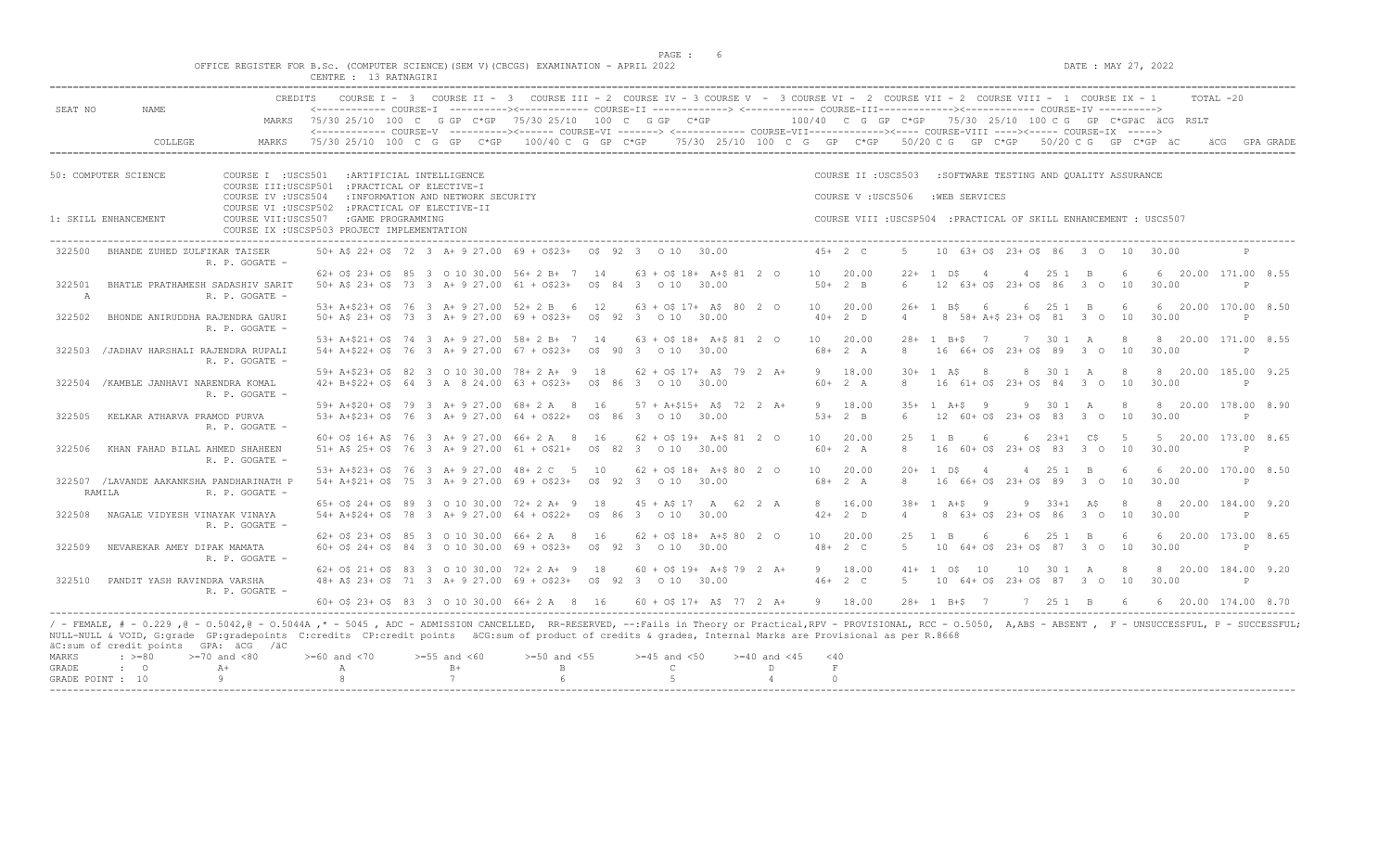$DATA: MAX 27, 2022$ 

|  |  |  |                       |  | OFFICE REGISTER FOR B.Sc. (COMPUTER SCIENCE)(SEM V)(CBCGS) EXAMINATION - APRIL 2022 |  |  |
|--|--|--|-----------------------|--|-------------------------------------------------------------------------------------|--|--|
|  |  |  | CENTRE : 13 RATNAGIRI |  |                                                                                     |  |  |

|              |                                                    | <b>CREDITS</b>                                                         |                        |  |                                    |        | COURSE I - 3 COURSE II - 3 COURSE III - 2 COURSE IV - 3 COURSE V - 3 COURSE VI - 2 COURSE VII - 2 COURSE VIII - 1 COURSE IX - 1                                                                                                                                                                                                                                    |    |  |                             |                                  |    |                                                                   |                |                   |                    |                                         |          |             |         |       |                                                           | TOTAL -20    |              |
|--------------|----------------------------------------------------|------------------------------------------------------------------------|------------------------|--|------------------------------------|--------|--------------------------------------------------------------------------------------------------------------------------------------------------------------------------------------------------------------------------------------------------------------------------------------------------------------------------------------------------------------------|----|--|-----------------------------|----------------------------------|----|-------------------------------------------------------------------|----------------|-------------------|--------------------|-----------------------------------------|----------|-------------|---------|-------|-----------------------------------------------------------|--------------|--------------|
| SEAT NO      | NAME                                               |                                                                        |                        |  |                                    |        | <------------ COURSE-I ----------><----------- COURSE-II -------------> <------------ COURSE-III------------><----------- COURSE-IV ----------><br>MARKS 75/30 25/10 100 C G GP C*GP 75/30 25/10 100 C G GP C*GP<br><------------- COURSE-V ----------><----- COURSE-VI -------> <----------- COURSE-VII-----------><---- COURSE-VIII ----><----- COURSE-IX -----> |    |  |                             |                                  |    |                                                                   |                |                   |                    |                                         |          |             |         |       | 100/40 C G GP C*GP 75/30 25/10 100 C G GP C*GPäC äCG RSLT |              |              |
|              | COLLEGE                                            | MARKS                                                                  | 75/30 25/10 100 C G GP |  |                                    | $C*GP$ | $100/40$ C G GP C*GP $-75/30$ 25/10 $100$ C G GP C*GP $-50/20$ C G GP C*GP $-50/20$ C G GP C*GP äC                                                                                                                                                                                                                                                                 |    |  |                             |                                  |    |                                                                   |                |                   |                    |                                         |          |             |         |       |                                                           |              | GPA GRADE    |
|              | 50: COMPUTER SCIENCE                               | COURSE I : USCS501                                                     |                        |  | : ARTIFICIAL INTELLIGENCE          |        |                                                                                                                                                                                                                                                                                                                                                                    |    |  |                             |                                  |    | COURSE II : USCS503                                               |                |                   |                    |                                         |          |             |         |       |                                                           |              |              |
|              |                                                    | COURSE III:USCSP501 : PRACTICAL OF ELECTIVE-I                          |                        |  |                                    |        |                                                                                                                                                                                                                                                                                                                                                                    |    |  |                             |                                  |    |                                                                   |                |                   |                    | :SOFTWARE TESTING AND OUALITY ASSURANCE |          |             |         |       |                                                           |              |              |
|              |                                                    | COURSE IV : USCS504<br>COURSE VI : USCSP502 : PRACTICAL OF ELECTIVE-II |                        |  | : INFORMATION AND NETWORK SECURITY |        |                                                                                                                                                                                                                                                                                                                                                                    |    |  |                             |                                  |    | COURSE V: USCS506                                                 |                |                   | :WEB SERVICES      |                                         |          |             |         |       |                                                           |              |              |
|              | 1: SKILL ENHANCEMENT                               | COURSE VII:USCS507<br>COURSE IX : USCSP503 PROJECT IMPLEMENTATION      | : GAME PROGRAMMING     |  |                                    |        |                                                                                                                                                                                                                                                                                                                                                                    |    |  |                             |                                  |    | COURSE VIII : USCSP504 : PRACTICAL OF SKILL ENHANCEMENT : USCS507 |                |                   |                    |                                         |          |             |         |       |                                                           |              |              |
| 322500       | BHANDE ZUHED ZULFIKAR TAISER                       | R. P. GOGATE -                                                         |                        |  |                                    |        | 50 + A\$ 22 + O\$ 72 3 A + 9 27.00 69 + O\$ 23 + O\$ 92 3 0 10 30.00                                                                                                                                                                                                                                                                                               |    |  |                             |                                  |    | $45+2$ C                                                          |                |                   |                    | 10 63+ 0\$ 23+ 0\$ 86 3 0 10 30.00      |          |             |         |       |                                                           | $\mathbb{P}$ |              |
| 322501       | BHATLE PRATHAMESH SADASHIV SARIT                   |                                                                        |                        |  |                                    |        | 62+ 0\$ 23+ 0\$ 85 3 0 10 30.00 56+ 2 B+ 7 14 63 + 0\$ 18+ A+\$ 81 2 0<br>50+ A\$ 23+ O\$ 73 3 A+ 9 27.00 61 + O\$23+ 0\$ 84 3 0 10 30.00                                                                                                                                                                                                                          |    |  |                             |                                  |    | 10 20.00<br>$50+2$ B                                              | 6              | $22 + 1$ DS       | $\overline{4}$     | 12 63+ 0\$ 23+ 0\$ 86 3 0 10            | 4 25 1 B |             | - 6     | 30.00 | 6 20.00 171.00 8.55                                       | P            |              |
| $\mathbb{A}$ |                                                    | R. P. GOGATE -                                                         |                        |  |                                    |        |                                                                                                                                                                                                                                                                                                                                                                    |    |  |                             |                                  |    |                                                                   |                |                   |                    |                                         |          |             |         |       |                                                           |              |              |
| 322502       | BHONDE ANIRUDDHA RAJENDRA GAURI                    |                                                                        |                        |  |                                    |        | 53+ A+\$23+ O\$ 76 3 A+ 9 27.00 52+ 2 B 6 12<br>50+ A\$ 23+ O\$ 73 3 A+ 9 27.00 69 + O\$23+ O\$ 92 3 0 10 30.00                                                                                                                                                                                                                                                    |    |  | $63 + 05$ 17+ A\$ 80 2 0    |                                  | 10 | 20.00<br>$40+2$ D                                                 | $\overline{4}$ | $26+1$ BS         | -6                 | 8 58+ A+\$ 23+ 0\$ 81 3 0               | 6 25 1 B |             | 6<br>10 | 30.00 | 6 20.00 170.00 8.50                                       | $\mathbb{P}$ |              |
|              |                                                    | R. P. GOGATE -                                                         |                        |  |                                    |        |                                                                                                                                                                                                                                                                                                                                                                    |    |  |                             |                                  |    |                                                                   |                |                   |                    |                                         |          |             |         |       |                                                           |              |              |
| 322503       | /JADHAV HARSHALI RAJENDRA RUPALI                   |                                                                        |                        |  |                                    |        | 53+ A+\$21+ O\$ 74 3 A+ 9 27.00 58+ 2 B+ 7 14<br>$54+ A+522+ O5$ 76 3 A + 9 27.00 67 + 0523 + 05 90 3 0 10 30.00                                                                                                                                                                                                                                                   |    |  | $63 + 05$ 18+ A+\$ 81 2 0   |                                  |    | 10 20.00<br>$68 + 2 A$                                            | 8              |                   | $28 + 1$ B + $5$ 7 | 16 66+ 0\$ 23+ 0\$ 89 3 0 10            |          | 7 30 1 A    | 8       | 30.00 | 8 20.00 171.00 8.55                                       |              | P            |
|              |                                                    | R. P. GOGATE -                                                         |                        |  |                                    |        |                                                                                                                                                                                                                                                                                                                                                                    |    |  |                             |                                  |    |                                                                   |                |                   |                    |                                         |          |             |         |       |                                                           |              |              |
| 322504       | /KAMBLE JANHAVI NARENDRA KOMAL                     |                                                                        |                        |  |                                    |        | 59+ A+\$23+ O\$ 82 3 O 10 30.00 78+ 2 A+ 9 18 62 + O\$ 17+ A\$ 79 2 A+<br>42+ B+\$22+ 0\$ 64 3 A 8 24.00 63 + 0\$23+ 0\$ 86 3 0 10 30.00                                                                                                                                                                                                                           |    |  |                             |                                  |    | 9 18.00<br>$60+2 A$                                               | 8              | $30 + 1$ AS       | 8 <sup>8</sup>     | 16 61+ 0\$ 23+ 0\$ 84 3 0 10            |          | 8 30 1 A    | 8       | 30.00 | 8 20.00 185.00 9.25                                       | $\mathbb{P}$ |              |
|              |                                                    | R. P. GOGATE -                                                         |                        |  |                                    |        |                                                                                                                                                                                                                                                                                                                                                                    |    |  |                             |                                  |    |                                                                   |                |                   |                    |                                         |          |             |         |       |                                                           |              |              |
| 322505       | KELKAR ATHARVA PRAMOD PURVA                        |                                                                        |                        |  |                                    |        | 59+ A+\$20+ O\$ 79 3 A+ 9 27.00 68+ 2 A 8 16 57 + A+\$15+ A\$ 72 2 A+<br>53+ A+\$23+ O\$ 76 3 A+ 9 27.00 64 + O\$22+ O\$ 86 3 0 10 30.00                                                                                                                                                                                                                           |    |  |                             |                                  |    | 9 18.00<br>$53+2$ B                                               | $6^{\circ}$    | $35+1$ $A+S$ 9    |                    | 12 60+ 0\$ 23+ 0\$ 83 3 0 10            |          | 9 30 1 A    | -8      | 30.00 | 8 20.00 178.00 8.90                                       | P            |              |
|              |                                                    | R. P. GOGATE -                                                         |                        |  |                                    |        |                                                                                                                                                                                                                                                                                                                                                                    |    |  |                             |                                  |    |                                                                   |                |                   |                    |                                         |          |             |         |       |                                                           |              |              |
|              |                                                    |                                                                        |                        |  |                                    |        | $60+$ OS 16+ AS 76 3 A+ 9 27.00 66+ 2 A 8                                                                                                                                                                                                                                                                                                                          | 16 |  | $62 + 05$ 19+ A+\$ 81 2 0   |                                  | 10 | 20.00                                                             | 25             | $1 \quad B$       | 6                  | 6                                       |          | $23+1$ $C5$ | - 5     |       | 5 20.00 173.00 8.65                                       |              |              |
| 322506       | KHAN FAHAD BILAL AHMED SHAHEEN                     | R. P. GOGATE -                                                         |                        |  |                                    |        | 51+ A\$ 25+ O\$ 76 3 A+ 9 27.00 61 + O\$21+ 0\$ 82 3 0 10 30.00                                                                                                                                                                                                                                                                                                    |    |  |                             |                                  |    | $60+2 A$                                                          | 8              |                   |                    | 16 60+ 0\$ 23+ 0\$ 83 3 0 10 30.00      |          |             |         |       |                                                           | $\mathbb{P}$ |              |
|              |                                                    |                                                                        |                        |  |                                    |        | 53+ A+\$23+ O\$ 76 3 A+ 9 27.00 48+ 2 C 5 10 62 + O\$ 18+ A+\$ 80 2 0                                                                                                                                                                                                                                                                                              |    |  |                             |                                  |    | 10 20.00                                                          |                | $20 + 1$ DS       | $\overline{4}$     |                                         | 4 25 1 B |             | 6       |       | 6 20.00 170.00 8.50                                       |              |              |
|              | 322507 /LAVANDE AAKANKSHA PANDHARINATH P<br>RAMILA | R. P. GOGATE -                                                         |                        |  |                                    |        | 54+ A+\$21+ O\$ 75 3 A+ 9 27.00 69 + O\$23+ 0\$ 92 3 0 10 30.00                                                                                                                                                                                                                                                                                                    |    |  |                             |                                  |    | $68 + 2 A$                                                        | $\mathcal{R}$  |                   |                    | 16 66+ 0\$ 23+ 0\$ 89 3 0               |          |             | 10      | 30.00 |                                                           | P            |              |
|              |                                                    |                                                                        |                        |  |                                    |        | 65+ 0\$ 24+ 0\$ 89 3 0 10 30.00 72+ 2 A+ 9 18 45 + A\$ 17 A 62 2 A                                                                                                                                                                                                                                                                                                 |    |  |                             |                                  |    | 8 16.00                                                           |                |                   | $38 + 1 A + S$ 9   |                                         |          | 9 33+1 A\$  | - 8     |       | 8 20.00 184.00 9.20                                       |              |              |
| 322508       | NAGALE VIDYESH VINAYAK VINAYA                      | R. P. GOGATE -                                                         |                        |  |                                    |        | 54+ A+\$24+ O\$ 78 3 A+ 9 27.00 64 + O\$22+ 0\$ 86 3 0 10 30.00                                                                                                                                                                                                                                                                                                    |    |  |                             |                                  |    | $42+2$ D                                                          | $\overline{4}$ |                   |                    | 8 63+ 0\$ 23+ 0\$ 86 3 0 10             |          |             |         | 30.00 |                                                           | P            |              |
| 322509       | NEVAREKAR AMEY DIPAK MAMATA                        |                                                                        |                        |  |                                    |        | 62+ 0\$ 23+ 0\$ 85 3 0 10 30.00 66+ 2 A 8<br>$60+$ 0\$ 24+ 0\$ 84 3 0 10 30,00 69 + 0\$23+ 0\$ 92 3 0 10 30,00                                                                                                                                                                                                                                                     | 16 |  | $62 + 0$ \$ 18+ A+\$ 80 2 0 |                                  | 10 | 20.00<br>$48 + 2 C$                                               | 25<br>$5 -$    | $\mathbb{R}$      | -6                 | 10 64+ 0\$ 23+ 0\$ 87 3 0 10            | 6 25 1 B |             | 6       | 30.00 | 6 20.00 173.00 8.65                                       | $\mathsf{P}$ |              |
|              |                                                    | R. P. GOGATE -                                                         |                        |  |                                    |        |                                                                                                                                                                                                                                                                                                                                                                    |    |  |                             |                                  |    |                                                                   |                |                   |                    |                                         |          |             |         |       |                                                           |              |              |
|              |                                                    |                                                                        |                        |  |                                    |        | 62+ 0\$ 21+ 0\$ 83 3 0 10 30.00 72+ 2 A+ 9 18                                                                                                                                                                                                                                                                                                                      |    |  | $60 + 05$ 19+ A+\$ 79 2 A+  |                                  |    | 9 18.00                                                           |                | $41+ 1$ $05$ $10$ |                    |                                         |          | 10 30 1 A   | 8       |       | 8 20.00 184.00 9.20                                       |              |              |
| 322510       | PANDIT YASH RAVINDRA VARSHA                        | R. P. GOGATE -                                                         |                        |  |                                    |        | 48+ A\$ 23+ O\$ 71 3 A+ 9 27.00 69 + O\$23+ O\$ 92 3 0 10 30.00                                                                                                                                                                                                                                                                                                    |    |  |                             |                                  |    | $46+2$ C                                                          | 5              |                   |                    | 10 64+ 0\$ 23+ 0\$ 87 3 0 10            |          |             |         | 30.00 |                                                           |              | $\mathbb{P}$ |
|              |                                                    |                                                                        |                        |  |                                    |        | 60+ OS 23+ OS 83 3 O 10 30.00 66+ 2 A 8 16                                                                                                                                                                                                                                                                                                                         |    |  |                             | $60 + 05$ 17+ AS 77 2 A+ 9 18.00 |    |                                                                   |                |                   | $28 + 1$ R+S 7     |                                         |          | 7 25 1 B 6  |         |       | 6 20.00 174.00 8.70                                       |              |              |

/ - FEMALE, # - 0.229 ,@ - 0.5042,@ - 0.5044A ,\* - 5045 , ADC - ADMISSION CANCELLED, RR-RESERVED, --:Fails in Theory or Practical,RPV - PROVISIONAL, RCC - 0.5050, A,ABS - ABSENT , F - UNSUCCESSFUL, P - SUCCESSFUL; NULL-NULL & VOID, G:grade GP:gradepoints C:credits CP:credit points äCG:sum of product of credits & grades, Internal Marks are Provisional as per R.8668 äC:sum of credit points GPA: äCG /äC

|  | MARKS : >=80 >=70 and <80 >=60 and <70 >=55 and <60 >=50 and <55 >=45 and <50 >=40 and <45 <40 |            |  |  |  |
|--|------------------------------------------------------------------------------------------------|------------|--|--|--|
|  | GRADE : O A+                                                                                   | A B+ B C D |  |  |  |
|  | GRADE POINT : $10$ 9 8 7 6 5 5 4 0                                                             |            |  |  |  |
|  |                                                                                                |            |  |  |  |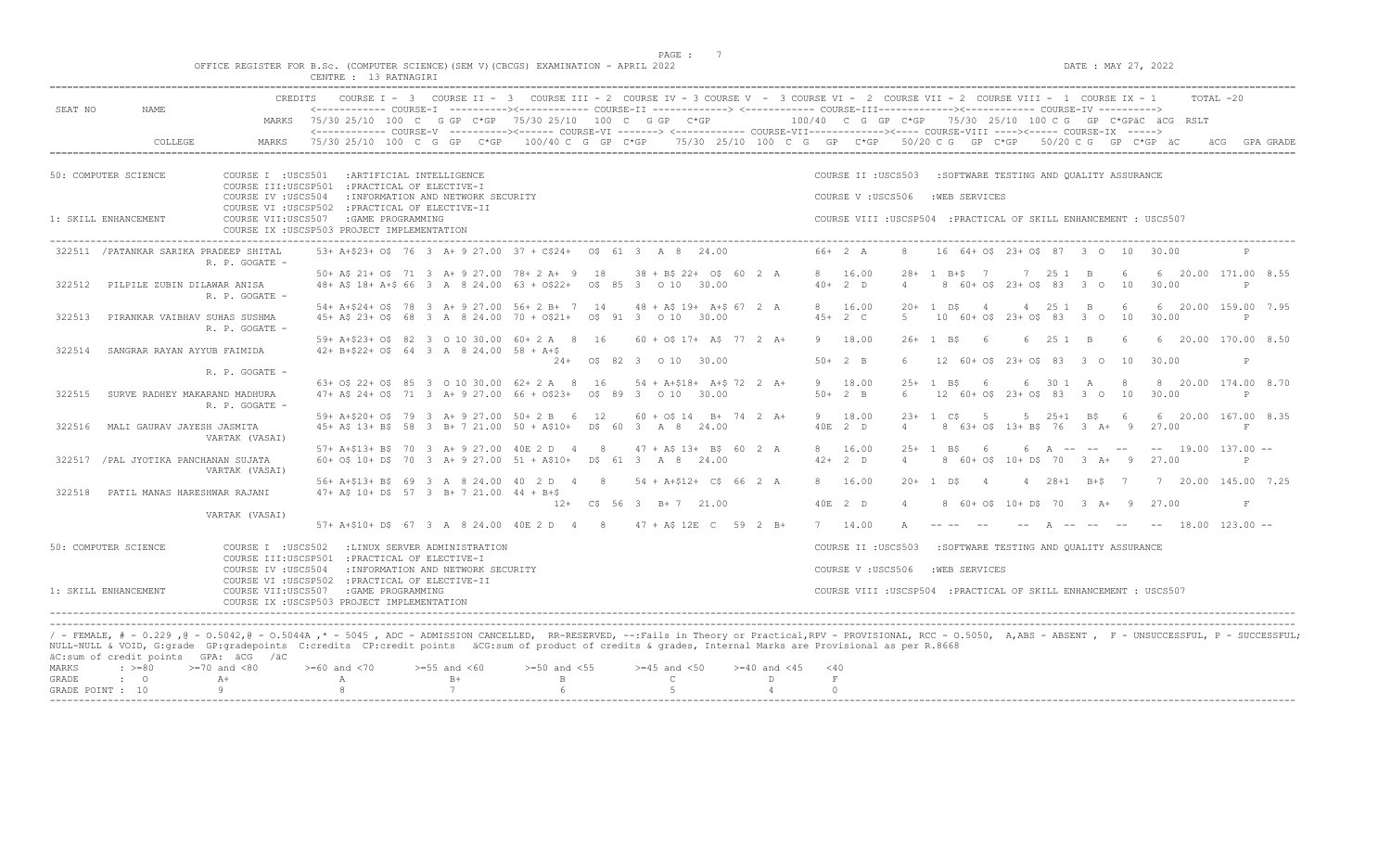$DATA: MAX 27, 2022$ 

|  | OFFICE REGISTER FOR B.Sc. |                               |  |              |  | . (COMPUTER SCIENCE)(SEM V)(CBCGS) EXAMINATION - APRIL 2022 |  |  |
|--|---------------------------|-------------------------------|--|--------------|--|-------------------------------------------------------------|--|--|
|  |                           | $C$ ENTRE $\cdot$<br>-------- |  | 13 RATNAGIRI |  |                                                             |  |  |

| SEAT NO | NAME.                                                                                                                                                                                                                                                                                                                                                                                                                          | <b>CREDITS</b>                                                                                                                                                 |  |                                    | COURSE I - 3 COURSE II - 3 COURSE III - 2 COURSE IV - 3 COURSE V - 3 COURSE VI - 2 COURSE VII - 2 COURSE VIII - 1 COURSE IX - 1<br><------------ COURSE-I ----------><----------- COURSE-II --------------> <------------ COURSE-III-------------><------------ COURSE-IV ----------> |                           |  |                           |          |                                                                                        |                |            |                 |                                         |          |                      |   |                                                             | TOTAL -20 |           |
|---------|--------------------------------------------------------------------------------------------------------------------------------------------------------------------------------------------------------------------------------------------------------------------------------------------------------------------------------------------------------------------------------------------------------------------------------|----------------------------------------------------------------------------------------------------------------------------------------------------------------|--|------------------------------------|---------------------------------------------------------------------------------------------------------------------------------------------------------------------------------------------------------------------------------------------------------------------------------------|---------------------------|--|---------------------------|----------|----------------------------------------------------------------------------------------|----------------|------------|-----------------|-----------------------------------------|----------|----------------------|---|-------------------------------------------------------------|-----------|-----------|
|         |                                                                                                                                                                                                                                                                                                                                                                                                                                |                                                                                                                                                                |  |                                    | MARKS 75/30 25/10 100 C G GP C*GP 75/30 25/10 100 C G GP C*GP 100/40 C G GP C*GP 75/30 25/10 100 C G GP C*GPäC äCG RSLT                                                                                                                                                               |                           |  |                           |          |                                                                                        |                |            |                 |                                         |          |                      |   |                                                             |           |           |
|         | COLLEGE                                                                                                                                                                                                                                                                                                                                                                                                                        | MARKS                                                                                                                                                          |  |                                    | <------------- COURSE-V ----------><----- COURSE-VI -------> <----------- COURSE-VII-----------><---- COURSE-VIII ----><----- COURSE-IX -----><br>75/30 25/10 100 C G GP C*GP 100/40 C G GP C*GP 75/30 25/10 100 C G GP C*GP 50/20 C G GP C*GP 50/20 C G GP C*GP äC                   |                           |  |                           |          |                                                                                        |                |            |                 |                                         |          |                      |   |                                                             |           | GPA GRADE |
|         | 50: COMPUTER SCIENCE                                                                                                                                                                                                                                                                                                                                                                                                           | COURSE I : USCS501 : ARTIFICIAL INTELLIGENCE<br>COURSE III:USCSP501 : PRACTICAL OF ELECTIVE-I<br>COURSE IV : USCS504                                           |  | : INFORMATION AND NETWORK SECURITY |                                                                                                                                                                                                                                                                                       |                           |  |                           |          | COURSE II : USCS503 : SOFTWARE TESTING AND QUALITY ASSURANCE<br>COURSE V: USCS506      |                |            | : WEB SERVICES  |                                         |          |                      |   |                                                             |           |           |
|         | 1: SKILL ENHANCEMENT                                                                                                                                                                                                                                                                                                                                                                                                           | COURSE VI : USCSP502 : PRACTICAL OF ELECTIVE-II<br>COURSE VII:USCS507 :GAME PROGRAMMING<br>COURSE IX : USCSP503 PROJECT IMPLEMENTATION                         |  |                                    |                                                                                                                                                                                                                                                                                       |                           |  |                           |          | COURSE VIII : USCSP504 : PRACTICAL OF SKILL ENHANCEMENT : USCS507                      |                |            |                 |                                         |          |                      |   |                                                             |           |           |
|         | 322511 / PATANKAR SARIKA PRADEEP SHITAL                                                                                                                                                                                                                                                                                                                                                                                        | R. P. GOGATE -                                                                                                                                                 |  |                                    | 53+ A+\$23+ O\$ 76 3 A+ 9 27.00 37 + C\$24+ 0\$ 61 3 A 8 24.00                                                                                                                                                                                                                        |                           |  |                           | 66+ 2 A  |                                                                                        |                |            |                 | 16 64 + 0\$ 23 + 0\$ 87 3 0 10 30.00    |          |                      |   |                                                             |           |           |
| 322512  | PILPILE ZUBIN DILAWAR ANISA                                                                                                                                                                                                                                                                                                                                                                                                    | R. P. GOGATE -                                                                                                                                                 |  |                                    | 50+ A\$ 21+ O\$ 71 3 A+ 9 27.00 78+ 2 A+ 9 18 38 + B\$ 22+ O\$ 60 2 A<br>48+ A\$ 18+ A+\$ 66 3 A 8 24.00 63 + 0\$22+ 0\$ 85 3 0 10 30.00                                                                                                                                              |                           |  |                           | $40+2$ D | 8 16.00                                                                                | $\overline{4}$ |            | 28+ 1 B+\$ 7    | 8 60+ 0\$ 23+ 0\$ 83 3 0 10             |          | 7 25 1 B 6           |   | 6 20.00 171.00 8.55<br>30.00                                | P         |           |
| 322513  | PIRANKAR VAIBHAV SUHAS SUSHMA                                                                                                                                                                                                                                                                                                                                                                                                  | R. P. GOGATE -                                                                                                                                                 |  |                                    | 54+ A+\$24+ O\$ 78 3 A+ 9 27.00 56+ 2 B+ 7 14 48 + A\$ 19+ A+\$ 67 2 A<br>45+ A\$ 23+ O\$ 68 3 A 8 24.00 70 + O\$21+ 0\$ 91 3 0 10 30.00                                                                                                                                              |                           |  |                           | $45+2$ C | 8 16.00                                                                                | $5 -$          | $20+1$ DS  | $\sim$ 4        | 10 60+ 0\$ 23+ 0\$ 83 3 0 10            |          | 4 25 1 B 6           |   | 6 20.00 159.00 7.95<br>30.00                                |           |           |
| 322514  | SANGRAR RAYAN AYYUB FAIMIDA                                                                                                                                                                                                                                                                                                                                                                                                    |                                                                                                                                                                |  |                                    | 59+ A+\$23+ O\$ 82 3 0 10 30.00 60+ 2 A 8 16 60 + O\$ 17+ A\$ 77 2 A+<br>$42+ B+522+ O5 64 3 A 8 24.00 58 + A+5$                                                                                                                                                                      | 24+ 0\$ 82 3 0 10 30.00   |  |                           | $50+2$ B | 9 18.00                                                                                | $6^{\circ}$    | $26+1$ BS  | 6               | 12 60+ 0\$ 23+ 0\$ 83 3 0 10            | 6 25 1 B |                      | 6 | 6 20.00 170.00 8.50<br>30.00                                | P         |           |
| 322515  | SURVE RADHEY MAKARAND MADHURA                                                                                                                                                                                                                                                                                                                                                                                                  | R. P. GOGATE -                                                                                                                                                 |  |                                    | 63+ 0\$ 22+ 0\$ 85 3 0 10 30.00 62+ 2 A 8 16 54 + A+\$18+ A+\$ 72 2 A+<br>47+ A\$ 24+ O\$ 71 3 A+ 9 27.00 66 + O\$23+ 0\$ 89 3 0 10 30.00                                                                                                                                             |                           |  |                           | $50+2$ B | 9 18.00                                                                                |                | $25+1$ RS  | $6\overline{6}$ | 6 12 60+ 0\$ 23+ 0\$ 83 3 0 10 30.00    |          | 6 30 1 A 8           |   | 8 20.00 174.00 8.70                                         | P         |           |
|         |                                                                                                                                                                                                                                                                                                                                                                                                                                | R. P. GOGATE -                                                                                                                                                 |  |                                    | 59+ A+\$20+ O\$ 79 3 A+ 9 27.00 50+ 2 B 6 12                                                                                                                                                                                                                                          |                           |  | $60 + 05$ 14 B + 74 2 A + | 9 18.00  |                                                                                        |                | $23+1$ CS  | 5               |                                         |          | $5 \t25+1 \tB5$ 6    |   | 6 20.00 167.00 8.35                                         |           |           |
| 322516  | MALI GAURAV JAYESH JASMITA                                                                                                                                                                                                                                                                                                                                                                                                     | VARTAK (VASAI)                                                                                                                                                 |  |                                    | 45+ A\$ 13+ B\$ 58 3 B+ 7 21.00 50 + A\$10+ D\$ 60 3 A 8 24.00<br>57+ A+\$13+ B\$ 70 3 A+ 9 27.00 40E 2 D 4 8 47 + A\$ 13+ B\$ 60 2 A                                                                                                                                                 |                           |  |                           | 40E 2 D  | 8 16.00                                                                                | $\overline{4}$ | $2.5+1$ RS | $6\overline{6}$ | 8 63+ 0\$ 13+ B\$ 76 3 A+ 9 27.00       |          |                      |   | 6 A -- -- -- -- 19.00 137.00 --                             | F         |           |
|         | 322517 / PAL JYOTIKA PANCHANAN SUJATA                                                                                                                                                                                                                                                                                                                                                                                          | VARTAK (VASAI)                                                                                                                                                 |  |                                    | 60+ 0\$ 10+ D\$ 70 3 A+ 9 27.00 51 + A\$10+ D\$ 61 3 A 8 24.00<br>56+ A+\$13+ B\$ 69 3 A 8 24.00 40 2 D 4 8 54 + A+\$12+ C\$ 66 2 A                                                                                                                                                   |                           |  |                           | $42+2$ D | 8 16.00                                                                                | $\overline{4}$ | $20+1$ DS  | $\overline{4}$  |                                         |          | $4 \t28+1 \tB+5 \t7$ |   | 8 60 + 0\$ 10 + D\$ 70 3 A + 9 27.00<br>7 20.00 145.00 7.25 | P         |           |
| 322518  | PATIL MANAS HARESHWAR RAJANI                                                                                                                                                                                                                                                                                                                                                                                                   |                                                                                                                                                                |  |                                    | $47+$ A\$ 10+ D\$ 57 3 B+ 7 21.00 44 + B+\$                                                                                                                                                                                                                                           | $12+$ C\$ 56 3 B+ 7 21.00 |  |                           | 40E 2 D  |                                                                                        | $\overline{4}$ |            |                 |                                         |          |                      |   | 8 60+ 0\$ 10+ D\$ 70 3 A+ 9 27.00                           | $\,$ F    |           |
|         |                                                                                                                                                                                                                                                                                                                                                                                                                                | VARTAK (VASAI)                                                                                                                                                 |  |                                    | 57+ A+\$10+ D\$ 67 3 A 8 24.00 40E 2 D 4 8 47 + A\$ 12E C 59 2 B+                                                                                                                                                                                                                     |                           |  |                           | 7 14.00  |                                                                                        |                |            |                 |                                         |          |                      |   | A -- -- -- -- 18.00 123.00 --                               |           |           |
|         | 50: COMPUTER SCIENCE                                                                                                                                                                                                                                                                                                                                                                                                           | COURSE I : USCS502<br>COURSE III:USCSP501 : PRACTICAL OF ELECTIVE-I                                                                                            |  | :LINUX SERVER ADMINISTRATION       |                                                                                                                                                                                                                                                                                       |                           |  |                           |          | COURSE II : USCS503                                                                    |                |            |                 | :SOFTWARE TESTING AND QUALITY ASSURANCE |          |                      |   |                                                             |           |           |
|         | 1: SKILL ENHANCEMENT                                                                                                                                                                                                                                                                                                                                                                                                           | COURSE IV : USCS504<br>COURSE VI : USCSP502 : PRACTICAL OF ELECTIVE-II<br>COURSE VII:USCS507 : GAME PROGRAMMING<br>COURSE IX : USCSP503 PROJECT IMPLEMENTATION |  | : INFORMATION AND NETWORK SECURITY |                                                                                                                                                                                                                                                                                       |                           |  |                           |          | COURSE V: USCS506<br>COURSE VIII : USCSP504 : PRACTICAL OF SKILL ENHANCEMENT : USCS507 |                |            | :WEB SERVICES   |                                         |          |                      |   |                                                             |           |           |
|         | / - FEMALE, # - 0.229 , @ - 0.5042, @ - 0.5044A ,* - 5045 , ADC - ADMISSION CANCELLED, RR-RESERVED, --: Fails in Theory or Practical, RPV - PROVISIONAL, RCC - 0.5050, A, ABS - ABSENT , F - UNSUCCESSFUL, P - SUCCESSFUL;<br>NULL-NULL & VOID, G:grade GP:gradepoints C:credits CP:credit points äCG:sum of product of credits & grades, Internal Marks are Provisional as per R.8668<br>äC:sum of credit points GPA: äCG /äC |                                                                                                                                                                |  |                                    |                                                                                                                                                                                                                                                                                       |                           |  |                           |          |                                                                                        |                |            |                 |                                         |          |                      |   |                                                             |           |           |

|  | MARKS : >=80 >=70 and <80 >=60 and <70 >=55 and <60 >=50 and <55 >=45 and <50 >=40 and <45 <40 |  |  |  |  |
|--|------------------------------------------------------------------------------------------------|--|--|--|--|
|  |                                                                                                |  |  |  |  |
|  | GRADE POINT : $10$ 9 8 8 7 6 5 5 4                                                             |  |  |  |  |
|  |                                                                                                |  |  |  |  |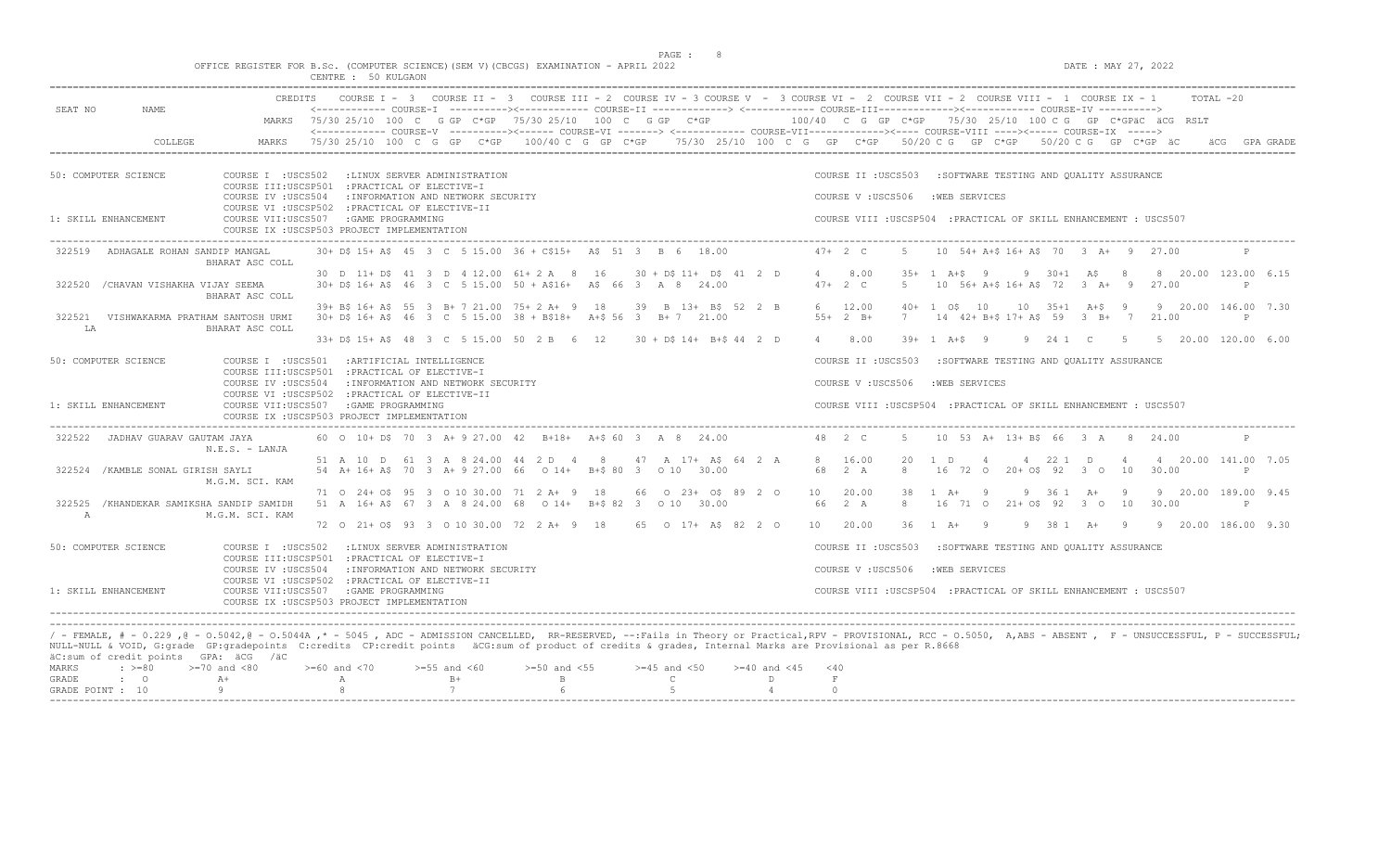$DATA: MAX 27, 2022$ 

|  |  |                          |  |  | OFFICE REGISTER FOR B.Sc. (COMPUTER SCIENCE)(SEM V)(CBCGS) EXAMINATION - APRIL 2022 |  |
|--|--|--------------------------|--|--|-------------------------------------------------------------------------------------|--|
|  |  | $\alpha$ mazm $\alpha$ m |  |  |                                                                                     |  |

|                                                                                                                                                                                                                                                                                                                                                                                                                                                                                                                                       |                                           | CENTRE : 50 KULGAON                                                                                                                                                           |                                                                                                                                                                                                                                                                                                                                                                                                                                                                                                                     |                                        |                                                       |                                           |                              |                                                                                         |                        |                |                                                                 |               |                                                               |               |  |
|---------------------------------------------------------------------------------------------------------------------------------------------------------------------------------------------------------------------------------------------------------------------------------------------------------------------------------------------------------------------------------------------------------------------------------------------------------------------------------------------------------------------------------------|-------------------------------------------|-------------------------------------------------------------------------------------------------------------------------------------------------------------------------------|---------------------------------------------------------------------------------------------------------------------------------------------------------------------------------------------------------------------------------------------------------------------------------------------------------------------------------------------------------------------------------------------------------------------------------------------------------------------------------------------------------------------|----------------------------------------|-------------------------------------------------------|-------------------------------------------|------------------------------|-----------------------------------------------------------------------------------------|------------------------|----------------|-----------------------------------------------------------------|---------------|---------------------------------------------------------------|---------------|--|
| SEAT NO<br>NAME                                                                                                                                                                                                                                                                                                                                                                                                                                                                                                                       | MARKS                                     |                                                                                                                                                                               | CREDITS COURSE I - 3 COURSE II - 3 COURSE III - 2 COURSE IV - 3 COURSE V - 3 COURSE VI - 2 COURSE VII - 2 COURSE VIII - 1 COURSE IX - 1<br><------------ COURSE-I ----------><----------- COURSE-II -------------> <------------ COURSE-III-----------><---------><---------- COURSE-IV ---------->><br>75/30 25/10 100 C G GP C*GP 75/30 25/10 100 C G GP C*GP<br><------------ COURSE-V ----------><------ COURSE-VI -------> <------------ COURSE-VII------------><---- COURSE-VIII ----><----- COURSE-IX -----> |                                        |                                                       |                                           |                              |                                                                                         |                        |                |                                                                 |               | $100/40$ C G GP C*GP $75/30$ 25/10 100 C G GP C*GPäC äCG RSLT | TOTAL -20     |  |
| COLLEGE                                                                                                                                                                                                                                                                                                                                                                                                                                                                                                                               | MARKS                                     |                                                                                                                                                                               | 75/30 25/10 100 C G GP C*GP 100/40 C G GP C*GP 75/30 25/10 100 C G GP C*GP 50/20 C G GP C*GP 50/20 C G GP C*GP äC                                                                                                                                                                                                                                                                                                                                                                                                   |                                        |                                                       |                                           |                              |                                                                                         |                        |                |                                                                 |               |                                                               | äCG GPA GRADE |  |
| 50: COMPUTER SCIENCE                                                                                                                                                                                                                                                                                                                                                                                                                                                                                                                  | COURSE I : USCS502<br>COURSE IV : USCS504 | :LINUX SERVER ADMINISTRATION<br>COURSE III:USCSP501 : PRACTICAL OF ELECTIVE-I<br>: INFORMATION AND NETWORK SECURITY                                                           |                                                                                                                                                                                                                                                                                                                                                                                                                                                                                                                     |                                        |                                                       |                                           |                              | COURSE II : USCS503<br>COURSE V: USCS506                                                |                        | :WEB SERVICES  | :SOFTWARE TESTING AND OUALITY ASSURANCE                         |               |                                                               |               |  |
| 1: SKILL ENHANCEMENT                                                                                                                                                                                                                                                                                                                                                                                                                                                                                                                  |                                           | COURSE VI : USCSP502 : PRACTICAL OF ELECTIVE-II<br>COURSE VII:USCS507 : GAME PROGRAMMING<br>COURSE IX : USCSP503 PROJECT IMPLEMENTATION                                       |                                                                                                                                                                                                                                                                                                                                                                                                                                                                                                                     |                                        |                                                       |                                           |                              | COURSE VIII : USCSP504 : PRACTICAL OF SKILL ENHANCEMENT : USCS507                       |                        |                |                                                                 |               |                                                               |               |  |
| ADHAGALE ROHAN SANDIP MANGAL<br>322519                                                                                                                                                                                                                                                                                                                                                                                                                                                                                                | BHARAT ASC COLL                           |                                                                                                                                                                               | 30+ D\$ 15+ A\$ 45 3 C 5 15.00 36 + C\$15+ A\$ 51 3 B 6 18.00                                                                                                                                                                                                                                                                                                                                                                                                                                                       |                                        |                                                       |                                           | $47 + 2 C$                   | -5                                                                                      |                        |                | 10 54+ A+\$ 16+ A\$ 70 3 A+ 9 27.00                             |               |                                                               | $\mathbb{P}$  |  |
| 322520<br>/CHAVAN VISHAKHA VIJAY SEEMA                                                                                                                                                                                                                                                                                                                                                                                                                                                                                                | BHARAT ASC COLL                           |                                                                                                                                                                               | 30 D 11+ D\$ 41 3 D 4 12.00 61+ 2 A 8 16<br>30+ D\$ 16+ A\$ 46 3 C 5 15.00 50 + A\$16+ A\$ 66 3 A 8 24.00                                                                                                                                                                                                                                                                                                                                                                                                           |                                        | $30 + D\frac{1}{2} + D\frac{1}{2} + D\frac{1}{2} + D$ |                                           | 4 8.00<br>$47+2$ C           |                                                                                         | $35+1$ $A+S$ 9<br>5    |                | $9 \t30+1 \tA5 \t8$<br>10 56+ A+\$ 16+ A\$ 72 3 A+ 9 27.00      |               | 8 20.00 123.00 6.15                                           | $\mathsf{P}$  |  |
| 322521<br>VISHWAKARMA PRATHAM SANTOSH URMI<br>LA                                                                                                                                                                                                                                                                                                                                                                                                                                                                                      | BHARAT ASC COLL                           |                                                                                                                                                                               | 39+ B\$ 16+ A\$ 55 3 B+ 7 21.00 75+ 2 A+ 9 18<br>30+ D\$ 16+ A\$ 46 3 C 5 15.00 38 + B\$18+ A+\$ 56 3 B+ 7 21.00                                                                                                                                                                                                                                                                                                                                                                                                    |                                        | 39 B 13+ B\$ 52 2 B                                   |                                           | 6 12.00<br>$55+2$ B+         |                                                                                         | $40+ 1$ $05$ $10$<br>7 |                | $10 \t 35+1 \t A+5 \t 9$<br>14 42+ B+\$ 17+ A\$ 59 3 B+ 7 21.00 |               | 9 20.00 146.00 7.30                                           | $\mathbb{P}$  |  |
|                                                                                                                                                                                                                                                                                                                                                                                                                                                                                                                                       |                                           |                                                                                                                                                                               | 33+ D\$ 15+ A\$ 48 3 C 5 15.00 50 2 B 6 12                                                                                                                                                                                                                                                                                                                                                                                                                                                                          |                                        | 30 + D\$ 14+ B+\$ 44 2 D                              |                                           | 4 8.00                       |                                                                                         | $39+ 1$ $A+S$ 9        |                |                                                                 |               | 9 24 1 C 5 5 20.00 120.00 6.00                                |               |  |
| 50: COMPUTER SCIENCE                                                                                                                                                                                                                                                                                                                                                                                                                                                                                                                  |                                           | COURSE I : USCS501 : ARTIFICIAL INTELLIGENCE<br>COURSE III:USCSP501 : PRACTICAL OF ELECTIVE-I                                                                                 |                                                                                                                                                                                                                                                                                                                                                                                                                                                                                                                     |                                        |                                                       |                                           |                              | COURSE II : USCS503                                                                     |                        |                | :SOFTWARE TESTING AND QUALITY ASSURANCE                         |               |                                                               |               |  |
| 1: SKILL ENHANCEMENT                                                                                                                                                                                                                                                                                                                                                                                                                                                                                                                  | COURSE IV : USCS504                       | : INFORMATION AND NETWORK SECURITY<br>COURSE VI : USCSP502 : PRACTICAL OF ELECTIVE-II<br>COURSE VII:USCS507 : GAME PROGRAMMING<br>COURSE IX : USCSP503 PROJECT IMPLEMENTATION |                                                                                                                                                                                                                                                                                                                                                                                                                                                                                                                     |                                        |                                                       |                                           |                              | COURSE V : USCS506<br>COURSE VIII : USCSP504 : PRACTICAL OF SKILL ENHANCEMENT : USCS507 |                        | :WEB SERVICES  |                                                                 |               |                                                               |               |  |
| 322522<br>JADHAV GUARAV GAUTAM JAYA                                                                                                                                                                                                                                                                                                                                                                                                                                                                                                   | $N.E.S. - LANJA$                          |                                                                                                                                                                               | 60 0 10+ D\$ 70 3 A+ 9 27.00 42 B+18+ A+\$ 60 3 A 8 24.00                                                                                                                                                                                                                                                                                                                                                                                                                                                           |                                        |                                                       |                                           | 48 2 C                       | -5                                                                                      |                        |                | 10 53 A+ 13+ B\$ 66 3 A                                         | $\mathcal{R}$ | 24.00                                                         | $\mathbb{P}$  |  |
| 322524 / KAMBLE SONAL GIRISH SAYLI                                                                                                                                                                                                                                                                                                                                                                                                                                                                                                    | M.G.M. SCI. KAM                           |                                                                                                                                                                               | 51 A 10 D 61 3 A 8 24.00 44 2 D 4 8<br>54 A+ 16+ A\$ 70 3 A+ 9 27.00 66 0 14+ B+\$ 80 3 0 10 30.00                                                                                                                                                                                                                                                                                                                                                                                                                  |                                        | 47 A 17+ A\$ 64 2 A                                   |                                           | 8 16.00<br>68 2 A            | $\mathcal{R}$                                                                           | 20<br>1 D              | $\overline{4}$ | 4 22 1 D<br>16 72 0 20+ 0\$ 92 3 0 10                           | $\sim$ 4      | 4 20.00 141.00 7.05<br>30.00                                  | P             |  |
| 322525 / KHANDEKAR SAMIKSHA SANDIP SAMIDH<br>$\mathbb{A}$                                                                                                                                                                                                                                                                                                                                                                                                                                                                             | M.G.M. SCI. KAM                           |                                                                                                                                                                               | 71 0 24+ 0\$ 95 3 0 10 30.00 71 2 A+ 9 18<br>51 A 16+ A\$ 67 3 A 8 24.00 68 0 14+ B+\$ 82 3 0 10 30.00                                                                                                                                                                                                                                                                                                                                                                                                              |                                        | 66 0 23+ 0\$ 89 2 0                                   |                                           | 10<br>66 2 A                 | 20.00<br>8                                                                              | 38<br>$1 \quad A+$     | - 9            | 9 36 1 A+<br>16 71 0 21+ 0\$ 92 3 0 10                          | - 9           | 9 20.00 189.00 9.45<br>30.00                                  | $\mathbb{P}$  |  |
|                                                                                                                                                                                                                                                                                                                                                                                                                                                                                                                                       |                                           |                                                                                                                                                                               | 72 0 21+ 0\$ 93 3 0 10 30.00 72 2 A+ 9 18                                                                                                                                                                                                                                                                                                                                                                                                                                                                           |                                        | 65 0 17+ A\$ 82 2 0                                   |                                           | 10 20.00                     |                                                                                         | 36 1 A+ 9              |                |                                                                 |               | 9 38 1 A+ 9 9 20.00 186.00 9.30                               |               |  |
| 50: COMPUTER SCIENCE                                                                                                                                                                                                                                                                                                                                                                                                                                                                                                                  | COURSE I : USCS502                        | :LINUX SERVER ADMINISTRATION<br>COURSE III:USCSP501 : PRACTICAL OF ELECTIVE-I                                                                                                 |                                                                                                                                                                                                                                                                                                                                                                                                                                                                                                                     |                                        |                                                       |                                           |                              | COURSE II : USCS503                                                                     |                        |                | :SOFTWARE TESTING AND QUALITY ASSURANCE                         |               |                                                               |               |  |
|                                                                                                                                                                                                                                                                                                                                                                                                                                                                                                                                       | COURSE IV :USCS504                        | : INFORMATION AND NETWORK SECURITY<br>COURSE VI : USCSP502 : PRACTICAL OF ELECTIVE-II                                                                                         |                                                                                                                                                                                                                                                                                                                                                                                                                                                                                                                     |                                        |                                                       |                                           |                              | COURSE V: USCS506                                                                       |                        | :WEB SERVICES  |                                                                 |               |                                                               |               |  |
| 1: SKILL ENHANCEMENT                                                                                                                                                                                                                                                                                                                                                                                                                                                                                                                  |                                           | COURSE VII:USCS507 :GAME PROGRAMMING<br>COURSE IX : USCSP503 PROJECT IMPLEMENTATION                                                                                           |                                                                                                                                                                                                                                                                                                                                                                                                                                                                                                                     |                                        |                                                       |                                           |                              | COURSE VIII : USCSP504 : PRACTICAL OF SKILL ENHANCEMENT : USCS507                       |                        |                |                                                                 |               |                                                               |               |  |
| / - FEMALE, # - 0.229 ,@ - 0.5042,@ - 0.5044A ,* - 5045 , ADC - ADMISSION CANCELLED, RR-RESERVED, --:Fails in Theory or Practical,RPV - PROVISIONAL, RCC - 0.5050, A,ABS - ABSENT , F - UNSUCCESSFUL, P - SUCCESSFUL;<br>NULL-NULL & VOID, G:grade GP:gradepoints C:credits CP:credit points äCG:sum of product of credits & grades, Internal Marks are Provisional as per R.8668<br>äC:sum of credit points GPA: äCG /äC<br>$>=70$ and $<80$<br>MARKS<br>$: \; > = 80$<br>$\cdot$ 0<br>$A+$<br>GRADE<br>GRADE POINT : 10<br>$\alpha$ |                                           | $>=60$ and $<70$<br>A<br>8                                                                                                                                                    | $>=55$ and $<60$<br>$>=50$ and $<55$<br>$B+$<br>$\mathbf{B}$<br>$\overline{7}$<br>6                                                                                                                                                                                                                                                                                                                                                                                                                                 | $>=45$ and $<50$<br>$\mathbb{C}$<br>-5 |                                                       | $>= 40$ and $< 45$<br>D<br>$\overline{4}$ | $<$ 40<br>$\,$ F<br>$\Omega$ |                                                                                         |                        |                |                                                                 |               |                                                               |               |  |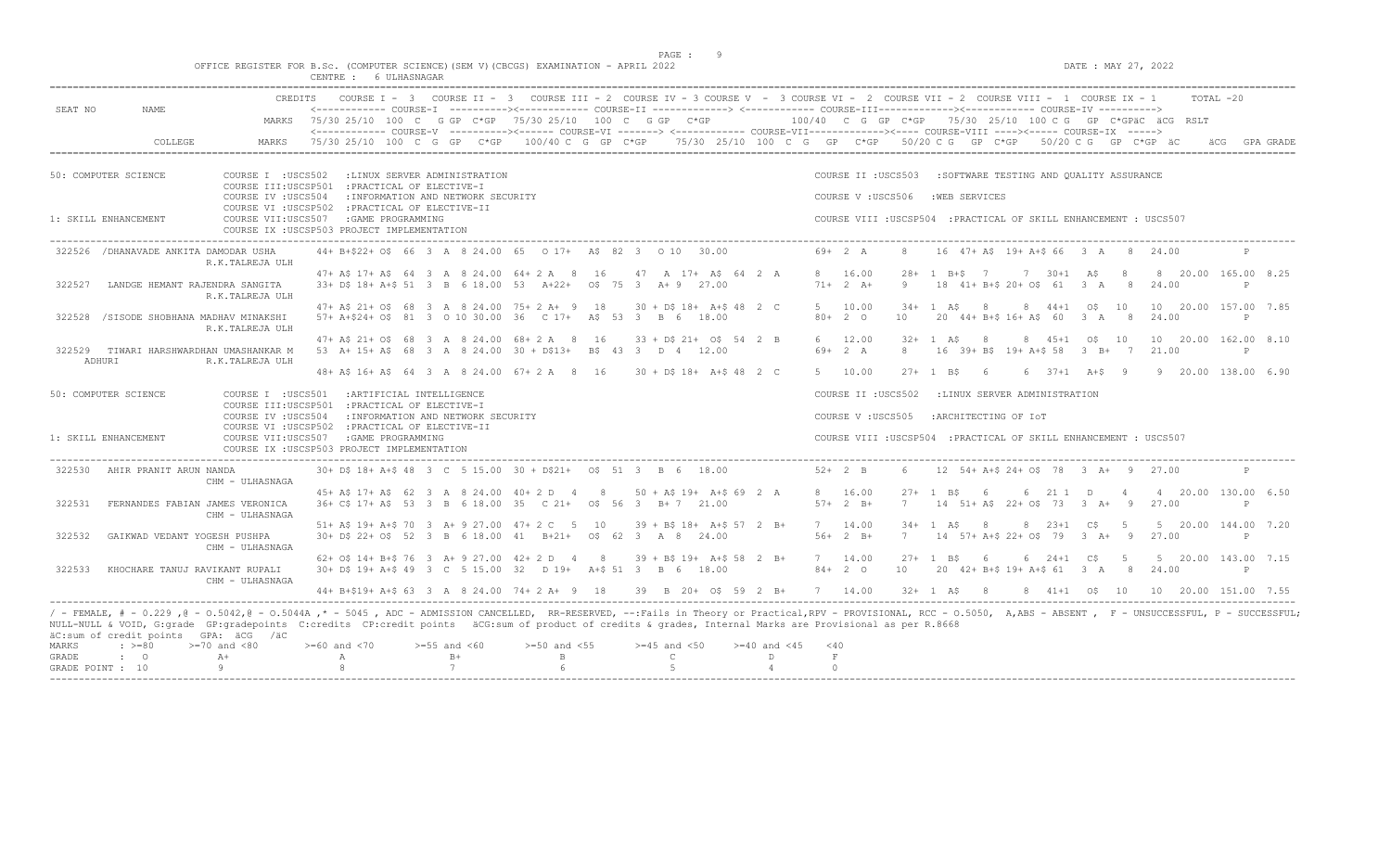$DATA: MAX 27, 2022$ 

|  |  |  |              |  | OFFICE REGISTER FOR B.Sc. (COMPUTER SCIENCE)(SEM V)(CBCGS) EXAMINATION - APRIL 2022 |  |  |
|--|--|--|--------------|--|-------------------------------------------------------------------------------------|--|--|
|  |  |  | 6 ULHASNAGAR |  |                                                                                     |  |  |

| COURSE I - 3 COURSE II - 3 COURSE III - 2 COURSE IV - 3 COURSE V - 3 COURSE VI - 2 COURSE VII - 2 COURSE VIII - 1 COURSE IX - 1<br><------------ COURSE-T ----------><----------- COURSE-TT -------------> <------------ COURSE-TTT----------><---------><---------- COURSE-TV ----------><br>SEAT NO<br>NAME.<br>MARKS 75/30 25/10 100 C G GP C*GP 75/30 25/10 100 C G GP C*GP 66 100/40 C G GP C*GP 75/30 25/10 100 C G GP C*GPäC äCG RSLT<br><------------ COURSE-V ----------><----- COURSE-VI -------> <----------- COURSE-VII------------><---- COURSE-VIII ----><---- COURSE-YX -----><br>COLLEGE<br>MARKS<br>$75/30$ 25/10 100 C G GP C*GP 100/40 C G GP C*GP $75/30$ 25/10 100 C G GP C*GP 50/20 C G GP C*GP 50/20 C G GP C*GP äC<br>GPA GRADE<br>50: COMPUTER SCIENCE<br>COURSE I : USCS502<br>:LINUX SERVER ADMINISTRATION<br>COURSE II : USCS503<br>:SOFTWARE TESTING AND OUALITY ASSURANCE<br>COURSE III:USCSP501 : PRACTICAL OF ELECTIVE-I<br>: INFORMATION AND NETWORK SECURITY<br>COURSE V: USCS506<br>:WEB SERVICES<br>COURSE IV : USCS504<br>COURSE VI : USCSP502 : PRACTICAL OF ELECTIVE-II<br>1: SKILL ENHANCEMENT<br>COURSE VII:USCS507<br>: GAME PROGRAMMING<br>COURSE VIII : USCSP504 : PRACTICAL OF SKILL ENHANCEMENT : USCS507<br>COURSE IX : USCSP503 PROJECT IMPLEMENTATION<br>44+ B+\$22+ 0\$ 66 3 A 8 24.00 65 0 17+ A\$ 82 3 0 10 30.00<br>$69+2 A$<br>16 47+ A\$ 19+ A+\$ 66 3 A<br>/DHANAVADE ANKITA DAMODAR USHA<br>-8<br>24.00<br>322526<br>-8<br>R.K.TALREJA ULH<br>8 16.00<br>7 30+1 A\$<br>8 20.00 165.00 8.25<br>47+ A\$ 17+ A\$ 64 3 A 8 24.00 64+ 2 A 8 16<br>47 A 17+ A\$ 64 2 A<br>$28+$<br>1 $B+S$ 7<br>-8<br>33+ D\$ 18+ A+\$ 51 3 B 6 18.00 53 A+22+ 0\$ 75 3 A+ 9 27.00<br>$71+2 A+$<br>9<br>18 41+ B+\$ 20+ 0\$ 61 3 A 8<br>24.00<br>322527<br>LANDGE HEMANT RAJENDRA SANGITA<br>P<br>R.K.TALREJA ULH<br>47+ A\$ 21+ O\$ 68 3 A 8 24.00 75+ 2 A+ 9 18<br>5 10.00<br>10 20.00 157.00 7.85<br>$30 + DS$ 18+ A+\$ 48 2 C<br>$34+$<br>8<br>44+1 0\$ 10<br>1 AS<br>/SISODE SHOBHANA MADHAV MINAKSHI<br>57+ A+\$24+ O\$ 81 3 0 10 30.00 36 C 17+ A\$ 53 3 B 6 18.00<br>$80+20$<br>20 44+ B+\$ 16+ A\$ 60 3 A 8<br>24.00<br>322528<br>10<br>P<br>R.K.TALREJA ULH<br>47+ A\$ 21+ O\$ 68 3 A 8 24.00 68+ 2 A 8 16<br>$33 + D$21 + O$5542 B$<br>6 12.00<br>8 45+1 0\$ 10<br>10 20.00 162.00 8.10<br>$32 + 1$ AS<br>8<br>53 A+ 15+ A\$ 68 3 A 8 24.00 30 + D\$13+ B\$ 43 3 D 4 12.00<br>$69+2 A$<br>8<br>16 39+ B\$ 19+ A+\$ 58 3 B+ 7<br>21.00<br>322529<br>TIWARI HARSHWARDHAN UMASHANKAR M<br>P<br>ADHURI<br>R.K.TALREJA ULH<br>48+ A\$ 16+ A\$ 64 3 A 8 24.00 67+ 2 A 8 16<br>5 10.00<br>9 20.00 138.00 6.90<br>$30 + D5 18 + A + 5 48 2 C$<br>$27 + 1$ B\$<br>$6 \t37+1 \tA+5 \t9$<br>- 6<br>50: COMPUTER SCIENCE<br>COURSE I : USCS501 : ARTIFICIAL INTELLIGENCE<br>COURSE II : USCS502<br>:LINUX SERVER ADMINISTRATION<br>COURSE III:USCSP501 : PRACTICAL OF ELECTIVE-I<br>COURSE IV : USCS504<br>: INFORMATION AND NETWORK SECURITY<br>COURSE V: USCS505<br>:ARCHITECTING OF IOT<br>COURSE VI : USCSP502 : PRACTICAL OF ELECTIVE-II<br>1: SKILL ENHANCEMENT<br>COURSE VII:USCS507<br>:GAME PROGRAMMING<br>COURSE VIII : USCSP504 : PRACTICAL OF SKILL ENHANCEMENT : USCS507<br>COURSE IX : USCSP503 PROJECT IMPLEMENTATION<br>322530<br>$30+$ DS 18+ A+S 48 3 C 5 15.00 30 + DS21+ 0S 51 3 B 6 18.00<br>$52+2$ B<br>12 54+ A+\$ 24+ 0\$ 78 3 A+ 9 27.00<br>AHIR PRANIT ARUN NANDA<br>CHM - ULHASNAGA<br>45+ AS 17+ AS 62 3 A 8 24.00 40+ 2 D 4<br>$50 + AS 19 + A+S 69 2 A$<br>8 16.00<br>6<br>211 D<br>4 20.00 130.00 6.50<br>8<br>$27+$<br>1 BS<br>-6<br>$\overline{4}$<br>36+ C\$ 17+ A\$ 53 3 B 6 18.00 35 C 21+ 0\$ 56 3 B+ 7 21.00<br>$57 + 2 B +$<br>14 51+ A\$ 22+ 0\$ 73 3 A+ 9 27.00<br>322531<br>FERNANDES FABIAN JAMES VERONICA<br>7<br>P<br>CHM - ULHASNAGA<br>51+ A\$ 19+ A+\$ 70 3 A+ 9 27.00 47+ 2 C 5 10<br>5 20.00 144.00 7.20<br>$39 + B\frac{2}{3} 18 + A + \frac{2}{3} 57 2 B +$<br>7 14.00<br>$34 +$<br>$8\ 23+1\ 05\ 5$<br>1 A S<br>- 8<br>30+ D\$ 22+ O\$ 52 3 B 6 18.00 41 B+21+ O\$ 62 3 A 8 24.00<br>$56+2 B+$<br>14 57+ A+\$ 22+ 0\$ 79 3 A+ 9<br>322532<br>GAIKWAD VEDANT YOGESH PUSHPA<br>7<br>27.00<br>$\mathsf{P}$<br>CHM - ULHASNAGA<br>5 20.00 143.00 7.15<br>62+ 0\$ 14+ B+\$ 76 3 A+ 9 27.00 42+ 2 D 4 8<br>$39 + B\frac{2}{3} 19 + A + \frac{2}{3} 58 2 B +$<br>7 14.00<br>$27 + 1$ B\$<br>$6\ 24+1\ 05$<br>5<br>- 6<br>30+ D\$ 19+ A+\$ 49 3 C 5 15.00 32 D 19+ A+\$ 51 3 B 6 18.00<br>$84+20$<br>20 42+ B+\$ 19+ A+\$ 61 3 A 8<br>322533<br>KHOCHARE TANUJ RAVIKANT RUPALI<br>10<br>24.00<br>$\mathsf{P}$<br>CHM - ULHASNAGA<br>39 B 20+ 0\$ 59 2 B+<br>7 14.00<br>44+ B+\$19+ A+\$ 63 3 A 8 24.00 74+ 2 A+ 9 18<br>$32 + 1$ A\$<br>8 41+1 0\$ 10<br>10 20.00 151.00 7.55<br>- 8<br>NULL-NULL & VOID, G:grade GP:gradepoints C:credits CP:credit points äCG:sum of product of credits & grades, Internal Marks are Provisional as per R.8668<br>äC:sum of credit points GPA: äCG /äC<br>$>=70$ and $<80$<br>$>= 60$ and $< 70$<br>$>=55$ and $<60$<br>$>=50$ and $<55$<br>$>=45$ and $<50$<br>MARKS<br>$: \ \ \>=80$<br>$>= 40$ and $< 45$<br>$<$ 40<br>GRADE<br>$\cdot$ 0<br>$A+$<br>$B+$<br>$\mathbf{B}$<br>$\mathsf{C}$<br>D<br>$\,$ F<br>Α<br>Q<br>7<br>$6 \overline{6}$<br>$\overline{5}$<br>GRADE POINT : 10<br>$\circ$<br>$\overline{4}$ | CREDITS |  |  |  | $TOTAI. -20$ |
|------------------------------------------------------------------------------------------------------------------------------------------------------------------------------------------------------------------------------------------------------------------------------------------------------------------------------------------------------------------------------------------------------------------------------------------------------------------------------------------------------------------------------------------------------------------------------------------------------------------------------------------------------------------------------------------------------------------------------------------------------------------------------------------------------------------------------------------------------------------------------------------------------------------------------------------------------------------------------------------------------------------------------------------------------------------------------------------------------------------------------------------------------------------------------------------------------------------------------------------------------------------------------------------------------------------------------------------------------------------------------------------------------------------------------------------------------------------------------------------------------------------------------------------------------------------------------------------------------------------------------------------------------------------------------------------------------------------------------------------------------------------------------------------------------------------------------------------------------------------------------------------------------------------------------------------------------------------------------------------------------------------------------------------------------------------------------------------------------------------------------------------------------------------------------------------------------------------------------------------------------------------------------------------------------------------------------------------------------------------------------------------------------------------------------------------------------------------------------------------------------------------------------------------------------------------------------------------------------------------------------------------------------------------------------------------------------------------------------------------------------------------------------------------------------------------------------------------------------------------------------------------------------------------------------------------------------------------------------------------------------------------------------------------------------------------------------------------------------------------------------------------------------------------------------------------------------------------------------------------------------------------------------------------------------------------------------------------------------------------------------------------------------------------------------------------------------------------------------------------------------------------------------------------------------------------------------------------------------------------------------------------------------------------------------------------------------------------------------------------------------------------------------------------------------------------------------------------------------------------------------------------------------------------------------------------------------------------------------------------------------------------------------------------------------------------------------------------------------------------------------------------------------------------------------------------------------------------------------------------------------------------------------------------------------------------------------------------------------------------------------------------------------------------------------------------------------------------------------------------------------------------------------------------------------------------------------------------------------------------------------------------------------------------------------------------------------------------------------------------------------------------------------------------------------------------------------------------------------------------------------------------------------------------------------------------------------------------------------------------------------------------------------------------------------------------------------------------------------------------------------------------------------------------------------------------------------------------------------------------------------------------------------------------------------------------------------------|---------|--|--|--|--------------|
|                                                                                                                                                                                                                                                                                                                                                                                                                                                                                                                                                                                                                                                                                                                                                                                                                                                                                                                                                                                                                                                                                                                                                                                                                                                                                                                                                                                                                                                                                                                                                                                                                                                                                                                                                                                                                                                                                                                                                                                                                                                                                                                                                                                                                                                                                                                                                                                                                                                                                                                                                                                                                                                                                                                                                                                                                                                                                                                                                                                                                                                                                                                                                                                                                                                                                                                                                                                                                                                                                                                                                                                                                                                                                                                                                                                                                                                                                                                                                                                                                                                                                                                                                                                                                                                                                                                                                                                                                                                                                                                                                                                                                                                                                                                                                                                                                                                                                                                                                                                                                                                                                                                                                                                                                                                                                                                                    |         |  |  |  |              |
|                                                                                                                                                                                                                                                                                                                                                                                                                                                                                                                                                                                                                                                                                                                                                                                                                                                                                                                                                                                                                                                                                                                                                                                                                                                                                                                                                                                                                                                                                                                                                                                                                                                                                                                                                                                                                                                                                                                                                                                                                                                                                                                                                                                                                                                                                                                                                                                                                                                                                                                                                                                                                                                                                                                                                                                                                                                                                                                                                                                                                                                                                                                                                                                                                                                                                                                                                                                                                                                                                                                                                                                                                                                                                                                                                                                                                                                                                                                                                                                                                                                                                                                                                                                                                                                                                                                                                                                                                                                                                                                                                                                                                                                                                                                                                                                                                                                                                                                                                                                                                                                                                                                                                                                                                                                                                                                                    |         |  |  |  |              |
| / - FEMALE, # - 0.229 ,@ - 0.5042,@ - 0.5044A ,* - 5045 , ADC - ADMISSION CANCELLED, RR-RESERVED, --:Fails in Theory or Practical,RPV - PROVISIONAL, RCC - 0.5050, A,ABS - ABSENT , F - UNSUCCESSFUL, P - SUCCESSFUL;                                                                                                                                                                                                                                                                                                                                                                                                                                                                                                                                                                                                                                                                                                                                                                                                                                                                                                                                                                                                                                                                                                                                                                                                                                                                                                                                                                                                                                                                                                                                                                                                                                                                                                                                                                                                                                                                                                                                                                                                                                                                                                                                                                                                                                                                                                                                                                                                                                                                                                                                                                                                                                                                                                                                                                                                                                                                                                                                                                                                                                                                                                                                                                                                                                                                                                                                                                                                                                                                                                                                                                                                                                                                                                                                                                                                                                                                                                                                                                                                                                                                                                                                                                                                                                                                                                                                                                                                                                                                                                                                                                                                                                                                                                                                                                                                                                                                                                                                                                                                                                                                                                              |         |  |  |  |              |
|                                                                                                                                                                                                                                                                                                                                                                                                                                                                                                                                                                                                                                                                                                                                                                                                                                                                                                                                                                                                                                                                                                                                                                                                                                                                                                                                                                                                                                                                                                                                                                                                                                                                                                                                                                                                                                                                                                                                                                                                                                                                                                                                                                                                                                                                                                                                                                                                                                                                                                                                                                                                                                                                                                                                                                                                                                                                                                                                                                                                                                                                                                                                                                                                                                                                                                                                                                                                                                                                                                                                                                                                                                                                                                                                                                                                                                                                                                                                                                                                                                                                                                                                                                                                                                                                                                                                                                                                                                                                                                                                                                                                                                                                                                                                                                                                                                                                                                                                                                                                                                                                                                                                                                                                                                                                                                                                    |         |  |  |  |              |
|                                                                                                                                                                                                                                                                                                                                                                                                                                                                                                                                                                                                                                                                                                                                                                                                                                                                                                                                                                                                                                                                                                                                                                                                                                                                                                                                                                                                                                                                                                                                                                                                                                                                                                                                                                                                                                                                                                                                                                                                                                                                                                                                                                                                                                                                                                                                                                                                                                                                                                                                                                                                                                                                                                                                                                                                                                                                                                                                                                                                                                                                                                                                                                                                                                                                                                                                                                                                                                                                                                                                                                                                                                                                                                                                                                                                                                                                                                                                                                                                                                                                                                                                                                                                                                                                                                                                                                                                                                                                                                                                                                                                                                                                                                                                                                                                                                                                                                                                                                                                                                                                                                                                                                                                                                                                                                                                    |         |  |  |  |              |
|                                                                                                                                                                                                                                                                                                                                                                                                                                                                                                                                                                                                                                                                                                                                                                                                                                                                                                                                                                                                                                                                                                                                                                                                                                                                                                                                                                                                                                                                                                                                                                                                                                                                                                                                                                                                                                                                                                                                                                                                                                                                                                                                                                                                                                                                                                                                                                                                                                                                                                                                                                                                                                                                                                                                                                                                                                                                                                                                                                                                                                                                                                                                                                                                                                                                                                                                                                                                                                                                                                                                                                                                                                                                                                                                                                                                                                                                                                                                                                                                                                                                                                                                                                                                                                                                                                                                                                                                                                                                                                                                                                                                                                                                                                                                                                                                                                                                                                                                                                                                                                                                                                                                                                                                                                                                                                                                    |         |  |  |  |              |
|                                                                                                                                                                                                                                                                                                                                                                                                                                                                                                                                                                                                                                                                                                                                                                                                                                                                                                                                                                                                                                                                                                                                                                                                                                                                                                                                                                                                                                                                                                                                                                                                                                                                                                                                                                                                                                                                                                                                                                                                                                                                                                                                                                                                                                                                                                                                                                                                                                                                                                                                                                                                                                                                                                                                                                                                                                                                                                                                                                                                                                                                                                                                                                                                                                                                                                                                                                                                                                                                                                                                                                                                                                                                                                                                                                                                                                                                                                                                                                                                                                                                                                                                                                                                                                                                                                                                                                                                                                                                                                                                                                                                                                                                                                                                                                                                                                                                                                                                                                                                                                                                                                                                                                                                                                                                                                                                    |         |  |  |  |              |
|                                                                                                                                                                                                                                                                                                                                                                                                                                                                                                                                                                                                                                                                                                                                                                                                                                                                                                                                                                                                                                                                                                                                                                                                                                                                                                                                                                                                                                                                                                                                                                                                                                                                                                                                                                                                                                                                                                                                                                                                                                                                                                                                                                                                                                                                                                                                                                                                                                                                                                                                                                                                                                                                                                                                                                                                                                                                                                                                                                                                                                                                                                                                                                                                                                                                                                                                                                                                                                                                                                                                                                                                                                                                                                                                                                                                                                                                                                                                                                                                                                                                                                                                                                                                                                                                                                                                                                                                                                                                                                                                                                                                                                                                                                                                                                                                                                                                                                                                                                                                                                                                                                                                                                                                                                                                                                                                    |         |  |  |  |              |
|                                                                                                                                                                                                                                                                                                                                                                                                                                                                                                                                                                                                                                                                                                                                                                                                                                                                                                                                                                                                                                                                                                                                                                                                                                                                                                                                                                                                                                                                                                                                                                                                                                                                                                                                                                                                                                                                                                                                                                                                                                                                                                                                                                                                                                                                                                                                                                                                                                                                                                                                                                                                                                                                                                                                                                                                                                                                                                                                                                                                                                                                                                                                                                                                                                                                                                                                                                                                                                                                                                                                                                                                                                                                                                                                                                                                                                                                                                                                                                                                                                                                                                                                                                                                                                                                                                                                                                                                                                                                                                                                                                                                                                                                                                                                                                                                                                                                                                                                                                                                                                                                                                                                                                                                                                                                                                                                    |         |  |  |  |              |
|                                                                                                                                                                                                                                                                                                                                                                                                                                                                                                                                                                                                                                                                                                                                                                                                                                                                                                                                                                                                                                                                                                                                                                                                                                                                                                                                                                                                                                                                                                                                                                                                                                                                                                                                                                                                                                                                                                                                                                                                                                                                                                                                                                                                                                                                                                                                                                                                                                                                                                                                                                                                                                                                                                                                                                                                                                                                                                                                                                                                                                                                                                                                                                                                                                                                                                                                                                                                                                                                                                                                                                                                                                                                                                                                                                                                                                                                                                                                                                                                                                                                                                                                                                                                                                                                                                                                                                                                                                                                                                                                                                                                                                                                                                                                                                                                                                                                                                                                                                                                                                                                                                                                                                                                                                                                                                                                    |         |  |  |  |              |
|                                                                                                                                                                                                                                                                                                                                                                                                                                                                                                                                                                                                                                                                                                                                                                                                                                                                                                                                                                                                                                                                                                                                                                                                                                                                                                                                                                                                                                                                                                                                                                                                                                                                                                                                                                                                                                                                                                                                                                                                                                                                                                                                                                                                                                                                                                                                                                                                                                                                                                                                                                                                                                                                                                                                                                                                                                                                                                                                                                                                                                                                                                                                                                                                                                                                                                                                                                                                                                                                                                                                                                                                                                                                                                                                                                                                                                                                                                                                                                                                                                                                                                                                                                                                                                                                                                                                                                                                                                                                                                                                                                                                                                                                                                                                                                                                                                                                                                                                                                                                                                                                                                                                                                                                                                                                                                                                    |         |  |  |  |              |
|                                                                                                                                                                                                                                                                                                                                                                                                                                                                                                                                                                                                                                                                                                                                                                                                                                                                                                                                                                                                                                                                                                                                                                                                                                                                                                                                                                                                                                                                                                                                                                                                                                                                                                                                                                                                                                                                                                                                                                                                                                                                                                                                                                                                                                                                                                                                                                                                                                                                                                                                                                                                                                                                                                                                                                                                                                                                                                                                                                                                                                                                                                                                                                                                                                                                                                                                                                                                                                                                                                                                                                                                                                                                                                                                                                                                                                                                                                                                                                                                                                                                                                                                                                                                                                                                                                                                                                                                                                                                                                                                                                                                                                                                                                                                                                                                                                                                                                                                                                                                                                                                                                                                                                                                                                                                                                                                    |         |  |  |  |              |
|                                                                                                                                                                                                                                                                                                                                                                                                                                                                                                                                                                                                                                                                                                                                                                                                                                                                                                                                                                                                                                                                                                                                                                                                                                                                                                                                                                                                                                                                                                                                                                                                                                                                                                                                                                                                                                                                                                                                                                                                                                                                                                                                                                                                                                                                                                                                                                                                                                                                                                                                                                                                                                                                                                                                                                                                                                                                                                                                                                                                                                                                                                                                                                                                                                                                                                                                                                                                                                                                                                                                                                                                                                                                                                                                                                                                                                                                                                                                                                                                                                                                                                                                                                                                                                                                                                                                                                                                                                                                                                                                                                                                                                                                                                                                                                                                                                                                                                                                                                                                                                                                                                                                                                                                                                                                                                                                    |         |  |  |  |              |
|                                                                                                                                                                                                                                                                                                                                                                                                                                                                                                                                                                                                                                                                                                                                                                                                                                                                                                                                                                                                                                                                                                                                                                                                                                                                                                                                                                                                                                                                                                                                                                                                                                                                                                                                                                                                                                                                                                                                                                                                                                                                                                                                                                                                                                                                                                                                                                                                                                                                                                                                                                                                                                                                                                                                                                                                                                                                                                                                                                                                                                                                                                                                                                                                                                                                                                                                                                                                                                                                                                                                                                                                                                                                                                                                                                                                                                                                                                                                                                                                                                                                                                                                                                                                                                                                                                                                                                                                                                                                                                                                                                                                                                                                                                                                                                                                                                                                                                                                                                                                                                                                                                                                                                                                                                                                                                                                    |         |  |  |  |              |
|                                                                                                                                                                                                                                                                                                                                                                                                                                                                                                                                                                                                                                                                                                                                                                                                                                                                                                                                                                                                                                                                                                                                                                                                                                                                                                                                                                                                                                                                                                                                                                                                                                                                                                                                                                                                                                                                                                                                                                                                                                                                                                                                                                                                                                                                                                                                                                                                                                                                                                                                                                                                                                                                                                                                                                                                                                                                                                                                                                                                                                                                                                                                                                                                                                                                                                                                                                                                                                                                                                                                                                                                                                                                                                                                                                                                                                                                                                                                                                                                                                                                                                                                                                                                                                                                                                                                                                                                                                                                                                                                                                                                                                                                                                                                                                                                                                                                                                                                                                                                                                                                                                                                                                                                                                                                                                                                    |         |  |  |  |              |
|                                                                                                                                                                                                                                                                                                                                                                                                                                                                                                                                                                                                                                                                                                                                                                                                                                                                                                                                                                                                                                                                                                                                                                                                                                                                                                                                                                                                                                                                                                                                                                                                                                                                                                                                                                                                                                                                                                                                                                                                                                                                                                                                                                                                                                                                                                                                                                                                                                                                                                                                                                                                                                                                                                                                                                                                                                                                                                                                                                                                                                                                                                                                                                                                                                                                                                                                                                                                                                                                                                                                                                                                                                                                                                                                                                                                                                                                                                                                                                                                                                                                                                                                                                                                                                                                                                                                                                                                                                                                                                                                                                                                                                                                                                                                                                                                                                                                                                                                                                                                                                                                                                                                                                                                                                                                                                                                    |         |  |  |  |              |
|                                                                                                                                                                                                                                                                                                                                                                                                                                                                                                                                                                                                                                                                                                                                                                                                                                                                                                                                                                                                                                                                                                                                                                                                                                                                                                                                                                                                                                                                                                                                                                                                                                                                                                                                                                                                                                                                                                                                                                                                                                                                                                                                                                                                                                                                                                                                                                                                                                                                                                                                                                                                                                                                                                                                                                                                                                                                                                                                                                                                                                                                                                                                                                                                                                                                                                                                                                                                                                                                                                                                                                                                                                                                                                                                                                                                                                                                                                                                                                                                                                                                                                                                                                                                                                                                                                                                                                                                                                                                                                                                                                                                                                                                                                                                                                                                                                                                                                                                                                                                                                                                                                                                                                                                                                                                                                                                    |         |  |  |  |              |
|                                                                                                                                                                                                                                                                                                                                                                                                                                                                                                                                                                                                                                                                                                                                                                                                                                                                                                                                                                                                                                                                                                                                                                                                                                                                                                                                                                                                                                                                                                                                                                                                                                                                                                                                                                                                                                                                                                                                                                                                                                                                                                                                                                                                                                                                                                                                                                                                                                                                                                                                                                                                                                                                                                                                                                                                                                                                                                                                                                                                                                                                                                                                                                                                                                                                                                                                                                                                                                                                                                                                                                                                                                                                                                                                                                                                                                                                                                                                                                                                                                                                                                                                                                                                                                                                                                                                                                                                                                                                                                                                                                                                                                                                                                                                                                                                                                                                                                                                                                                                                                                                                                                                                                                                                                                                                                                                    |         |  |  |  |              |
|                                                                                                                                                                                                                                                                                                                                                                                                                                                                                                                                                                                                                                                                                                                                                                                                                                                                                                                                                                                                                                                                                                                                                                                                                                                                                                                                                                                                                                                                                                                                                                                                                                                                                                                                                                                                                                                                                                                                                                                                                                                                                                                                                                                                                                                                                                                                                                                                                                                                                                                                                                                                                                                                                                                                                                                                                                                                                                                                                                                                                                                                                                                                                                                                                                                                                                                                                                                                                                                                                                                                                                                                                                                                                                                                                                                                                                                                                                                                                                                                                                                                                                                                                                                                                                                                                                                                                                                                                                                                                                                                                                                                                                                                                                                                                                                                                                                                                                                                                                                                                                                                                                                                                                                                                                                                                                                                    |         |  |  |  |              |
|                                                                                                                                                                                                                                                                                                                                                                                                                                                                                                                                                                                                                                                                                                                                                                                                                                                                                                                                                                                                                                                                                                                                                                                                                                                                                                                                                                                                                                                                                                                                                                                                                                                                                                                                                                                                                                                                                                                                                                                                                                                                                                                                                                                                                                                                                                                                                                                                                                                                                                                                                                                                                                                                                                                                                                                                                                                                                                                                                                                                                                                                                                                                                                                                                                                                                                                                                                                                                                                                                                                                                                                                                                                                                                                                                                                                                                                                                                                                                                                                                                                                                                                                                                                                                                                                                                                                                                                                                                                                                                                                                                                                                                                                                                                                                                                                                                                                                                                                                                                                                                                                                                                                                                                                                                                                                                                                    |         |  |  |  |              |
|                                                                                                                                                                                                                                                                                                                                                                                                                                                                                                                                                                                                                                                                                                                                                                                                                                                                                                                                                                                                                                                                                                                                                                                                                                                                                                                                                                                                                                                                                                                                                                                                                                                                                                                                                                                                                                                                                                                                                                                                                                                                                                                                                                                                                                                                                                                                                                                                                                                                                                                                                                                                                                                                                                                                                                                                                                                                                                                                                                                                                                                                                                                                                                                                                                                                                                                                                                                                                                                                                                                                                                                                                                                                                                                                                                                                                                                                                                                                                                                                                                                                                                                                                                                                                                                                                                                                                                                                                                                                                                                                                                                                                                                                                                                                                                                                                                                                                                                                                                                                                                                                                                                                                                                                                                                                                                                                    |         |  |  |  |              |
|                                                                                                                                                                                                                                                                                                                                                                                                                                                                                                                                                                                                                                                                                                                                                                                                                                                                                                                                                                                                                                                                                                                                                                                                                                                                                                                                                                                                                                                                                                                                                                                                                                                                                                                                                                                                                                                                                                                                                                                                                                                                                                                                                                                                                                                                                                                                                                                                                                                                                                                                                                                                                                                                                                                                                                                                                                                                                                                                                                                                                                                                                                                                                                                                                                                                                                                                                                                                                                                                                                                                                                                                                                                                                                                                                                                                                                                                                                                                                                                                                                                                                                                                                                                                                                                                                                                                                                                                                                                                                                                                                                                                                                                                                                                                                                                                                                                                                                                                                                                                                                                                                                                                                                                                                                                                                                                                    |         |  |  |  |              |
|                                                                                                                                                                                                                                                                                                                                                                                                                                                                                                                                                                                                                                                                                                                                                                                                                                                                                                                                                                                                                                                                                                                                                                                                                                                                                                                                                                                                                                                                                                                                                                                                                                                                                                                                                                                                                                                                                                                                                                                                                                                                                                                                                                                                                                                                                                                                                                                                                                                                                                                                                                                                                                                                                                                                                                                                                                                                                                                                                                                                                                                                                                                                                                                                                                                                                                                                                                                                                                                                                                                                                                                                                                                                                                                                                                                                                                                                                                                                                                                                                                                                                                                                                                                                                                                                                                                                                                                                                                                                                                                                                                                                                                                                                                                                                                                                                                                                                                                                                                                                                                                                                                                                                                                                                                                                                                                                    |         |  |  |  |              |
|                                                                                                                                                                                                                                                                                                                                                                                                                                                                                                                                                                                                                                                                                                                                                                                                                                                                                                                                                                                                                                                                                                                                                                                                                                                                                                                                                                                                                                                                                                                                                                                                                                                                                                                                                                                                                                                                                                                                                                                                                                                                                                                                                                                                                                                                                                                                                                                                                                                                                                                                                                                                                                                                                                                                                                                                                                                                                                                                                                                                                                                                                                                                                                                                                                                                                                                                                                                                                                                                                                                                                                                                                                                                                                                                                                                                                                                                                                                                                                                                                                                                                                                                                                                                                                                                                                                                                                                                                                                                                                                                                                                                                                                                                                                                                                                                                                                                                                                                                                                                                                                                                                                                                                                                                                                                                                                                    |         |  |  |  |              |
|                                                                                                                                                                                                                                                                                                                                                                                                                                                                                                                                                                                                                                                                                                                                                                                                                                                                                                                                                                                                                                                                                                                                                                                                                                                                                                                                                                                                                                                                                                                                                                                                                                                                                                                                                                                                                                                                                                                                                                                                                                                                                                                                                                                                                                                                                                                                                                                                                                                                                                                                                                                                                                                                                                                                                                                                                                                                                                                                                                                                                                                                                                                                                                                                                                                                                                                                                                                                                                                                                                                                                                                                                                                                                                                                                                                                                                                                                                                                                                                                                                                                                                                                                                                                                                                                                                                                                                                                                                                                                                                                                                                                                                                                                                                                                                                                                                                                                                                                                                                                                                                                                                                                                                                                                                                                                                                                    |         |  |  |  |              |
|                                                                                                                                                                                                                                                                                                                                                                                                                                                                                                                                                                                                                                                                                                                                                                                                                                                                                                                                                                                                                                                                                                                                                                                                                                                                                                                                                                                                                                                                                                                                                                                                                                                                                                                                                                                                                                                                                                                                                                                                                                                                                                                                                                                                                                                                                                                                                                                                                                                                                                                                                                                                                                                                                                                                                                                                                                                                                                                                                                                                                                                                                                                                                                                                                                                                                                                                                                                                                                                                                                                                                                                                                                                                                                                                                                                                                                                                                                                                                                                                                                                                                                                                                                                                                                                                                                                                                                                                                                                                                                                                                                                                                                                                                                                                                                                                                                                                                                                                                                                                                                                                                                                                                                                                                                                                                                                                    |         |  |  |  |              |
|                                                                                                                                                                                                                                                                                                                                                                                                                                                                                                                                                                                                                                                                                                                                                                                                                                                                                                                                                                                                                                                                                                                                                                                                                                                                                                                                                                                                                                                                                                                                                                                                                                                                                                                                                                                                                                                                                                                                                                                                                                                                                                                                                                                                                                                                                                                                                                                                                                                                                                                                                                                                                                                                                                                                                                                                                                                                                                                                                                                                                                                                                                                                                                                                                                                                                                                                                                                                                                                                                                                                                                                                                                                                                                                                                                                                                                                                                                                                                                                                                                                                                                                                                                                                                                                                                                                                                                                                                                                                                                                                                                                                                                                                                                                                                                                                                                                                                                                                                                                                                                                                                                                                                                                                                                                                                                                                    |         |  |  |  |              |
|                                                                                                                                                                                                                                                                                                                                                                                                                                                                                                                                                                                                                                                                                                                                                                                                                                                                                                                                                                                                                                                                                                                                                                                                                                                                                                                                                                                                                                                                                                                                                                                                                                                                                                                                                                                                                                                                                                                                                                                                                                                                                                                                                                                                                                                                                                                                                                                                                                                                                                                                                                                                                                                                                                                                                                                                                                                                                                                                                                                                                                                                                                                                                                                                                                                                                                                                                                                                                                                                                                                                                                                                                                                                                                                                                                                                                                                                                                                                                                                                                                                                                                                                                                                                                                                                                                                                                                                                                                                                                                                                                                                                                                                                                                                                                                                                                                                                                                                                                                                                                                                                                                                                                                                                                                                                                                                                    |         |  |  |  |              |
|                                                                                                                                                                                                                                                                                                                                                                                                                                                                                                                                                                                                                                                                                                                                                                                                                                                                                                                                                                                                                                                                                                                                                                                                                                                                                                                                                                                                                                                                                                                                                                                                                                                                                                                                                                                                                                                                                                                                                                                                                                                                                                                                                                                                                                                                                                                                                                                                                                                                                                                                                                                                                                                                                                                                                                                                                                                                                                                                                                                                                                                                                                                                                                                                                                                                                                                                                                                                                                                                                                                                                                                                                                                                                                                                                                                                                                                                                                                                                                                                                                                                                                                                                                                                                                                                                                                                                                                                                                                                                                                                                                                                                                                                                                                                                                                                                                                                                                                                                                                                                                                                                                                                                                                                                                                                                                                                    |         |  |  |  |              |
|                                                                                                                                                                                                                                                                                                                                                                                                                                                                                                                                                                                                                                                                                                                                                                                                                                                                                                                                                                                                                                                                                                                                                                                                                                                                                                                                                                                                                                                                                                                                                                                                                                                                                                                                                                                                                                                                                                                                                                                                                                                                                                                                                                                                                                                                                                                                                                                                                                                                                                                                                                                                                                                                                                                                                                                                                                                                                                                                                                                                                                                                                                                                                                                                                                                                                                                                                                                                                                                                                                                                                                                                                                                                                                                                                                                                                                                                                                                                                                                                                                                                                                                                                                                                                                                                                                                                                                                                                                                                                                                                                                                                                                                                                                                                                                                                                                                                                                                                                                                                                                                                                                                                                                                                                                                                                                                                    |         |  |  |  |              |
|                                                                                                                                                                                                                                                                                                                                                                                                                                                                                                                                                                                                                                                                                                                                                                                                                                                                                                                                                                                                                                                                                                                                                                                                                                                                                                                                                                                                                                                                                                                                                                                                                                                                                                                                                                                                                                                                                                                                                                                                                                                                                                                                                                                                                                                                                                                                                                                                                                                                                                                                                                                                                                                                                                                                                                                                                                                                                                                                                                                                                                                                                                                                                                                                                                                                                                                                                                                                                                                                                                                                                                                                                                                                                                                                                                                                                                                                                                                                                                                                                                                                                                                                                                                                                                                                                                                                                                                                                                                                                                                                                                                                                                                                                                                                                                                                                                                                                                                                                                                                                                                                                                                                                                                                                                                                                                                                    |         |  |  |  |              |
|                                                                                                                                                                                                                                                                                                                                                                                                                                                                                                                                                                                                                                                                                                                                                                                                                                                                                                                                                                                                                                                                                                                                                                                                                                                                                                                                                                                                                                                                                                                                                                                                                                                                                                                                                                                                                                                                                                                                                                                                                                                                                                                                                                                                                                                                                                                                                                                                                                                                                                                                                                                                                                                                                                                                                                                                                                                                                                                                                                                                                                                                                                                                                                                                                                                                                                                                                                                                                                                                                                                                                                                                                                                                                                                                                                                                                                                                                                                                                                                                                                                                                                                                                                                                                                                                                                                                                                                                                                                                                                                                                                                                                                                                                                                                                                                                                                                                                                                                                                                                                                                                                                                                                                                                                                                                                                                                    |         |  |  |  |              |
|                                                                                                                                                                                                                                                                                                                                                                                                                                                                                                                                                                                                                                                                                                                                                                                                                                                                                                                                                                                                                                                                                                                                                                                                                                                                                                                                                                                                                                                                                                                                                                                                                                                                                                                                                                                                                                                                                                                                                                                                                                                                                                                                                                                                                                                                                                                                                                                                                                                                                                                                                                                                                                                                                                                                                                                                                                                                                                                                                                                                                                                                                                                                                                                                                                                                                                                                                                                                                                                                                                                                                                                                                                                                                                                                                                                                                                                                                                                                                                                                                                                                                                                                                                                                                                                                                                                                                                                                                                                                                                                                                                                                                                                                                                                                                                                                                                                                                                                                                                                                                                                                                                                                                                                                                                                                                                                                    |         |  |  |  |              |
|                                                                                                                                                                                                                                                                                                                                                                                                                                                                                                                                                                                                                                                                                                                                                                                                                                                                                                                                                                                                                                                                                                                                                                                                                                                                                                                                                                                                                                                                                                                                                                                                                                                                                                                                                                                                                                                                                                                                                                                                                                                                                                                                                                                                                                                                                                                                                                                                                                                                                                                                                                                                                                                                                                                                                                                                                                                                                                                                                                                                                                                                                                                                                                                                                                                                                                                                                                                                                                                                                                                                                                                                                                                                                                                                                                                                                                                                                                                                                                                                                                                                                                                                                                                                                                                                                                                                                                                                                                                                                                                                                                                                                                                                                                                                                                                                                                                                                                                                                                                                                                                                                                                                                                                                                                                                                                                                    |         |  |  |  |              |
|                                                                                                                                                                                                                                                                                                                                                                                                                                                                                                                                                                                                                                                                                                                                                                                                                                                                                                                                                                                                                                                                                                                                                                                                                                                                                                                                                                                                                                                                                                                                                                                                                                                                                                                                                                                                                                                                                                                                                                                                                                                                                                                                                                                                                                                                                                                                                                                                                                                                                                                                                                                                                                                                                                                                                                                                                                                                                                                                                                                                                                                                                                                                                                                                                                                                                                                                                                                                                                                                                                                                                                                                                                                                                                                                                                                                                                                                                                                                                                                                                                                                                                                                                                                                                                                                                                                                                                                                                                                                                                                                                                                                                                                                                                                                                                                                                                                                                                                                                                                                                                                                                                                                                                                                                                                                                                                                    |         |  |  |  |              |
|                                                                                                                                                                                                                                                                                                                                                                                                                                                                                                                                                                                                                                                                                                                                                                                                                                                                                                                                                                                                                                                                                                                                                                                                                                                                                                                                                                                                                                                                                                                                                                                                                                                                                                                                                                                                                                                                                                                                                                                                                                                                                                                                                                                                                                                                                                                                                                                                                                                                                                                                                                                                                                                                                                                                                                                                                                                                                                                                                                                                                                                                                                                                                                                                                                                                                                                                                                                                                                                                                                                                                                                                                                                                                                                                                                                                                                                                                                                                                                                                                                                                                                                                                                                                                                                                                                                                                                                                                                                                                                                                                                                                                                                                                                                                                                                                                                                                                                                                                                                                                                                                                                                                                                                                                                                                                                                                    |         |  |  |  |              |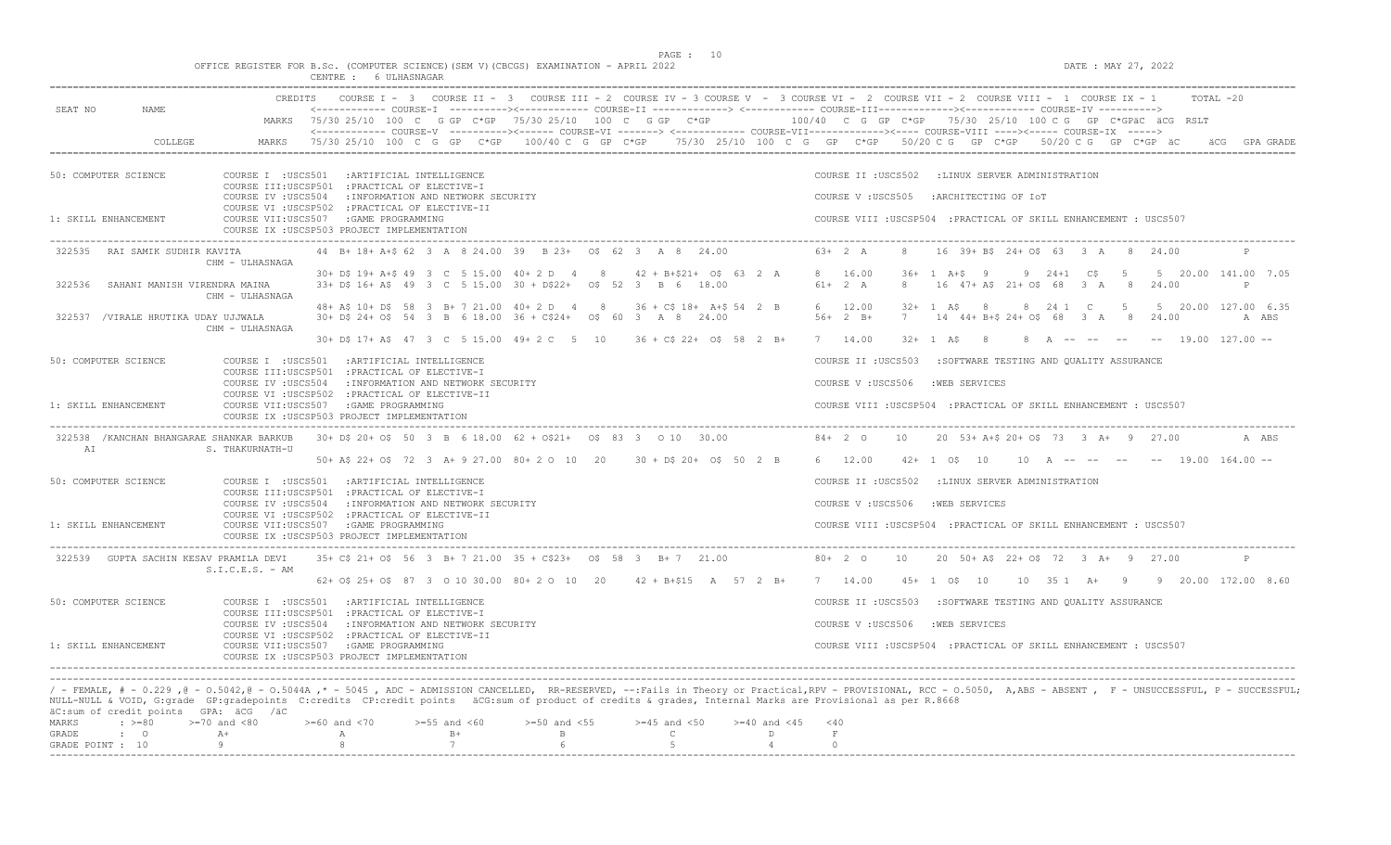$DATA: MAX 27, 2022$ 

|  |  |  |                       |  | OFFICE REGISTER FOR B.Sc. (COMPUTER SCIENCE) (SEM V) (CBCGS) EXAMINATION - APRIL 2022 |  |  |
|--|--|--|-----------------------|--|---------------------------------------------------------------------------------------|--|--|
|  |  |  | CENTRE : 6 ULHASNAGAR |  |                                                                                       |  |  |

| SEAT NO          | NAMF.                                                            | CREDITS                                                                                                                                                                                                                                                                                                                                                                                                     | COURSE $I - 3$            |                                    | COURSE II - 3 COURSE III - 2 COURSE IV - 3 COURSE V - 3 COURSE VI - 2 COURSE VII - 2 COURSE VIII - 1 COURSE IX - 1<br><------------ COURSE-I ----------><----------- COURSE-II -------------> <------------ COURSE-III------------><----------- COURSE-IV ----------> |                                  |                            |                         |                                                                   |    |                                                                     |                 |             |       | TOTAL -20                          |
|------------------|------------------------------------------------------------------|-------------------------------------------------------------------------------------------------------------------------------------------------------------------------------------------------------------------------------------------------------------------------------------------------------------------------------------------------------------------------------------------------------------|---------------------------|------------------------------------|-----------------------------------------------------------------------------------------------------------------------------------------------------------------------------------------------------------------------------------------------------------------------|----------------------------------|----------------------------|-------------------------|-------------------------------------------------------------------|----|---------------------------------------------------------------------|-----------------|-------------|-------|------------------------------------|
|                  |                                                                  |                                                                                                                                                                                                                                                                                                                                                                                                             |                           |                                    | MARKS 75/30 25/10 100 C G GP C*GP 75/30 25/10 100 C G GP C*GP<br><------------ COURSE-V ----------><----- COURSE-VI -------> <------------ COURSE-VII-----------><---- COURSE-VIII ----><----- COURSE-IX ----->                                                       |                                  |                            |                         | $100/40$ C G GP C*GP $75/30$ 25/10 100 C G GP C*GPäC äCG RSLT     |    |                                                                     |                 |             |       |                                    |
|                  | COLLEGE                                                          | MARKS                                                                                                                                                                                                                                                                                                                                                                                                       |                           |                                    | 75/30 25/10 100 C G GP C*GP 100/40 C G GP C*GP 75/30 25/10 100 C G GP C*GP 50/20 C G GP C*GP 50/20 C G GP C*GP äC                                                                                                                                                     |                                  |                            |                         |                                                                   |    |                                                                     |                 |             |       | ACG GPA GRADE                      |
|                  | 50: COMPUTER SCIENCE                                             | COURSE I : USCS501<br>COURSE III:USCSP501 : PRACTICAL OF ELECTIVE-I                                                                                                                                                                                                                                                                                                                                         | : ARTIFICIAL INTELLIGENCE |                                    |                                                                                                                                                                                                                                                                       |                                  |                            |                         | COURSE II : USCS502 : LINUX SERVER ADMINISTRATION                 |    |                                                                     |                 |             |       |                                    |
|                  |                                                                  | COURSE IV : USCS504<br>COURSE VI : USCSP502 : PRACTICAL OF ELECTIVE-II                                                                                                                                                                                                                                                                                                                                      |                           | : INFORMATION AND NETWORK SECURITY |                                                                                                                                                                                                                                                                       |                                  |                            |                         | COURSE V: USCS505                                                 |    | :ARCHITECTING OF IOT                                                |                 |             |       |                                    |
|                  | 1: SKILL ENHANCEMENT                                             | COURSE VII:USCS507 :GAME PROGRAMMING<br>COURSE IX : USCSP503 PROJECT IMPLEMENTATION                                                                                                                                                                                                                                                                                                                         |                           |                                    |                                                                                                                                                                                                                                                                       |                                  |                            |                         | COURSE VIII : USCSP504 : PRACTICAL OF SKILL ENHANCEMENT : USCS507 |    |                                                                     |                 |             |       |                                    |
| 322535           | RAI SAMIK SUDHIR KAVITA                                          | CHM - ULHASNAGA                                                                                                                                                                                                                                                                                                                                                                                             |                           |                                    | 44 B+ 18+ A+\$ 62 3 A 8 24.00 39 B 23+ 0\$ 62 3 A 8 24.00                                                                                                                                                                                                             |                                  |                            |                         | $6.3 + 2 A$                                                       |    | 16 39 + BS 24 + 05 63 3 A 8 24.00                                   |                 |             |       |                                    |
| 322536           | SAHANI MANISH VIRENDRA MAINA                                     | CHM - ULHASNAGA                                                                                                                                                                                                                                                                                                                                                                                             |                           |                                    | 30+ D\$ 19+ A+\$ 49 3 C 5 15.00 40+ 2 D 4 8<br>33+ D\$ 16+ A\$ 49 3 C 5 15.00 30 + D\$22+ 0\$ 52 3 B 6 18.00                                                                                                                                                          |                                  | $42 + B + S21 + OS 63 2 A$ |                         | 8 16.00<br>$61+$ 2 A                                              | 8  | $36+ 1 A+S 9$<br>$16$ $47+$ $A\$ $21+$ $O\$ $68$ $3$ A              | $9 \t24+1 \tC5$ | $-5$<br>- 8 | 24.00 | 5 20.00 141.00 7.05<br>P           |
|                  | 322537 /VIRALE HRUTIKA UDAY UJJWALA                              |                                                                                                                                                                                                                                                                                                                                                                                                             |                           |                                    | 48+ A\$ 10+ D\$ 58 3 B+ 7 21.00 40+ 2 D 4 8 36 + C\$ 18+ A+\$ 54 2 B<br>30+ D\$ 24+ O\$ 54 3 B 6 18.00 36 + C\$24+ 0\$ 60 3 A 8 24.00                                                                                                                                 |                                  |                            |                         | 6 12.00<br>$56+2 B+$                                              | 7  | $32 + 1$ AS<br>$\overline{8}$<br>14 44+ B+\$ 24+ 0\$ 68 3 A 8 24.00 | 8 24 1 C        | $5^{\circ}$ |       | 5 20.00 127.00 6.35<br>A ABS       |
|                  |                                                                  | CHM - ULHASNAGA                                                                                                                                                                                                                                                                                                                                                                                             |                           |                                    | 30+ D\$ 17+ A\$ 47 3 C 5 15.00 49+ 2 C 5 10 36 + C\$ 22+ 0\$ 58 2 B+                                                                                                                                                                                                  |                                  |                            |                         | 7 14.00                                                           |    | $32 + 1$ A\$ 8                                                      |                 |             |       | 8 A -- -- -- -- 19.00 127.00 --    |
|                  | 50: COMPUTER SCIENCE                                             | COURSE I : USCS501 : ARTIFICIAL INTELLIGENCE                                                                                                                                                                                                                                                                                                                                                                |                           |                                    |                                                                                                                                                                                                                                                                       |                                  |                            |                         | COURSE II : USCS503                                               |    | :SOFTWARE TESTING AND QUALITY ASSURANCE                             |                 |             |       |                                    |
|                  |                                                                  | COURSE III:USCSP501 : PRACTICAL OF ELECTIVE-I<br>COURSE IV :USCS504                                                                                                                                                                                                                                                                                                                                         |                           | : INFORMATION AND NETWORK SECURITY |                                                                                                                                                                                                                                                                       |                                  |                            |                         | COURSE V: USCS506                                                 |    | :WEB SERVICES                                                       |                 |             |       |                                    |
|                  | 1: SKILL ENHANCEMENT                                             | COURSE VI : USCSP502 : PRACTICAL OF ELECTIVE-II<br>COURSE VII:USCS507 : GAME PROGRAMMING<br>COURSE IX : USCSP503 PROJECT IMPLEMENTATION                                                                                                                                                                                                                                                                     |                           |                                    |                                                                                                                                                                                                                                                                       |                                  |                            |                         | COURSE VIII : USCSP504 : PRACTICAL OF SKILL ENHANCEMENT : USCS507 |    |                                                                     |                 |             |       |                                    |
| AI               | 322538 / KANCHAN BHANGARAE SHANKAR BARKUB                        | S. THAKURNATH-U                                                                                                                                                                                                                                                                                                                                                                                             |                           |                                    | 30+ D\$ 20+ O\$ 50 3 B 6 18.00 62 + O\$21+ 0\$ 83 3 0 10 30.00                                                                                                                                                                                                        |                                  |                            |                         | $84+20$                                                           | 10 | 20 53+ A+\$ 20+ 0\$ 73 3 A+ 9 27.00                                 |                 |             |       | A ABS                              |
|                  |                                                                  |                                                                                                                                                                                                                                                                                                                                                                                                             |                           |                                    | 50+ A\$ 22+ O\$ 72 3 A+ 9 27.00 80+ 2 O 10 20 30 + D\$ 20+ O\$ 50 2 B                                                                                                                                                                                                 |                                  |                            |                         | 6 12.00                                                           |    | $42+1$ $05$ $10$                                                    |                 |             |       | $10$ A -- -- -- -- 19.00 164.00 -- |
|                  | 50: COMPUTER SCIENCE                                             | COURSE I : USCS501 : ARTIFICIAL INTELLIGENCE                                                                                                                                                                                                                                                                                                                                                                |                           |                                    |                                                                                                                                                                                                                                                                       |                                  |                            |                         | COURSE II : USCS502 : LINUX SERVER ADMINISTRATION                 |    |                                                                     |                 |             |       |                                    |
|                  |                                                                  | COURSE III:USCSP501 : PRACTICAL OF ELECTIVE-I<br>COURSE IV : USCS504 : INFORMATION AND NETWORK SECURITY                                                                                                                                                                                                                                                                                                     |                           |                                    |                                                                                                                                                                                                                                                                       |                                  |                            |                         | COURSE V : USCS506                                                |    | :WEB SERVICES                                                       |                 |             |       |                                    |
|                  | 1: SKILL ENHANCEMENT                                             | COURSE VI : USCSP502 : PRACTICAL OF ELECTIVE-II<br>COURSE VII:USCS507 : GAME PROGRAMMING<br>COURSE IX : USCSP503 PROJECT IMPLEMENTATION                                                                                                                                                                                                                                                                     |                           |                                    |                                                                                                                                                                                                                                                                       |                                  |                            |                         | COURSE VIII : USCSP504 : PRACTICAL OF SKILL ENHANCEMENT : USCS507 |    |                                                                     |                 |             |       |                                    |
|                  | 322539 GUPTA SACHIN KESAV PRAMILA DEVI                           | $S.I.C.E.S. - AM$                                                                                                                                                                                                                                                                                                                                                                                           |                           |                                    | 35+ C\$ 21+ O\$ 56 3 B+ 7 21.00 35 + C\$23+ 0\$ 58 3 B+ 7 21.00                                                                                                                                                                                                       |                                  |                            |                         | $80+20$                                                           | 10 | 20 50+ A\$ 22+ O\$ 72 3 A+ 9 27.00                                  |                 |             |       |                                    |
|                  |                                                                  |                                                                                                                                                                                                                                                                                                                                                                                                             |                           |                                    | 62+ 0\$ 25+ 0\$ 87 3 0 10 30.00 80+ 2 0 10 20 42 + B+\$15 A 57 2 B+ 7 14.00                                                                                                                                                                                           |                                  |                            |                         |                                                                   |    | $45+1$ $05$ $10$                                                    |                 |             |       | 10 35 1 A+ 9 9 20.00 172.00 8.60   |
|                  | 50: COMPUTER SCIENCE                                             | COURSE I : USCS501 : ARTIFICIAL INTELLIGENCE                                                                                                                                                                                                                                                                                                                                                                |                           |                                    |                                                                                                                                                                                                                                                                       |                                  |                            |                         | COURSE II : USCS503                                               |    | :SOFTWARE TESTING AND QUALITY ASSURANCE                             |                 |             |       |                                    |
|                  |                                                                  | COURSE III:USCSP501 : PRACTICAL OF ELECTIVE-I<br>COURSE IV : USCS504                                                                                                                                                                                                                                                                                                                                        |                           | : INFORMATION AND NETWORK SECURITY |                                                                                                                                                                                                                                                                       |                                  |                            |                         | COURSE V: USCS506                                                 |    | :WEB SERVICES                                                       |                 |             |       |                                    |
|                  | 1: SKILL ENHANCEMENT                                             | COURSE VI : USCSP502 : PRACTICAL OF ELECTIVE-II<br>COURSE VII:USCS507 :GAME PROGRAMMING                                                                                                                                                                                                                                                                                                                     |                           |                                    |                                                                                                                                                                                                                                                                       |                                  |                            |                         | COURSE VIII : USCSP504 : PRACTICAL OF SKILL ENHANCEMENT : USCS507 |    |                                                                     |                 |             |       |                                    |
|                  |                                                                  | COURSE IX : USCSP503 PROJECT IMPLEMENTATION                                                                                                                                                                                                                                                                                                                                                                 |                           |                                    |                                                                                                                                                                                                                                                                       |                                  |                            |                         |                                                                   |    |                                                                     |                 |             |       |                                    |
| MARKS<br>GRADE   | äC:sum of credit points GPA: äCG /äC<br>$\div$ >=80<br>$\cdot$ 0 | / - FEMALE, # - 0.229, @ - 0.5042, @ - 0.5044A,* - 5045, ADC - ADMISSION CANCELLED, RR-RESERVED, --:Fails in Theory or Practical,RPV - PROVISIONAL, RCC - 0.5050, A,ABS - ABSENT, F - UNSUCCESSFUL, P - SUCCESSFUL;<br>NULL-NULL & VOID, G:grade GP:gradepoints C:credits CP:credit points äCG:sum of product of credits & grades, Internal Marks are Provisional as per R.8668<br>$>=70$ and $<80$<br>$A+$ | $>= 60$ and $< 70$<br>A   | $>=55$ and $<60$<br>$B+$           | $>=50$ and $<55$<br>$\mathbf{B}$                                                                                                                                                                                                                                      | $>=45$ and $<50$<br>$\mathsf{C}$ |                            | $>= 40$ and $< 45$<br>D | $<$ 40<br>$\mathbf{F}$                                            |    |                                                                     |                 |             |       |                                    |
| GRADE POINT : 10 |                                                                  | $\alpha$                                                                                                                                                                                                                                                                                                                                                                                                    | $\mathcal{R}$             | 7                                  | 6                                                                                                                                                                                                                                                                     | 5 <sub>1</sub>                   |                            | $\overline{4}$          | $\Omega$                                                          |    |                                                                     |                 |             |       |                                    |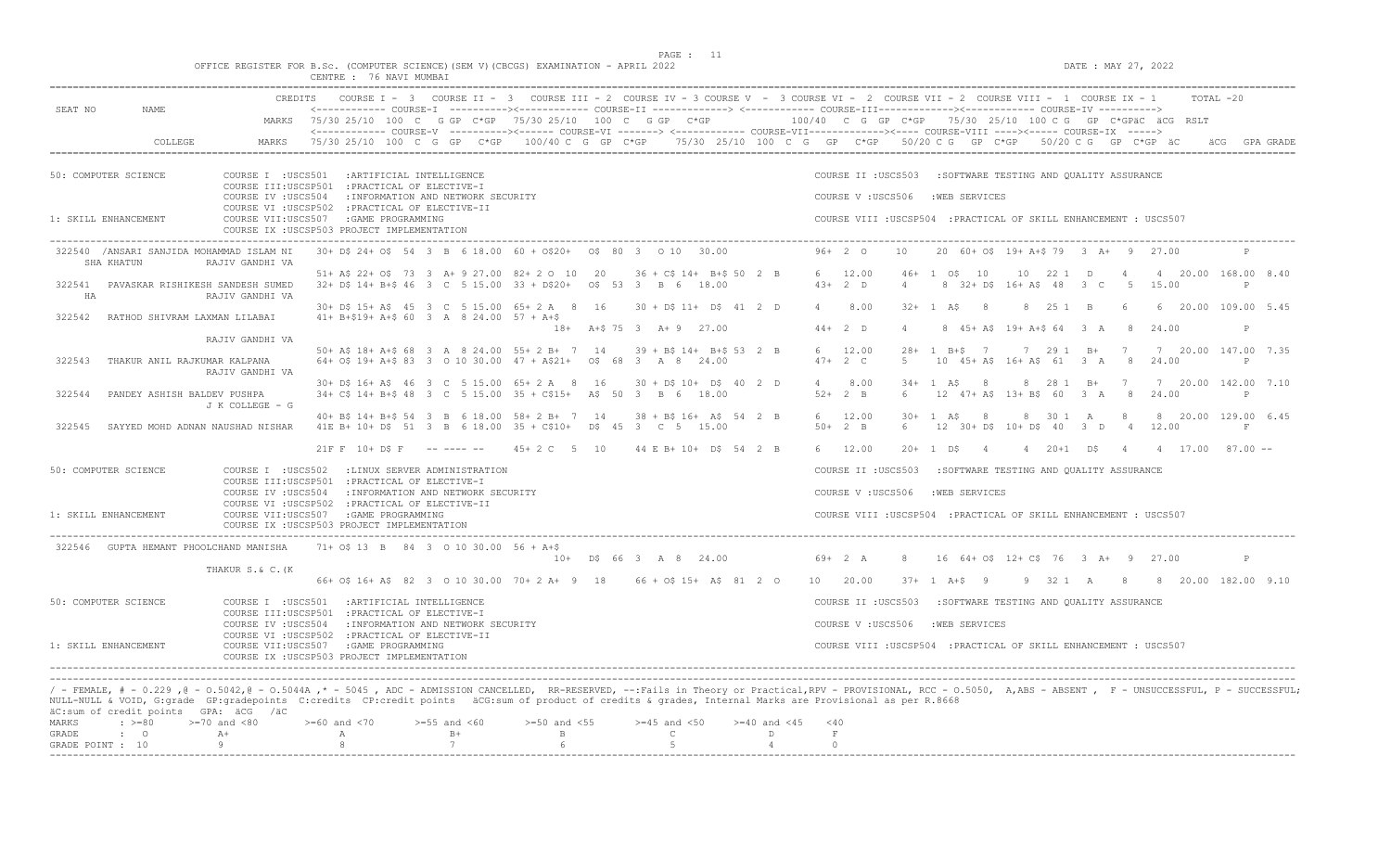$DATA: MAX 27, 2022$ 

|  |  |                         |  | OFFICE REGISTER FOR B.Sc. (COMPUTER SCIENCE)(SEM V)(CBCGS) EXAMINATION - APRIL 2022 |  |
|--|--|-------------------------|--|-------------------------------------------------------------------------------------|--|
|  |  | CENTRE : 76 NAVI MUMBAI |  |                                                                                     |  |

| SEAT NO                   | NAME                                                   | <b>CREDITS</b>           | COURSE $I - 3$                                                                                                                                                                                                                                                                                                                                                                  |                                    | COURSE II - 3 COURSE III - 2 COURSE IV - 3 COURSE V - 3 COURSE VI - 2 COURSE VII - 2 COURSE VIII - 1 COURSE IX - 1 |                                  |                                          |                         |                |                                                                   |                |                    |                |                                          |            |                |                     |                  | TOTAL -20                           |
|---------------------------|--------------------------------------------------------|--------------------------|---------------------------------------------------------------------------------------------------------------------------------------------------------------------------------------------------------------------------------------------------------------------------------------------------------------------------------------------------------------------------------|------------------------------------|--------------------------------------------------------------------------------------------------------------------|----------------------------------|------------------------------------------|-------------------------|----------------|-------------------------------------------------------------------|----------------|--------------------|----------------|------------------------------------------|------------|----------------|---------------------|------------------|-------------------------------------|
|                           |                                                        |                          | MARKS 75/30 25/10 100 C G GP C*GP 75/30 25/10 100 C G GP C*GP 100/40 C G GP C*GP 75/30 25/10 100 C G GP C*GPäC äCG RSLT<br><------------- COURSE-V ----------><------ COURSE-VI -------> <------------ COURSE-VII-----------><---- COURSE-VIII ----><----- COURSE-IX ----->                                                                                                     |                                    |                                                                                                                    |                                  |                                          |                         |                |                                                                   |                |                    |                |                                          |            |                |                     |                  |                                     |
|                           | COLLEGE                                                | MARKS                    | 75/30 25/10 100 C G GP C*GP 100/40 C G GP C*GP 75/30 25/10 100 C G GP C*GP 50/20 C G GP C*GP 50/20 C G GP C*GP äC                                                                                                                                                                                                                                                               |                                    |                                                                                                                    |                                  |                                          |                         |                |                                                                   |                |                    |                |                                          |            |                |                     |                  | äCG GPA GRADE                       |
|                           | 50: COMPUTER SCIENCE                                   |                          | COURSE I : USCS501 : ARTIFICIAL INTELLIGENCE<br>COURSE III:USCSP501 : PRACTICAL OF ELECTIVE-I                                                                                                                                                                                                                                                                                   |                                    |                                                                                                                    |                                  |                                          |                         |                | COURSE II : USCS503                                               |                |                    |                | : SOFTWARE TESTING AND QUALITY ASSURANCE |            |                |                     |                  |                                     |
|                           |                                                        | COURSE IV : USCS504      | COURSE VI : USCSP502 : PRACTICAL OF ELECTIVE-II                                                                                                                                                                                                                                                                                                                                 | : INFORMATION AND NETWORK SECURITY |                                                                                                                    |                                  |                                          |                         |                | COURSE V: USCS506                                                 |                |                    | :WEB SERVICES  |                                          |            |                |                     |                  |                                     |
|                           | 1: SKILL ENHANCEMENT                                   |                          | COURSE VII:USCS507 :GAME PROGRAMMING<br>COURSE IX : USCSP503 PROJECT IMPLEMENTATION                                                                                                                                                                                                                                                                                             |                                    |                                                                                                                    |                                  |                                          |                         |                | COURSE VIII : USCSP504 : PRACTICAL OF SKILL ENHANCEMENT : USCS507 |                |                    |                |                                          |            |                |                     |                  |                                     |
|                           | 322540 /ANSARI SANJIDA MOHAMMAD ISLAM NI<br>SHA KHATUN | RAJIV GANDHI VA          | 30+ D\$ 24+ O\$ 54 3 B 6 18.00 60 + O\$20+ 0\$ 80 3 0 10 30.00                                                                                                                                                                                                                                                                                                                  |                                    |                                                                                                                    |                                  |                                          |                         |                | $96+20$                                                           | 10             |                    |                | 20 60+ 0\$ 19+ A+\$ 79 3 A+ 9 27.00      |            |                |                     |                  |                                     |
| HA                        | 322541 PAVASKAR RISHIKESH SANDESH SUMED                | RAJIV GANDHI VA          | 51+ A\$ 22+ O\$ 73 3 A+ 9 27.00 82+ 2 O 10 20<br>32+ D\$ 14+ B+\$ 46 3 C 5 15.00 33 + D\$20+ 0\$ 53 3 B 6                                                                                                                                                                                                                                                                       |                                    |                                                                                                                    |                                  | $36 + C$ \$ 14+ B+\$ 50 2 B<br>18.00     |                         |                | 6 12.00<br>$43+2$ D                                               | $\overline{4}$ | $46+105$           | 10             | 8 32+ D\$ 16+ A\$ 48                     | 10 22 1 D  | 3 <sup>2</sup> | $\overline{4}$      | 5 15.00          | 4 20.00 168.00 8.40<br>$\mathsf{P}$ |
| 322542                    | RATHOD SHIVRAM LAXMAN LILABAI                          |                          | 30+ D\$ 15+ A\$ 45 3 C 5 15.00 65+ 2 A 8 16<br>$41+ B+519+ A+5 60 3 A 8 24.00 57 + A+5$                                                                                                                                                                                                                                                                                         |                                    |                                                                                                                    |                                  | $30 + D\$ 11+ $D\$ 41 2 D                |                         |                | $4 \t 8.00$                                                       |                | $32 + 1$ AS        | - 8            |                                          | 8 25 1 B   |                | -6                  |                  | 6 20.00 109.00 5.45                 |
|                           |                                                        |                          |                                                                                                                                                                                                                                                                                                                                                                                 |                                    | $18+$                                                                                                              | A+\$75 3 A+9 27.00               |                                          |                         |                | $44+2$ D                                                          | $\overline{4}$ |                    |                | 8 45+ A\$ 19+ A+\$ 64 3 A                |            |                | 8 <sup>1</sup>      | 24.00            | P                                   |
| 322543                    | THAKUR ANIL RAJKUMAR KALPANA                           | RAJIV GANDHI VA          | 50+ A\$ 18+ A+\$ 68 3 A 8 24.00 55+ 2 B+ 7 14<br>64+ O\$ 19+ A+\$ 83 3 0 10 30.00 47 + A\$21+ 0\$ 68 3 A 8 24.00                                                                                                                                                                                                                                                                |                                    |                                                                                                                    |                                  | $39 + B5$ 14+ B+\$ 53 2 B                |                         |                | 6 12.00<br>$47+2$ C                                               | 5              | $28 + 1$ B+S 7     |                | 10 45+ A\$ 16+ A\$ 61 3 A 8 24.00        | 7 29 1 B+  |                | $7\phantom{0}$      |                  | 7 20.00 147.00 7.35<br>P            |
| 322544                    | PANDEY ASHISH BALDEV PUSHPA                            | RAJIV GANDHI VA          | 30+ D\$ 16+ A\$ 46 3 C 5 15.00 65+ 2 A 8 16<br>$34+$ C\$ 14+ B+\$ 48 3 C 5 15.00 35 + C\$15+                                                                                                                                                                                                                                                                                    |                                    |                                                                                                                    | A\$ 50 3 B 6 18.00               | $30 + D$$ $10 + D$$ $40$ 2 D             |                         | $\overline{4}$ | 8.00<br>$52+2$ B                                                  | 6              | $34+1$ A\$         | $_{\rm 8}$     | 12 47+ A\$ 13+ B\$ 60 3 A                | 8 28 1 B+  |                | $\overline{7}$<br>8 | 24.00            | 7 20.00 142.00 7.10<br>P            |
|                           |                                                        | J K COLLEGE - G          | 40+ B\$ 14+ B+\$ 54 3 B 6 18.00 58+ 2 B+ 7 14                                                                                                                                                                                                                                                                                                                                   |                                    |                                                                                                                    |                                  | $38 + B\frac{2}{16} + A\frac{2}{16} + 3$ |                         |                | 6 12.00                                                           | $30+$          | 1 A \$             | 8              |                                          | 8 30 1 A   |                | -8                  |                  | 8 20.00 129.00 6.45                 |
| 322545                    | SAYYED MOHD ADNAN NAUSHAD NISHAR                       |                          | 41E B+ 10+ D\$ 51 3 B 6 18.00 35 + C\$10+                                                                                                                                                                                                                                                                                                                                       |                                    |                                                                                                                    | D\$ 45 3 C 5 15.00               |                                          |                         |                | $50+2$ B                                                          | 6              |                    |                | 12 30+ D\$ 10+ D\$ 40                    |            | 3 D            |                     | 4 12.00          | F                                   |
|                           |                                                        |                          | $21F$ F $10+$ DS F                                                                                                                                                                                                                                                                                                                                                              | ---------                          | $45 + 2$ C 5 10                                                                                                    |                                  | 44 E B+ 10+ D\$ 54 2 B                   |                         |                | 6 12.00                                                           | $20+$          | 1 DS               | $\overline{4}$ |                                          | 4 20+1 D\$ |                | $\overline{4}$      | 4 17.00 87.00 -- |                                     |
|                           | 50: COMPUTER SCIENCE                                   | COURSE I :USCS502        | COURSE III:USCSP501 : PRACTICAL OF ELECTIVE-I<br>COURSE IV : USCS504 : INFORMATION AND NETWORK SECURITY                                                                                                                                                                                                                                                                         | :LINUX SERVER ADMINISTRATION       |                                                                                                                    |                                  |                                          |                         |                | COURSE II : USCS503<br>COURSE V: USCS506                          |                |                    | :WEB SERVICES  | :SOFTWARE TESTING AND QUALITY ASSURANCE  |            |                |                     |                  |                                     |
|                           | 1: SKILL ENHANCEMENT                                   |                          | COURSE VI : USCSP502 : PRACTICAL OF ELECTIVE-II<br>COURSE VII:USCS507 : GAME PROGRAMMING<br>COURSE IX : USCSP503 PROJECT IMPLEMENTATION                                                                                                                                                                                                                                         |                                    |                                                                                                                    |                                  |                                          |                         |                | COURSE VIII : USCSP504 : PRACTICAL OF SKILL ENHANCEMENT : USCS507 |                |                    |                |                                          |            |                |                     |                  |                                     |
|                           | 322546 GUPTA HEMANT PHOOLCHAND MANISHA                 |                          | 71+ 0\$ 13 B 84 3 0 10 30.00 56 + A+\$                                                                                                                                                                                                                                                                                                                                          |                                    |                                                                                                                    | $10+$ D\$ 66 3 A 8 24.00         |                                          |                         |                | $69 + 2 A$                                                        | 8              |                    |                | 16 64+ 0\$ 12+ C\$ 76 3 A+ 9 27.00       |            |                |                     |                  | $\mathsf{P}$                        |
|                           |                                                        | THAKUR S.& C. (K         | 66+ 0\$ 16+ A\$ 82 3 0 10 30.00 70+ 2 A+ 9 18 66 + 0\$ 15+ A\$ 81 2 0                                                                                                                                                                                                                                                                                                           |                                    |                                                                                                                    |                                  |                                          |                         |                | 10 20.00                                                          |                | $37 + 1$ $A + S$ 9 |                |                                          |            |                |                     |                  | 9 32 1 A 8 8 20.00 182.00 9.10      |
|                           | 50: COMPUTER SCIENCE                                   |                          | COURSE I : USCS501 : ARTIFICIAL INTELLIGENCE                                                                                                                                                                                                                                                                                                                                    |                                    |                                                                                                                    |                                  |                                          |                         |                | COURSE II : USCS503                                               |                |                    |                | :SOFTWARE TESTING AND OUALITY ASSURANCE  |            |                |                     |                  |                                     |
|                           |                                                        | COURSE IV : USCS504      | COURSE III:USCSP501 : PRACTICAL OF ELECTIVE-I                                                                                                                                                                                                                                                                                                                                   | : INFORMATION AND NETWORK SECURITY |                                                                                                                    |                                  |                                          |                         |                | COURSE V: USCS506                                                 |                |                    | :WEB SERVICES  |                                          |            |                |                     |                  |                                     |
|                           | 1: SKILL ENHANCEMENT                                   |                          | COURSE VI : USCSP502 : PRACTICAL OF ELECTIVE-II<br>COURSE VII:USCS507 :GAME PROGRAMMING<br>COURSE IX : USCSP503 PROJECT IMPLEMENTATION                                                                                                                                                                                                                                          |                                    |                                                                                                                    |                                  |                                          |                         |                | COURSE VIII : USCSP504 : PRACTICAL OF SKILL ENHANCEMENT : USCS507 |                |                    |                |                                          |            |                |                     |                  |                                     |
|                           |                                                        |                          |                                                                                                                                                                                                                                                                                                                                                                                 |                                    |                                                                                                                    |                                  |                                          |                         |                |                                                                   |                |                    |                |                                          |            |                |                     |                  |                                     |
|                           | äC:sum of credit points GPA: äCG /äC                   |                          | / - FEMALE, # - 0.229, @ - 0.5042, @ - 0.5044A,* - 5045, ADC - ADMISSION CANCELLED, RR-RESERVED, --:Fails in Theory or Practical,RPV - PROVISIONAL, RCC - 0.5050, A,ABS - ABSENT, F - UNSUCCESSFUL, P - SUCCESSFUL;<br>NULL-NULL & VOID, G:grade GP:gradepoints C:credits CP:credit points äCG:sum of product of credits & grades, Internal Marks are Provisional as per R.8668 |                                    |                                                                                                                    |                                  |                                          |                         |                |                                                                   |                |                    |                |                                          |            |                |                     |                  |                                     |
| MARKS                     | $\div$ >=80                                            | $>=70$ and $<80$<br>$A+$ | $>=60$ and $<70$                                                                                                                                                                                                                                                                                                                                                                | $>=55$ and $<60$<br>$B+$           | $>=50$ and $<55$<br>$\overline{B}$                                                                                 | $>=45$ and $<50$<br>$\mathbb{C}$ |                                          | $>= 40$ and $< 45$<br>D | < 40<br>F      |                                                                   |                |                    |                |                                          |            |                |                     |                  |                                     |
| GRADE<br>GRADE POINT : 10 | $\cdot$ 0                                              | Q                        | $\mathbb{A}$<br>$\mathcal{R}$                                                                                                                                                                                                                                                                                                                                                   | 7                                  | 6                                                                                                                  | -5                               |                                          | $\overline{4}$          | $\Omega$       |                                                                   |                |                    |                |                                          |            |                |                     |                  |                                     |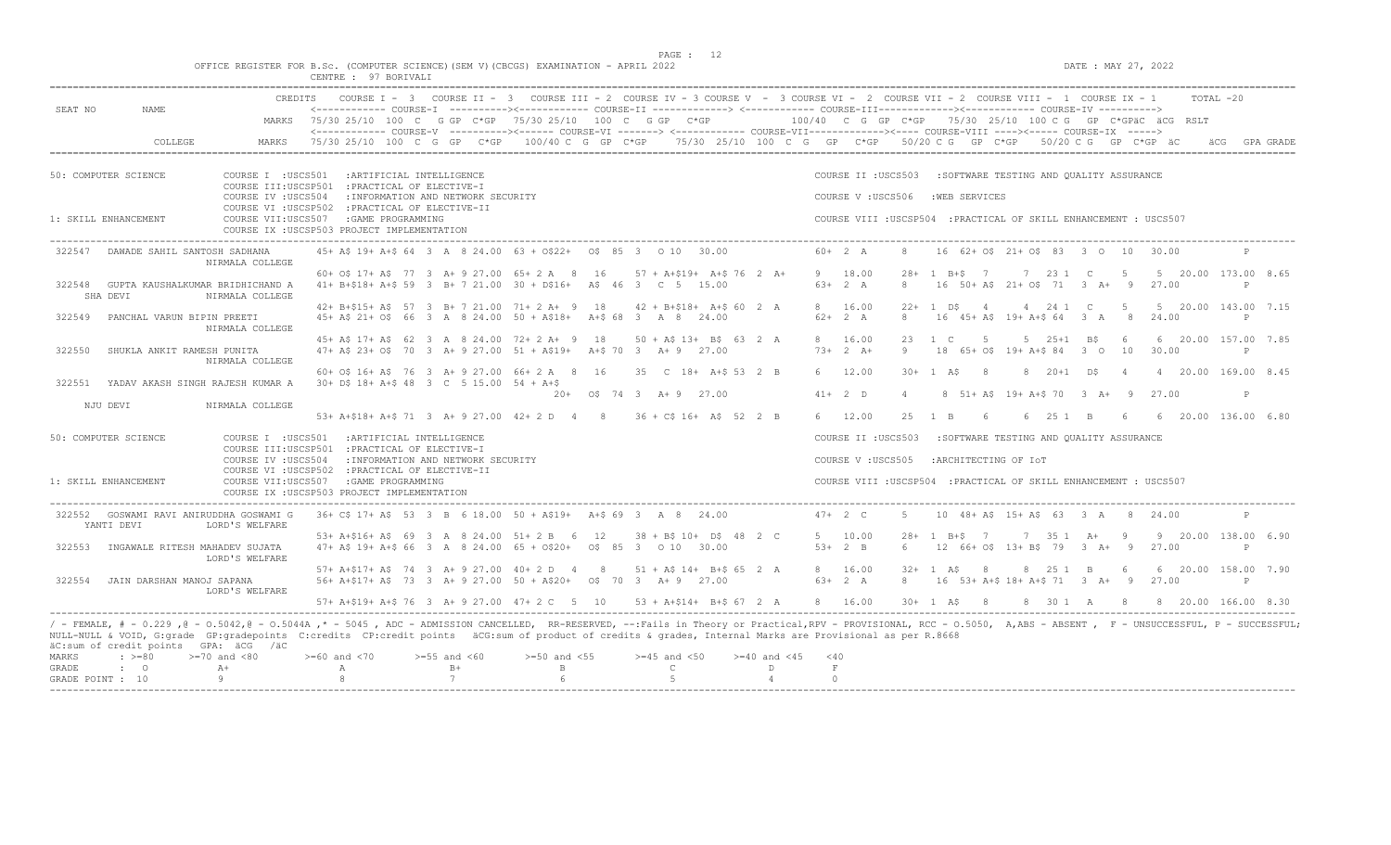DATE : MAY 27, 2022

|        | OFFICE REGISTER FOR B.Sc. (COMPUTER SCIENCE)(SEM V)(CBCGS) EXAMINATION - APRIL 2022 |  |
|--------|-------------------------------------------------------------------------------------|--|
| CENTRE | 97 BORTVALI                                                                         |  |

GRADE : O A+ A A B+ B C D F<br>GRADE POINT : 10 9 9 8 7 6 5 5 4 0

| SEAT NO              | <b>CREDITS</b><br>NAME.                                   | COURSE I - 3 COURSE II - 3 COURSE III - 2 COURSE IV - 3 COURSE V - 3 COURSE VI - 2 COURSE VII - 2 COURSE VIII - 1 COURSE IX - 1<br>TOTAL -20<br><------------ COURSE-T ----------><----------- COURSE-TT -------------> <------------ COURSE-TTT----------><---------><---------- COURSE-TV ---------->                                                                       |
|----------------------|-----------------------------------------------------------|-------------------------------------------------------------------------------------------------------------------------------------------------------------------------------------------------------------------------------------------------------------------------------------------------------------------------------------------------------------------------------|
|                      | MARKS                                                     | $75/30$ 25/10 100 C G GP C*GP 75/30 25/10 100 C G GP C*GP $-$ 100/40 C G GP C*GP 75/30 25/10 100 C G GP C*GPäC äCG RSLT                                                                                                                                                                                                                                                       |
|                      | COLLEGE<br>MARKS                                          | 75/30 25/10 100 C G GP C*GP 100/40 C G GP C*GP 75/30 25/10 100 C G GP C*GP 50/20 C G GP C*GP 50/20 C G GP C*GP äC<br>GPA GRADE                                                                                                                                                                                                                                                |
| 50: COMPUTER SCIENCE | COURSE I : USCS501                                        | COURSE II : USCS503<br>: ARTIFICIAL INTELLIGENCE<br>:SOFTWARE TESTING AND OUALITY ASSURANCE<br>COURSE III:USCSP501 : PRACTICAL OF ELECTIVE-I                                                                                                                                                                                                                                  |
| 1: SKILL ENHANCEMENT | COURSE IV : USCS504<br>COURSE VII:USCS507                 | : INFORMATION AND NETWORK SECURITY<br>COURSE V: USCS506<br>:WEB SERVICES<br>COURSE VI : USCSP502 : PRACTICAL OF ELECTIVE-II<br>: GAME PROGRAMMING<br>COURSE VIII : USCSP504 : PRACTICAL OF SKILL ENHANCEMENT : USCS507<br>COURSE IX : USCSP503 PROJECT IMPLEMENTATION                                                                                                         |
| 322547               | DAWADE SAHIL SANTOSH SADHANA<br>NIRMALA COLLEGE           | 45+ A\$ 19+ A+\$ 64 3 A 8 24.00 63 + 0\$22+ 0\$ 85 3 0 10 30.00<br>$60+2 A$<br>16 62+ 0\$ 21+ 0\$ 83 3 0 10 30.00<br>8<br>$\mathsf{P}$                                                                                                                                                                                                                                        |
| 322548<br>SHA DEVI   | GUPTA KAUSHALKUMAR BRIDHICHAND A<br>NIRMALA COLLEGE       | 60+ 0\$ 17+ A\$ 77 3 A+ 9 27.00 65+ 2 A 8 16 57 + A+\$19+ A+\$ 76 2 A+<br>9 18.00<br>$28 + 1$ B+\$ 7<br>7 23 1 C<br>$5 -$<br>5 20.00 173.00 8.65<br>$63+2 A$<br>41+ B+\$18+ A+\$ 59 3 B+ 7 21.00 30 + D\$16+ A\$ 46 3 C 5 15.00<br>16 50+ A\$ 21+ 0\$ 71 3 A+ 9 27.00<br>8<br>P                                                                                               |
| 322549               | PANCHAL VARUN BIPIN PREETI<br>NIRMALA COLLEGE             | 42+ B+\$15+ A\$ 57 3 B+ 7 21.00 71+ 2 A+ 9 18<br>5 20.00 143.00 7.15<br>$42 + B + $18 + A + $602$ A<br>8 16.00<br>$22+1$ DS<br>4 24 1 C<br>$5^{\circ}$<br>4<br>45+ A\$ 21+ O\$ 66 3 A 8 24.00 50 + A\$18+ A+\$ 68 3 A 8 24.00<br>$62 + 2 A$<br>16 45+ A\$ 19+ A+\$ 64 3 A<br>$\mathcal{R}$<br>- 8<br>24.00<br>$\mathsf{P}$                                                    |
| 322550               | SHUKLA ANKIT RAMESH PUNITA<br>NIRMALA COLLEGE             | 45+ A\$ 17+ A\$ 62 3 A 8 24.00 72+ 2 A+ 9 18<br>8 16.00<br>6 20.00 157.00 7.85<br>$50 + AS$ 13+ B\$ 63 2 A<br>$23 \t 1 \t C$<br>5<br>$5 \t 25+1 \t B5$<br>6<br>30.00<br>$47+$ AS 23+ OS 70 3 A+ 9 27.00 51 + AS19+<br>$73+2 A+$<br>9<br>18 65+ 0\$ 19+ A+\$ 84<br>$3^{\circ}$<br>10<br>A+\$70 3 A+9 27.00<br>P                                                                |
| 322551               | YADAV AKASH SINGH RAJESH KUMAR A                          | 60+ O\$ 16+ A\$ 76 3 A+ 9 27.00 66+ 2 A 8 16<br>35 C 18+ A+\$ 53 2 B<br>6 12.00<br>$30 + 1$ AS<br>$_{\rm 8}$<br>$8 \t20+1 \tD5$<br>4 20.00 169.00 8.45<br>$\overline{4}$<br>$30+$ D\$ 18+ A+\$ 48 3 C 5 15.00 54 + A+\$                                                                                                                                                       |
| NJU DEVI             | NIRMALA COLLEGE                                           | $41+2$ D<br>$20+$ $05$ 74 3 A + 9 27.00<br>$\overline{4}$<br>8 51+ A\$ 19+ A+\$ 70 3 A+ 9 27.00<br>P<br>53+ A+\$18+ A+\$ 71 3 A+ 9 27.00 42+ 2 D 4 8 36 + C\$ 16+ A\$ 52 2 B<br>6 12.00<br>6 25 1 B<br>6 20.00 136.00 6.80<br>25 1 B<br>6<br>6 <sup>6</sup>                                                                                                                   |
| 50: COMPUTER SCIENCE | COURSE I : USCS501                                        | : ARTIFICIAL INTELLIGENCE<br>COURSE II : USCS503<br>:SOFTWARE TESTING AND OUALITY ASSURANCE                                                                                                                                                                                                                                                                                   |
|                      | COURSE IV : USCS504                                       | COURSE III:USCSP501 : PRACTICAL OF ELECTIVE-I<br>: INFORMATION AND NETWORK SECURITY<br>COURSE V: USCS505<br>:ARCHITECTING OF IOT                                                                                                                                                                                                                                              |
| 1: SKILL ENHANCEMENT | COURSE VII:USCS507                                        | COURSE VI : USCSP502 : PRACTICAL OF ELECTIVE-II<br>COURSE VIII : USCSP504 : PRACTICAL OF SKILL ENHANCEMENT : USCS507<br>:GAME PROGRAMMING<br>COURSE IX : USCSP503 PROJECT IMPLEMENTATION                                                                                                                                                                                      |
| YANTI DEVI           | 322552 GOSWAMI RAVI ANIRUDDHA GOSWAMI G<br>LORD'S WELFARE | 36+ C\$ 17+ A\$ 53 3 B 6 18.00 50 + A\$19+ A+\$ 69 3 A 8 24.00<br>$47+2$ C<br>-5<br>10 48 + A\$ 15 + A\$ 63 3 A 8<br>$\mathbb{P}$<br>24.00                                                                                                                                                                                                                                    |
| 322553               | INGAWALE RITESH MAHADEV SUJATA<br>LORD'S WELFARE          | 53+ A+\$16+ A\$ 69 3 A 8 24.00 51+ 2 B 6 12<br>$38 + B$ \$ 10+ D\$ 48 2 C<br>5 10.00<br>7 35 1 A+ 9<br>9 20.00 138.00 6.90<br>$28 + 1$ B+S 7<br>47+ A\$ 19+ A+\$ 66 3 A 8 24.00 65 + 0\$20+ 0\$ 85 3 0 10 30.00<br>$53+2$ B<br>12 66+ 0\$ 13+ B\$ 79 3 A+ 9 27.00<br>6<br>$\mathbb{P}$                                                                                        |
| 322554               | JAIN DARSHAN MANOJ SAPANA<br>LORD'S WELFARE               | 57+ A+\$17+ A\$ 74 3 A+ 9 27.00 40+ 2 D 4 8<br>$51 + AS 14 + B + S 65 2 A$<br>8 16.00<br>$32 + 1$ AS<br>$_{\rm 8}$<br>8 25 1 B<br>$6\overline{6}$<br>6 20.00 158.00 7.90<br>56+ A+\$17+ A\$ 73 3 A+ 9 27.00 50 + A\$20+ 0\$ 70 3 A+ 9 27.00<br>$63+2 A$<br>16 53+ A+\$ 18+ A+\$ 71 3 A+ 9 27.00<br>8<br>P                                                                     |
|                      |                                                           | 57+ A+\$19+ A+\$ 76 3 A+ 9 27.00 47+ 2 C 5 10 53 + A+\$14+ B+\$ 67 2 A<br>8 16.00<br>$30 + 1$ AS 8<br>8 30 1 A 8 8 20.00 166.00 8.30                                                                                                                                                                                                                                          |
|                      | äC:sum of credit points GPA: äCG /äC                      | / - FEMALE, # - 0.229,0 - 0.5042,0 - 0.5044A,* - 5045, ADC - ADMISSION CANCELLED, RR-RESERVED, --:Fails in Theory or Practical,RPV - PROVISIONAL, RCC - 0.5050, A,ABS - ABSENT, F - UNSUCCESSFUL, P - SUCCESSFUL,<br>NULL-NULL & VOID, G:grade GP:gradepoints C:credits CP:credit points äCG:sum of product of credits & grades, Internal Marks are Provisional as per R.8668 |
| MARKS<br>$: > = 80$  | $>=70$ and $<80$                                          | $>=55$ and $<60$<br>$>=50$ and $<55$<br>$>=45$ and $<50$<br>$>=60$ and $<70$<br>>=40 and <45<br>$<$ 40                                                                                                                                                                                                                                                                        |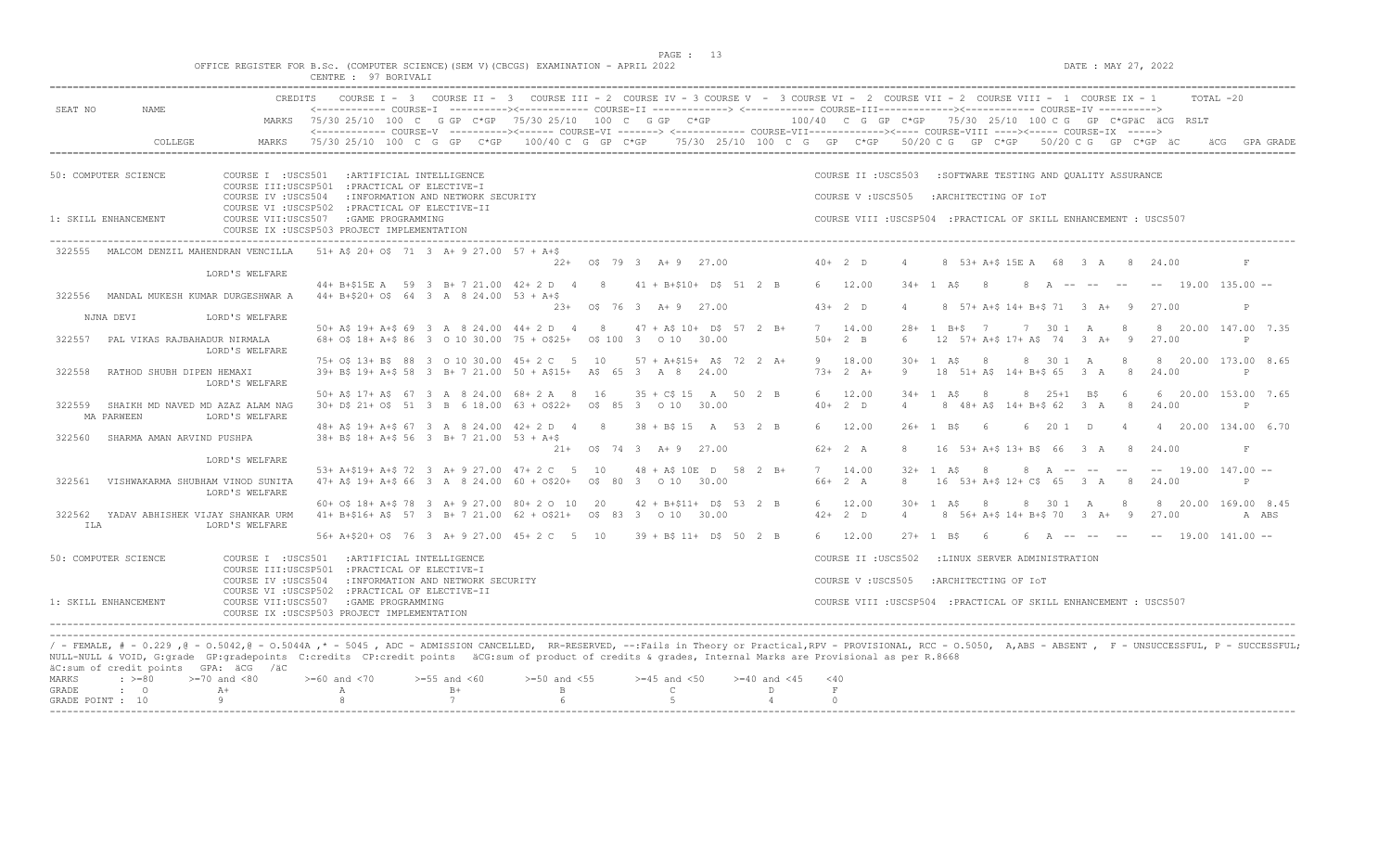$DATE: MAX 27, 2022$ 

|  |  |                      |  |  |  | OFFICE REGISTER FOR B.Sc. (COMPUTER SCIENCE)(SEM V)(CBCGS) EXAMINATION - APRIL 2022 |  |  |
|--|--|----------------------|--|--|--|-------------------------------------------------------------------------------------|--|--|
|  |  | CENTRE : 97 BORIVALI |  |  |  |                                                                                     |  |  |

| <b>CREDITS</b><br>SEAT NO<br><b>NAME</b>                                   | COURSE I - 3 COURSE II - 3 COURSE III - 2 COURSE IV - 3 COURSE V - 3 COURSE VI - 2 COURSE VII - 2 COURSE VIII - 1 COURSE IX - 1<br><------------ COURSE-I ----------><----------- COURSE-II --------------> <------------ COURSE-III------------><------------ COURSE-IV ----------> | TOTAL -20                                                                                                                                                    |
|----------------------------------------------------------------------------|--------------------------------------------------------------------------------------------------------------------------------------------------------------------------------------------------------------------------------------------------------------------------------------|--------------------------------------------------------------------------------------------------------------------------------------------------------------|
|                                                                            | MARKS 75/30 25/10 100 C G GP C*GP 75/30 25/10 100 C G GP C*GP                                                                                                                                                                                                                        | 100/40 C G GP C*GP 75/30 25/10 100 C G GP C*GPäC äCG RSLT                                                                                                    |
| COLLEGE<br>MARKS                                                           | <------------- COURSE-V ----------><----- COURSE-VI -------> <----------- COURSE-VII-----------><---- COURSE-VIII ----><----- COURSE-IX -----><br>75/30 25/10 100 C G GP C*GP 100/40 C G GP C*GP 75/30 25/10 100 C G GP C*GP 50/20 C G GP C*GP 50/20 C G GP C*GP äC                  | GPA GRADE                                                                                                                                                    |
| 50: COMPUTER SCIENCE<br>COURSE I : USCS501                                 | : ARTIFICIAL INTELLIGENCE<br>COURSE III:USCSP501 : PRACTICAL OF ELECTIVE-I                                                                                                                                                                                                           | COURSE II : USCS503<br>:SOFTWARE TESTING AND OUALITY ASSURANCE                                                                                               |
| COURSE IV : USCS504                                                        | : INFORMATION AND NETWORK SECURITY                                                                                                                                                                                                                                                   | COURSE V: USCS505<br>:ARCHITECTING OF IOT                                                                                                                    |
| 1: SKILL ENHANCEMENT                                                       | COURSE VI : USCSP502 : PRACTICAL OF ELECTIVE-II<br>COURSE VII:USCS507 : GAME PROGRAMMING<br>COURSE IX : USCSP503 PROJECT IMPLEMENTATION                                                                                                                                              | COURSE VIII : USCSP504 : PRACTICAL OF SKILL ENHANCEMENT : USCS507                                                                                            |
| MALCOM DENZIL MAHENDRAN VENCILLA<br>322555                                 | $51+$ AS 20+ OS 71 3 A+ 9 27.00 57 + A+S<br>22+ 0\$ 79 3 A+ 9 27.00                                                                                                                                                                                                                  | $40+2$ D<br>8 53 + A + \$ 15 E A 68 3 A 8 24.00<br>F                                                                                                         |
| LORD'S WELFARE                                                             |                                                                                                                                                                                                                                                                                      |                                                                                                                                                              |
| 322556<br>MANDAL MUKESH KUMAR DURGESHWAR A                                 | 44+ B+\$15E A 59 3 B+ 7 21.00 42+ 2 D 4 8 41 + B+\$10+ D\$ 51 2 B<br>$44+ B+520+ OS 64 3 A 824.00 53 + A+S$                                                                                                                                                                          | 6 12.00<br>$34 + 1$ AS<br>$\overline{8}$<br>$8$ A -- -- --<br>$--$ 19.00 135.00 $--$                                                                         |
| NJNA DEVI<br>LORD'S WELFARE                                                | $23+$ 0\$ 76 3 A + 9 27.00                                                                                                                                                                                                                                                           | $43+2$ D<br>8 57+ A+S 14+ B+S 71 3 A+ 9<br>27.00<br>P<br>$\Delta$                                                                                            |
|                                                                            | 50+ A\$ 19+ A+\$ 69 3 A 8 24.00 44+ 2 D 4 8<br>$47 + A\frac{2}{3} 10 + D\frac{2}{3} 57 2 B+$                                                                                                                                                                                         | 7 14.00<br>$28 + 1$ B+S 7<br>7 30 1 A<br>8 20.00 147.00 7.35                                                                                                 |
| PAL VIKAS RAJBAHADUR NIRMALA<br>322557<br>LORD'S WELFARE                   | 68+ 0\$ 18+ A+\$ 86 3 0 10 30.00 75 + 0\$25+ 0\$ 100 3 0 10 30.00                                                                                                                                                                                                                    | $50+2$ B<br>12 57+ A+\$ 17+ A\$ 74 3 A+<br>27.00<br>6<br>- 9<br>P                                                                                            |
| 322558<br>RATHOD SHUBH DIPEN HEMAXI<br>LORD'S WELFARE                      | 75+ O\$ 13+ B\$ 88 3 0 10 30.00 45+ 2 C 5 10<br>57 + A+\$15+ A\$ 72 2 A+<br>39+ B\$ 19+ A+\$ 58 3 B+ 7 21.00 50 + A\$15+ A\$ 65 3 A 8 24.00                                                                                                                                          | 9 18.00<br>8 30 1 A<br>8 20.00 173.00 8.65<br>$30 + 1$ AS<br>- 8<br>-8<br>$73+2 A+$<br>18 51+ A\$ 14+ B+\$ 65 3 A<br>8<br>24.00<br>9<br>P                    |
| 322559<br>SHAIKH MD NAVED MD AZAZ ALAM NAG<br>MA PARWEEN<br>LORD'S WELFARE | 50+ A\$ 17+ A\$ 67 3 A 8 24.00 68+ 2 A 8 16<br>$35 + C$ \$ 15 A 50 2 B<br>30+ D\$ 21+ O\$ 51 3 B 6 18.00 63 + O\$22+ 0\$ 85 3 0 10 30.00                                                                                                                                             | 6 12.00<br>$34 + 1$ AS<br>$8 \t 25+1 \t B5$<br>-6<br>6 20.00 153.00 7.65<br>-8<br>$40+2$ D<br>8 48+ A\$ 14+ B+\$ 62 3 A<br>8<br>24.00<br>P<br>$\overline{4}$ |
| SHARMA AMAN ARVIND PUSHPA<br>322560                                        | 48 + A\$ 19 + A + \$ 67 3 A 8 24.00 42 + 2 D 4 8<br>$38 + B5$ 15 A 53 2 B<br>38+ B\$ 18+ A+\$ 56 3 B+ 7 21.00 53 + A+\$                                                                                                                                                              | 6 12.00<br>4 20.00 134.00 6.70<br>$26+$<br>1 BS<br>- 6<br>6 20 1 D<br>$\overline{4}$                                                                         |
|                                                                            | 21+ 0\$ 74 3 A+ 9 27.00                                                                                                                                                                                                                                                              | $62+2 A$<br>16 53+ A+\$ 13+ B\$ 66 3 A 8<br>8<br>24.00<br>F                                                                                                  |
| LORD'S WELFARE                                                             | 53+ A+\$19+ A+\$ 72 3 A+ 9 27.00 47+ 2 C 5 10<br>$48 + A\$ 10E D 58 2 B+                                                                                                                                                                                                             | 7 14.00<br>$32 + 1$ AS<br>$--- 19.00 147.00 ---$<br>8<br>$8$ A -- -- --                                                                                      |
| 322561<br>VISHWAKARMA SHUBHAM VINOD SUNITA<br>LORD'S WELFARE               | $47+$ A\$ 19+ A+\$ 66 3 A 8 24.00 60 + 0\$20+ 0\$ 80 3 0 10 30.00                                                                                                                                                                                                                    | 16 53+ A+\$ 12+ C\$ 65 3 A 8<br>66+ 2 A<br>8<br>24.00<br>P                                                                                                   |
| 322562<br>YADAV ABHISHEK VIJAY SHANKAR URM                                 | 60+ O\$ 18+ A+\$ 78 3 A+ 9 27.00 80+ 2 O 10 20<br>$42 + B + $11 + D$ 53 2 B$<br>$41+ B+ $16+ A$$ 57 3 B+ 7 21.00 62 + 0\$21+ 0\$ 83 3 0 10 30.00                                                                                                                                     | 12.00<br>8 30 1 A 8<br>8 20.00 169.00 8.45<br>6<br>$30 + 1$ AS<br>- 8<br>8 56+ A+\$ 14+ B+\$ 70 3 A+ 9<br>$42+2$ D<br>$\overline{4}$<br>27.00<br>A ABS       |
| ILA<br>LORD'S WELFARE                                                      | 56+ A+\$20+ O\$ 76 3 A+ 9 27.00 45+ 2 C 5 10                                                                                                                                                                                                                                         |                                                                                                                                                              |
|                                                                            | $39 + B5 11 + D5 50 2 B$                                                                                                                                                                                                                                                             | 6 12.00<br>6 A -- -- -- -- 19.00 141.00 --<br>$27 + 1$ B\$<br>6                                                                                              |
| 50: COMPUTER SCIENCE                                                       | COURSE I : USCS501 : ARTIFICIAL INTELLIGENCE<br>COURSE III:USCSP501 : PRACTICAL OF ELECTIVE-I                                                                                                                                                                                        | COURSE II : USCS502<br>:LINUX SERVER ADMINISTRATION                                                                                                          |
| COURSE IV : USCS504                                                        | : INFORMATION AND NETWORK SECURITY                                                                                                                                                                                                                                                   | COURSE V : USCS505<br>:ARCHITECTING OF IOT                                                                                                                   |
| 1: SKILL ENHANCEMENT                                                       | COURSE VI : USCSP502 : PRACTICAL OF ELECTIVE-II<br>COURSE VII:USCS507 : GAME PROGRAMMING<br>COURSE IX : USCSP503 PROJECT IMPLEMENTATION                                                                                                                                              | COURSE VIII : USCSP504 : PRACTICAL OF SKILL ENHANCEMENT : USCS507                                                                                            |
|                                                                            |                                                                                                                                                                                                                                                                                      |                                                                                                                                                              |
|                                                                            | / - FEMALE, # - 0.229 ,@ - 0.5042,@ - 0.5044A ,* - 5045 , ADC - ADMISSION CANCELLED, RR-RESERVED, --:Fails in Theory or Practical,RPV - PROVISIONAL, RCC - 0.5050, A,ABS - ABSENT , F - UNSUCCESSFUL, P - SUCCESSFUL;                                                                |                                                                                                                                                              |
| äC:sum of credit points GPA: äCG /äC                                       | NULL-NULL & VOID, G:grade GP:gradepoints C:credits CP:credit points äCG:sum of product of credits & grades, Internal Marks are Provisional as per R.8668                                                                                                                             |                                                                                                                                                              |
| $>=70$ and $<80$<br>MARKS<br>$: \; > = 80$                                 | $>=50$ and $<55$<br>$>= 60$ and $< 70$<br>$>=55$ and $<60$<br>$>=45$ and $<50$<br>$>= 40$ and $< 45$                                                                                                                                                                                 | $<$ 40                                                                                                                                                       |
| GRADE<br>$\cdot$ 0<br>$A+$<br>Q<br>GRADE POINT : 10                        | $B+$<br>$\mathbf{B}$<br>$\mathbb{C}$<br>D<br>$\mathbb{A}$<br>7<br>$5^{\circ}$<br>8<br>6<br>$\overline{4}$                                                                                                                                                                            | $\,$ F<br>$\circ$                                                                                                                                            |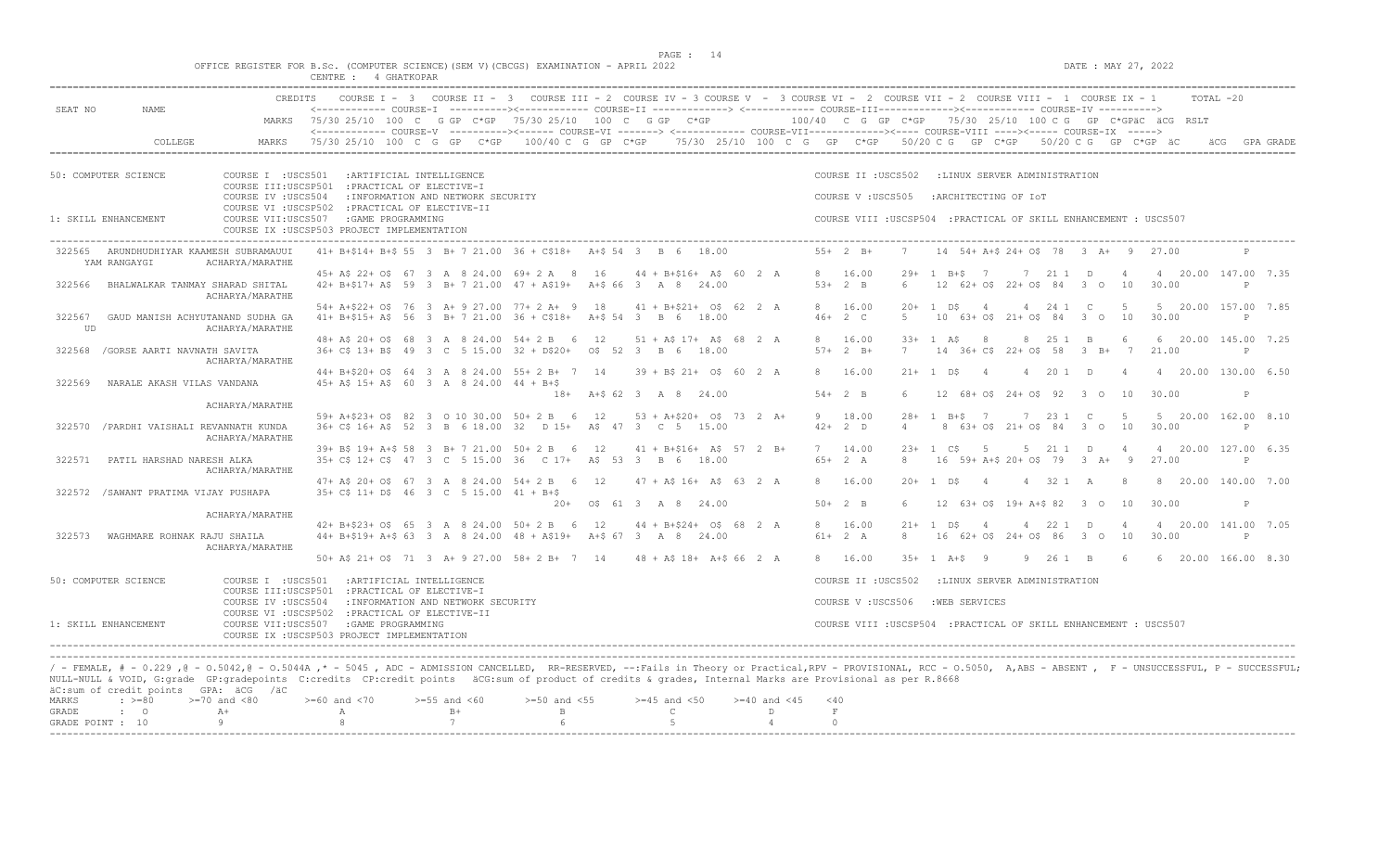$DATA: MAX 27, 2022$ 

|  |  |  |             |  | OFFICE REGISTER FOR B.Sc. (COMPUTER SCIENCE)(SEM V)(CBCGS) EXAMINATION - APRIL 2022 |  |  |
|--|--|--|-------------|--|-------------------------------------------------------------------------------------|--|--|
|  |  |  | 4 GHATKOPAR |  |                                                                                     |  |  |

| SEAT NO      | NAME                                                                                                                                                                                                                                                                                                                                                                                                                     | <b>CREDITS</b>                                                                                                       | COURSE $I - 3$<br><------------ COURSE-I ----------><----------- COURSE-II -------------> <------------ COURSE-III------------><----------- COURSE-IV ---------->                                         |                           |                                    | COURSE II - 3 COURSE III - 2 COURSE IV - 3 COURSE V - 3 COURSE VI - 2 COURSE VII - 2 COURSE VIII - 1 COURSE IX - 1 |    |                  |                                    |                     |                      |                                                                   |                   |                       |                |                       |                                           |              |                       |                                                           | TOTAL -20    |           |
|--------------|--------------------------------------------------------------------------------------------------------------------------------------------------------------------------------------------------------------------------------------------------------------------------------------------------------------------------------------------------------------------------------------------------------------------------|----------------------------------------------------------------------------------------------------------------------|-----------------------------------------------------------------------------------------------------------------------------------------------------------------------------------------------------------|---------------------------|------------------------------------|--------------------------------------------------------------------------------------------------------------------|----|------------------|------------------------------------|---------------------|----------------------|-------------------------------------------------------------------|-------------------|-----------------------|----------------|-----------------------|-------------------------------------------|--------------|-----------------------|-----------------------------------------------------------|--------------|-----------|
|              |                                                                                                                                                                                                                                                                                                                                                                                                                          |                                                                                                                      | MARKS 75/30 25/10 100 C G GP C*GP 75/30 25/10 100 C G GP C*GP<br><------------- COURSE-V ----------><----- COURSE-VI -------> <------------ COURSE-VII-----------><---- COURSE-VIII ----><----- COURSE-VI |                           |                                    |                                                                                                                    |    |                  |                                    |                     |                      |                                                                   |                   |                       |                |                       |                                           |              |                       | 100/40 C G GP C*GP 75/30 25/10 100 C G GP C*GPäC äCG RSLT |              |           |
|              | COLLEGE                                                                                                                                                                                                                                                                                                                                                                                                                  | MARKS                                                                                                                | 75/30 25/10 100 C G GP C*GP 100/40 C G GP C*GP 75/30 25/10 100 C G GP C*GP 50/20 C G GP C*GP 50/20 C G GP C*GP äC                                                                                         |                           |                                    |                                                                                                                    |    |                  |                                    |                     |                      |                                                                   |                   |                       |                |                       |                                           |              |                       |                                                           |              | GPA GRADE |
|              | 50: COMPUTER SCIENCE                                                                                                                                                                                                                                                                                                                                                                                                     | COURSE I : USCS501<br>COURSE III:USCSP501 : PRACTICAL OF ELECTIVE-I<br>COURSE IV : USCS504                           |                                                                                                                                                                                                           | : ARTIFICIAL INTELLIGENCE | : INFORMATION AND NETWORK SECURITY |                                                                                                                    |    |                  |                                    |                     |                      | COURSE II : USCS502<br>COURSE V: USCS505                          |                   |                       |                | :ARCHITECTING OF IOT  | :LINUX SERVER ADMINISTRATION              |              |                       |                                                           |              |           |
|              | 1: SKILL ENHANCEMENT                                                                                                                                                                                                                                                                                                                                                                                                     | COURSE VI : USCSP502 : PRACTICAL OF ELECTIVE-II<br>COURSE VII:USCS507<br>COURSE IX : USCSP503 PROJECT IMPLEMENTATION |                                                                                                                                                                                                           | :GAME PROGRAMMING         |                                    |                                                                                                                    |    |                  |                                    |                     |                      | COURSE VIII : USCSP504 : PRACTICAL OF SKILL ENHANCEMENT : USCS507 |                   |                       |                |                       |                                           |              |                       |                                                           |              |           |
|              |                                                                                                                                                                                                                                                                                                                                                                                                                          |                                                                                                                      |                                                                                                                                                                                                           |                           |                                    |                                                                                                                    |    |                  |                                    |                     |                      |                                                                   |                   |                       |                |                       |                                           |              |                       |                                                           |              |           |
|              | 322565 ARUNDHUDHIYAR KAAMESH SUBRAMAUUI<br>YAM RANGAYGI                                                                                                                                                                                                                                                                                                                                                                  | ACHARYA/MARATHE                                                                                                      |                                                                                                                                                                                                           |                           |                                    | 41+ B+\$14+ B+\$ 55 3 B+ 7 21.00 36 + C\$18+ A+\$ 54 3 B 6 18.00                                                   |    |                  |                                    |                     | $55+2 B+$            |                                                                   | 7                 |                       |                |                       | 14 54+ A+\$ 24+ 0\$ 78 3 A+ 9 27.00       |              |                       |                                                           |              |           |
| 322566       | BHALWALKAR TANMAY SHARAD SHITAL                                                                                                                                                                                                                                                                                                                                                                                          | ACHARYA/MARATHE                                                                                                      | 42+ B+\$17+ A\$ 59 3 B+ 7 21.00 47 + A\$19+ A+\$ 66 3 A 8 24.00                                                                                                                                           |                           |                                    | 45+ A\$ 22+ O\$ 67 3 A 8 24.00 69+ 2 A 8 16                                                                        |    |                  | $44 + B + $16 + AS 60 2 A$         |                     | 8 16.00<br>$53+2$ B  |                                                                   | $29+$<br>6        | $1 \quad B+S \quad 7$ |                |                       | 7 21 1 D<br>12 62+ 0\$ 22+ 0\$ 84 3 0 10  |              | $\overline{4}$        | 4 20.00 147.00 7.35<br>30.00                              | $\mathbb{P}$ |           |
| 322567<br>UD | GAUD MANISH ACHYUTANAND SUDHA GA                                                                                                                                                                                                                                                                                                                                                                                         | ACHARYA/MARATHE                                                                                                      | 41+ B+\$15+ A\$ 56 3 B+ 7 21.00 36 + C\$18+ A+\$ 54 3 B 6 18.00                                                                                                                                           |                           |                                    | 54+ A+\$22+ O\$ 76 3 A+ 9 27.00 77+ 2 A+ 9                                                                         | 18 |                  | $41 + B + S21 + OS 62 2 A$         |                     | 8<br>$46+2 C$        | 16.00                                                             | $20+$<br>$5 -$    | 1 DS                  | $\overline{4}$ | $\overline{4}$        | 24 1 C<br>10 63+ 0\$ 21+ 0\$ 84 3 0 10    |              | -5                    | 5 20.00 157.00 7.85<br>30.00                              | $\mathbb{P}$ |           |
| 322568       | /GORSE AARTI NAVNATH SAVITA                                                                                                                                                                                                                                                                                                                                                                                              |                                                                                                                      |                                                                                                                                                                                                           |                           |                                    | 48+ A\$ 20+ O\$ 68 3 A 8 24.00 54+ 2 B 6 12<br>36+ C\$ 13+ B\$ 49 3 C 5 15.00 32 + D\$20+ 0\$ 52 3 B 6 18.00       |    |                  | $51 + AS 17 + AS 68 2 A$           |                     | 8 16.00<br>$57+2 B+$ |                                                                   | $33+1$ AS<br>7    |                       | -8             | 14 36+ C\$ 22+ 0\$ 58 | 8 25 1 B                                  | $3 \quad B+$ | - 6<br>$\overline{7}$ | 6 20.00 145.00 7.25<br>21.00                              | P            |           |
| 322569       | NARALE AKASH VILAS VANDANA                                                                                                                                                                                                                                                                                                                                                                                               | ACHARYA/MARATHE                                                                                                      | $45+$ A\$ 15+ A\$ 60 3 A 8 24.00 44 + B+\$                                                                                                                                                                |                           |                                    | 44+ B+\$20+ O\$ 64 3 A 8 24.00 55+ 2 B+ 7 14                                                                       |    |                  | $39 + B\frac{21+}{21+}$ 0\$ 60 2 A |                     | 8                    | 16.00                                                             | $21 +$            | 1 D.S                 |                | $\overline{4}$        | 20 1 D                                    |              |                       | 4 20.00 130.00 6.50                                       |              |           |
|              |                                                                                                                                                                                                                                                                                                                                                                                                                          | ACHARYA/MARATHE                                                                                                      |                                                                                                                                                                                                           |                           |                                    |                                                                                                                    |    |                  | 18+ A+\$ 62 3 A 8 24.00            |                     | $54+2$ B             |                                                                   | 6                 |                       |                | 12 68+ 0\$ 24+ 0\$ 92 |                                           | $3^{\circ}$  | 10                    | 30.00                                                     | $\mathbf{P}$ |           |
| 322570       | /PARDHI VAISHALI REVANNATH KUNDA                                                                                                                                                                                                                                                                                                                                                                                         | ACHARYA/MARATHE                                                                                                      | 36+ C\$ 16+ A\$ 52 3 B 6 18.00 32 D 15+ A\$ 47 3 C 5 15.00                                                                                                                                                |                           |                                    | 59+ A+\$23+ O\$ 82 3 0 10 30.00 50+ 2 B 6 12                                                                       |    |                  | $53 + A + $20 + O$$ 73 2 A+        |                     | 9 18.00<br>$42+2$ D  |                                                                   | $28+$<br>$\Delta$ | $1$ R+S 7             |                |                       | 7 23 1 C<br>8 63+ 0\$ 21+ 0\$ 84 3 0      |              | -5<br>10              | 5 20.00 162.00 8.10<br>30.00                              |              |           |
|              |                                                                                                                                                                                                                                                                                                                                                                                                                          |                                                                                                                      | 39+ B\$ 19+ A+\$ 58 3 B+ 7 21.00 50+ 2 B 6 12                                                                                                                                                             |                           |                                    |                                                                                                                    |    |                  | 41 + B+\$16+ A\$ 57 2 B+           |                     | 7 14.00              |                                                                   | $2.3+$            | $1\quad C$ \$         | $-5$           |                       | 5 21 1 D                                  |              | $\overline{4}$        | 4 20.00 127.00 6.35                                       |              |           |
| 322571       | PATIL HARSHAD NARESH ALKA                                                                                                                                                                                                                                                                                                                                                                                                | ACHARYA/MARATHE                                                                                                      | 35+ C\$ 12+ C\$ 47 3 C 5 15.00 36 C 17+ A\$ 53 3 B 6 18.00                                                                                                                                                |                           |                                    | 47+ A\$ 20+ O\$ 67 3 A 8 24.00 54+ 2 B 6 12                                                                        |    |                  | $47 + AS 16 + AS 63 2 A$           |                     | $65+2 A$<br>8 16.00  |                                                                   | 8<br>$20+1$ DS    |                       | 4              |                       | 16 59+ A+\$ 20+ O\$ 79 3 A+ 9<br>4 32 1 A |              | -8                    | 27.00<br>8 20.00 140.00 7.00                              | $\mathsf{P}$ |           |
|              | 322572 / SAWANT PRATIMA VIJAY PUSHAPA                                                                                                                                                                                                                                                                                                                                                                                    |                                                                                                                      | 35+ C\$ 11+ D\$ 46 3 C 5 15.00 41 + B+\$                                                                                                                                                                  |                           |                                    |                                                                                                                    |    |                  | 20+ 0\$ 61 3 A 8 24.00             |                     | $50+2$ B             |                                                                   | 6                 |                       |                |                       | 12 63+ 0\$ 19+ A+\$ 82 3 0 10             |              |                       | 30.00                                                     | $\mathbf{P}$ |           |
|              |                                                                                                                                                                                                                                                                                                                                                                                                                          | ACHARYA/MARATHE                                                                                                      |                                                                                                                                                                                                           |                           |                                    |                                                                                                                    |    |                  |                                    |                     |                      |                                                                   |                   |                       |                |                       |                                           |              |                       |                                                           |              |           |
| 322573       | WAGHMARE ROHNAK RAJU SHAILA                                                                                                                                                                                                                                                                                                                                                                                              | ACHARYA/MARATHE                                                                                                      |                                                                                                                                                                                                           |                           |                                    | 42+ B+\$23+ O\$ 65 3 A 8 24.00 50+ 2 B 6 12<br>44+ B+\$19+ A+\$ 63 3 A 8 24.00 48 + A\$19+ A+\$ 67 3 A 8 24.00     |    |                  | $44 + B + S24 + OS 68 2 A$         |                     | 8 16.00<br>$61+2 A$  |                                                                   | $21+$<br>8        | 1 D.S                 | $\overline{4}$ | 16 62+ 0\$ 24+ 0\$ 86 | 4 22 1 D                                  | $3^{\circ}$  | $\overline{4}$<br>10  | 4 20.00 141.00 7.05<br>30.00                              | P            |           |
|              |                                                                                                                                                                                                                                                                                                                                                                                                                          |                                                                                                                      |                                                                                                                                                                                                           |                           |                                    | 50+ A\$ 21+ O\$ 71 3 A+ 9 27.00 58+ 2 B+ 7 14                                                                      |    |                  | $48 + AS 18 + A+S 66 2 A$          |                     | 8 16.00              |                                                                   | $35+$             | $1 A+S 9$             |                |                       | 9 26 1 B                                  |              | $6^{6}$               | 6 20.00 166.00 8.30                                       |              |           |
|              | 50: COMPUTER SCIENCE                                                                                                                                                                                                                                                                                                                                                                                                     | COURSE I : USCS501 : ARTIFICIAL INTELLIGENCE<br>COURSE III:USCSP501 : PRACTICAL OF ELECTIVE-I                        |                                                                                                                                                                                                           |                           |                                    |                                                                                                                    |    |                  |                                    |                     |                      | COURSE II : USCS502                                               |                   |                       |                |                       | :LINUX SERVER ADMINISTRATION              |              |                       |                                                           |              |           |
|              |                                                                                                                                                                                                                                                                                                                                                                                                                          | COURSE IV : USCS504<br>COURSE VI : USCSP502 : PRACTICAL OF ELECTIVE-II                                               |                                                                                                                                                                                                           |                           | : INFORMATION AND NETWORK SECURITY |                                                                                                                    |    |                  |                                    |                     |                      | COURSE V : USCS506                                                |                   | : WEB SERVICES        |                |                       |                                           |              |                       |                                                           |              |           |
|              | 1: SKILL ENHANCEMENT                                                                                                                                                                                                                                                                                                                                                                                                     | COURSE VII:USCS507<br>COURSE IX : USCSP503 PROJECT IMPLEMENTATION                                                    |                                                                                                                                                                                                           | :GAME PROGRAMMING         |                                    |                                                                                                                    |    |                  |                                    |                     |                      | COURSE VIII : USCSP504 : PRACTICAL OF SKILL ENHANCEMENT : USCS507 |                   |                       |                |                       |                                           |              |                       |                                                           |              |           |
|              |                                                                                                                                                                                                                                                                                                                                                                                                                          |                                                                                                                      |                                                                                                                                                                                                           |                           |                                    |                                                                                                                    |    |                  |                                    |                     |                      |                                                                   |                   |                       |                |                       |                                           |              |                       |                                                           |              |           |
|              | / - FEMALE, # - 0.229, @ - 0.5042, @ - 0.5044A, * - 5045, ADC - ADMISSION CANCELLED, RR-RESERVED, --:Fails in Theory or Practical,RPV - PROVISIONAL, RCC - 0.5050, A,ABS - ABSENT, F - UNSUCCESSFUL, P - SUCCESSFUL;<br>NULL-NULL & VOID, G:grade GP:gradepoints C:credits CP:credit points äCG:sum of product of credits & grades, Internal Marks are Provisional as per R.8668<br>äC:sum of credit points GPA: äCG /äC |                                                                                                                      |                                                                                                                                                                                                           |                           |                                    |                                                                                                                    |    |                  |                                    |                     |                      |                                                                   |                   |                       |                |                       |                                           |              |                       |                                                           |              |           |
| MARKS        | $: \; > = 80$                                                                                                                                                                                                                                                                                                                                                                                                            | $>=70$ and $<80$                                                                                                     | $>= 60$ and $< 70$                                                                                                                                                                                        |                           | $>=55$ and $<60$                   | $>=50$ and $<55$                                                                                                   |    | $>=45$ and $<50$ |                                    | $>= 40$ and $< 45$  | $<$ 40               |                                                                   |                   |                       |                |                       |                                           |              |                       |                                                           |              |           |
| GRADE        | $\cdot$ 0<br>GRADE POINT : 10                                                                                                                                                                                                                                                                                                                                                                                            | $A+$<br>$\alpha$                                                                                                     | Α<br>$\Omega$                                                                                                                                                                                             |                           | $B+$<br>7                          | B<br>6                                                                                                             |    |                  | $\mathsf{C}$<br>$\overline{5}$     | D<br>$\overline{4}$ | $\,$ F<br>$\Omega$   |                                                                   |                   |                       |                |                       |                                           |              |                       |                                                           |              |           |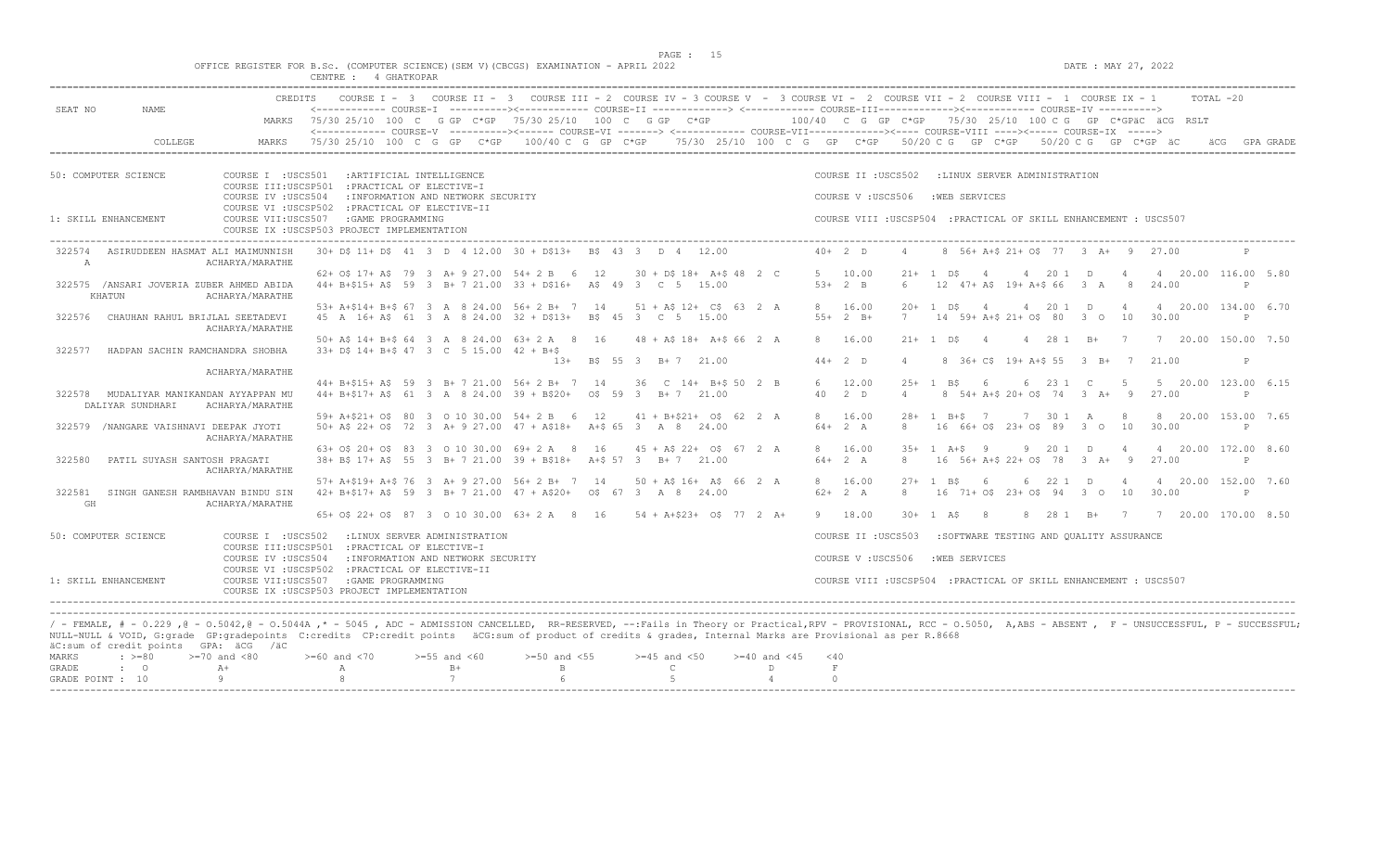|         |         |         |                                                                                                                         |  |                                                                                                                                                     | PAGE : 15 |  |  |  |                     |           |  |
|---------|---------|---------|-------------------------------------------------------------------------------------------------------------------------|--|-----------------------------------------------------------------------------------------------------------------------------------------------------|-----------|--|--|--|---------------------|-----------|--|
|         |         |         | OFFICE REGISTER FOR B.Sc. (COMPUTER SCIENCE) (SEM V) (CBCGS) EXAMINATION - APRIL 2022                                   |  |                                                                                                                                                     |           |  |  |  | DATE : MAY 27, 2022 |           |  |
|         |         |         | CENTRE : 4 GHATKOPAR                                                                                                    |  |                                                                                                                                                     |           |  |  |  |                     |           |  |
|         |         |         |                                                                                                                         |  |                                                                                                                                                     |           |  |  |  |                     |           |  |
|         |         | CREDITS |                                                                                                                         |  | COURSE I - 3 COURSE II - 3 COURSE III - 2 COURSE IV - 3 COURSE V - 3 COURSE VI - 2 COURSE VIII - 2 COURSE VIII - 1 COURSE IX - 1                    |           |  |  |  |                     | ТОТАІ –20 |  |
| SEAT NO | NAME    |         |                                                                                                                         |  | <------------- COURSE-I -----------><------------ COURSE-II -------------> <------------ COURSE-III------------><------------ COURSE-IV ----------> |           |  |  |  |                     |           |  |
|         |         | MARKS   | $75/30$ 25/10 100 C G GP C*GP 75/30 25/10 100 C G GP C*GP $-$ 100/40 C G GP C*GP 75/30 25/10 100 C G GP C*GPäC äCG RSLT |  |                                                                                                                                                     |           |  |  |  |                     |           |  |
|         |         |         |                                                                                                                         |  | <------------- COURSE-V ----------><------ COURSE-VI -------> <------------ COURSE-VII-----------><----- COURSE-VIII ----><----- COURSE-IX ----->   |           |  |  |  |                     |           |  |
|         | COLLEGE |         | 75/3025/10100CGGPC*GP100/40CGGPC*GP75/3025/10100CGGPC*GP50/20CGGPC*GPC*GD50/20CGGPC*GP50/20CGGPC*GPäCaCGGRAGRADE        |  |                                                                                                                                                     |           |  |  |  |                     |           |  |
|         |         |         |                                                                                                                         |  |                                                                                                                                                     |           |  |  |  |                     |           |  |
|         |         |         |                                                                                                                         |  |                                                                                                                                                     |           |  |  |  |                     |           |  |

| 50: COMPUTER SCIENCE                                           | COURSE I : USCS501<br>:ARTIFICIAL INTELLIGENCE<br>COURSE III: USCSP501<br>: PRACTICAL OF ELECTIVE-I             |  |                            |  |  |                                    |                                                                       |    | COURSE II : USCS502 |                                                                   |                             |                | :LINUX SERVER ADMINISTRATION                                      |       |               |                 |                                    |                |                |                       |              |  |
|----------------------------------------------------------------|-----------------------------------------------------------------------------------------------------------------|--|----------------------------|--|--|------------------------------------|-----------------------------------------------------------------------|----|---------------------|-------------------------------------------------------------------|-----------------------------|----------------|-------------------------------------------------------------------|-------|---------------|-----------------|------------------------------------|----------------|----------------|-----------------------|--------------|--|
|                                                                | COURSE IV : USCS504<br>COURSE VI : USCSP502                                                                     |  | : PRACTICAL OF ELECTIVE-II |  |  | : INFORMATION AND NETWORK SECURITY |                                                                       |    |                     |                                                                   |                             |                | COURSE V: USCS506                                                 |       |               | : WEB SERVICES  |                                    |                |                |                       |              |  |
| 1: SKILL ENHANCEMENT                                           | COURSE VII: USCS507<br>COURSE IX : USCSP503 PROJECT IMPLEMENTATION                                              |  | : GAME PROGRAMMING         |  |  |                                    |                                                                       |    |                     |                                                                   |                             |                | COURSE VIII : USCSP504 : PRACTICAL OF SKILL ENHANCEMENT : USCS507 |       |               |                 |                                    |                |                |                       |              |  |
| 322574<br>ASIRUDDEEN HASMAT ALI MAIMUNNISH<br>A                | ACHARYA/MARATHE                                                                                                 |  |                            |  |  |                                    | 30+ D\$ 11+ D\$ 41 3 D 4 12.00 30 + D\$13+ B\$ 43 3 D 4 12.00         |    |                     |                                                                   |                             |                | $40+2$ D                                                          |       |               |                 | 8 56+ A+\$ 21+ 0\$ 77 3 A+ 9 27.00 |                |                |                       | P            |  |
|                                                                |                                                                                                                 |  |                            |  |  |                                    | 62+ 0\$ 17+ A\$ 79 3 A+ 9 27.00 54+ 2 B 6                             | 12 |                     |                                                                   | $30 + DS$ 18+ A+\$ 48 2 C   |                | 5 10.00                                                           |       | $21 + 1$ DS   | $\overline{4}$  | 4 20 1 D                           | $\overline{4}$ |                | 4 20.00 116.00 5.80   |              |  |
| 322575 /ANSARI JOVERIA ZUBER AHMED ABIDA<br>KHATUN             | ACHARYA/MARATHE                                                                                                 |  |                            |  |  |                                    | 44+ B+\$15+ A\$ 59 3 B+ 7 21.00 33 + D\$16+ A\$ 49 3 C 5 15.00        |    |                     |                                                                   |                             |                | $53+2$ B                                                          | 6     |               |                 | 12 47+ A\$ 19+ A+\$ 66 3 A         | 8              |                | 24.00                 | P            |  |
|                                                                |                                                                                                                 |  |                            |  |  |                                    | 53+ A+\$14+ B+\$ 67 3 A 8 24.00 56+ 2 B+ 7 14 51 + A\$ 12+ C\$ 63 2 A |    |                     |                                                                   |                             |                | 8 16.00                                                           | $20+$ | 1 D.S         | $\overline{4}$  | 4 20 1 D 4                         |                |                | 4 20.00 134.00 6.70   |              |  |
| CHAUHAN RAHUL BRIJLAL SEETADEVI<br>322576                      | ACHARYA/MARATHE                                                                                                 |  |                            |  |  |                                    | 45 A 16+ A\$ 61 3 A 8 24.00 32 + D\$13+                               |    |                     | R\$ 45 3 C 5 15.00                                                |                             |                | $55+2$ B+                                                         | 7     |               |                 | 14 59+ A+\$ 21+ 0\$ 80 3 0 10      |                |                | 30.00                 | P            |  |
|                                                                |                                                                                                                 |  |                            |  |  |                                    | 50+ A\$ 14+ B+\$ 64 3 A 8 24.00 63+ 2 A 8 16                          |    |                     |                                                                   | 48 + A\$ 18 + A + \$ 66 2 A |                | 8 16.00                                                           |       |               | $21+ 1$ $D5 4$  | 4 28 1 B+ 7                        |                |                | 7 20.00 150.00 7.50   |              |  |
| HADPAN SACHIN RAMCHANDRA SHOBHA<br>322577                      |                                                                                                                 |  |                            |  |  |                                    | 33+ D\$ 14+ B+\$ 47 3 C 5 15.00 42 + B+\$<br>$1.3+$                   |    |                     | B\$ 55 3 B+ 7 21.00                                               |                             |                | $44+2$ D                                                          |       |               |                 | 8 36+ C\$ 19+ A+\$ 55 3 B+ 7       |                |                | 21.00                 | P            |  |
|                                                                | ACHARYA/MARATHE                                                                                                 |  |                            |  |  |                                    |                                                                       |    |                     |                                                                   |                             |                |                                                                   |       |               |                 |                                    |                |                |                       |              |  |
|                                                                |                                                                                                                 |  |                            |  |  |                                    | 44+ B+\$15+ A\$ 59 3 B+ 7 21.00 56+ 2 B+ 7 14 36 C 14+ B+\$ 50 2 B    |    |                     |                                                                   |                             |                | 6 12.00                                                           |       |               | $25+1$ B\$ 6    | 6 23 1 C                           | $5^{\circ}$    |                | 5 20.00 123.00 6.15   |              |  |
| 322578<br>MUDALIYAR MANIKANDAN AYYAPPAN MU<br>DALIYAR SUNDHARI | ACHARYA/MARATHE                                                                                                 |  |                            |  |  |                                    | 44+ B+\$17+ A\$ 61 3 A 8 24.00 39 + B\$20+                            |    |                     | 0\$ 59 3 B + 7 21.00                                              |                             |                | $40 \t 2 \t D$                                                    |       |               |                 | 8 54+ A+\$ 20+ O\$ 74 3 A+         |                | $\overline{9}$ | 27.00                 | P            |  |
|                                                                |                                                                                                                 |  |                            |  |  |                                    | 59+ A+\$21+ O\$ 80 3 0 10 30.00 54+ 2 B 6                             | 12 |                     |                                                                   | $41 + B + $21 + O$ 62 2 A$  |                | 8 16.00                                                           |       |               | $28 + 1$ B+\$ 7 | 7 30 1 A 8                         |                |                | 8 20.00 153.00 7.65   |              |  |
| 322579 /NANGARE VAISHNAVI DEEPAK JYOTI                         | ACHARYA/MARATHE                                                                                                 |  |                            |  |  |                                    | 50 + A\$ 22 + O\$ 72 3 A + 9 27.00 47 + A\$18 + A + \$ 65 3 A 8 24.00 |    |                     |                                                                   |                             |                | $64 + 2 A$                                                        | 8     |               |                 | 16 66+ 0\$ 23+ 0\$ 89 3 0 10       |                |                | 30.00                 | P            |  |
|                                                                |                                                                                                                 |  |                            |  |  |                                    | 63+ 0\$ 20+ 0\$ 83 3 0 10 30.00 69+ 2 A 8                             | 16 |                     |                                                                   | $45 + AS 22 + OS 67 2 A$    |                | 8 16.00                                                           |       |               | $35+1$ A+S 9    | 9 20 1 D 4                         |                |                | 4 20.00 172.00 8.60   |              |  |
| 322580<br>PATIL SUYASH SANTOSH PRAGATI                         | ACHARYA/MARATHE                                                                                                 |  |                            |  |  |                                    | 38+ B\$ 17+ A\$ 55 3 B+ 7 21.00 39 + B\$18+                           |    |                     | A+\$ 57 3 B+ 7 21.00                                              |                             |                | $64 + 2 A$                                                        | 8     |               |                 | 16 56+ A+\$ 22+ 0\$ 78 3 A+ 9      |                |                | 27.00                 | $\mathbb{P}$ |  |
|                                                                |                                                                                                                 |  |                            |  |  |                                    | 57+ A+\$19+ A+\$ 76 3 A+ 9 27.00 56+ 2 B+ 7 14                        |    |                     |                                                                   | $50 + AS 16 + AS 66 2 A$    |                | 8 16.00                                                           |       | $27 + 1$ B\$  | - 6             | 6 22 1 D                           | $\overline{4}$ |                | 4 20.00 152.00 7.60   |              |  |
| 322581<br>SINGH GANESH RAMBHAVAN BINDU SIN<br>GH               | ACHARYA/MARATHE                                                                                                 |  |                            |  |  |                                    | 42+ B+\$17+ A\$ 59 3 B+ 7 21.00 47 + A\$20+                           |    |                     | OS 67 3 A 8 24.00                                                 |                             |                | $62+2 A$                                                          | 8     |               |                 | 16 71+ 0\$ 23+ 0\$ 94 3 0 10       |                |                | 30.00                 | $\mathbf{P}$ |  |
|                                                                |                                                                                                                 |  |                            |  |  |                                    | 65+ 0\$ 22+ 0\$ 87 3 0 10 30.00 63+ 2 A 8 16 54 + A+\$23+ 0\$ 77 2 A+ |    |                     |                                                                   |                             |                | 9 18.00                                                           |       | $30 + 1$ AS 8 |                 | 8 28 1 B+                          |                |                | 7 7 20.00 170.00 8.50 |              |  |
| 50: COMPUTER SCIENCE                                           | COURSE I : USCS502<br>:LINUX SERVER ADMINISTRATION<br>COURSE III: USCSP501<br>: PRACTICAL OF ELECTIVE-I         |  |                            |  |  |                                    |                                                                       |    | COURSE II : USCS503 |                                                                   |                             |                | :SOFTWARE TESTING AND OUALITY ASSURANCE                           |       |               |                 |                                    |                |                |                       |              |  |
|                                                                | COURSE IV : USCS504<br>: INFORMATION AND NETWORK SECURITY<br>COURSE VI : USCSP502<br>: PRACTICAL OF ELECTIVE-II |  |                            |  |  |                                    |                                                                       |    | COURSE V: USCS506   |                                                                   |                             | : WEB SERVICES |                                                                   |       |               |                 |                                    |                |                |                       |              |  |
| 1: SKILL ENHANCEMENT                                           | COURSE VII:USCS507<br>: GAME PROGRAMMING<br>COURSE IX : USCSP503 PROJECT IMPLEMENTATION                         |  |                            |  |  |                                    |                                                                       |    |                     | COURSE VIII : USCSP504 : PRACTICAL OF SKILL ENHANCEMENT : USCS507 |                             |                |                                                                   |       |               |                 |                                    |                |                |                       |              |  |

/ - FEMALE, # - 0.229 ,@ - O.5042,@ - O.5044A ,\* - 5045 , ADC - ADMISSION CANCELLED, RR-RESERVED, --:Fails in Theory or Practical,RPV - PROVISIONAL, RCC - O.5050, A,ABS - ABSENT , F - UNSUCCESSFUL, P - SUCCESSFUL; NULL-NULL & VOID, G:grade GP:gradepoints C:credits CP:credit points äCG:sum of product of credits & grades, Internal Marks are Provisional as per R.8668 äC:sum of credit points GPA: äCG /äC  $>=$  50 and <70  $>=$  55 and <60  $>=$  50 and <55  $>=$  45 and <50  $>=$  40 and <45  $<$  40

| GRADE            |  |  |  |  |
|------------------|--|--|--|--|
| GRADE POINT : 10 |  |  |  |  |
| --------         |  |  |  |  |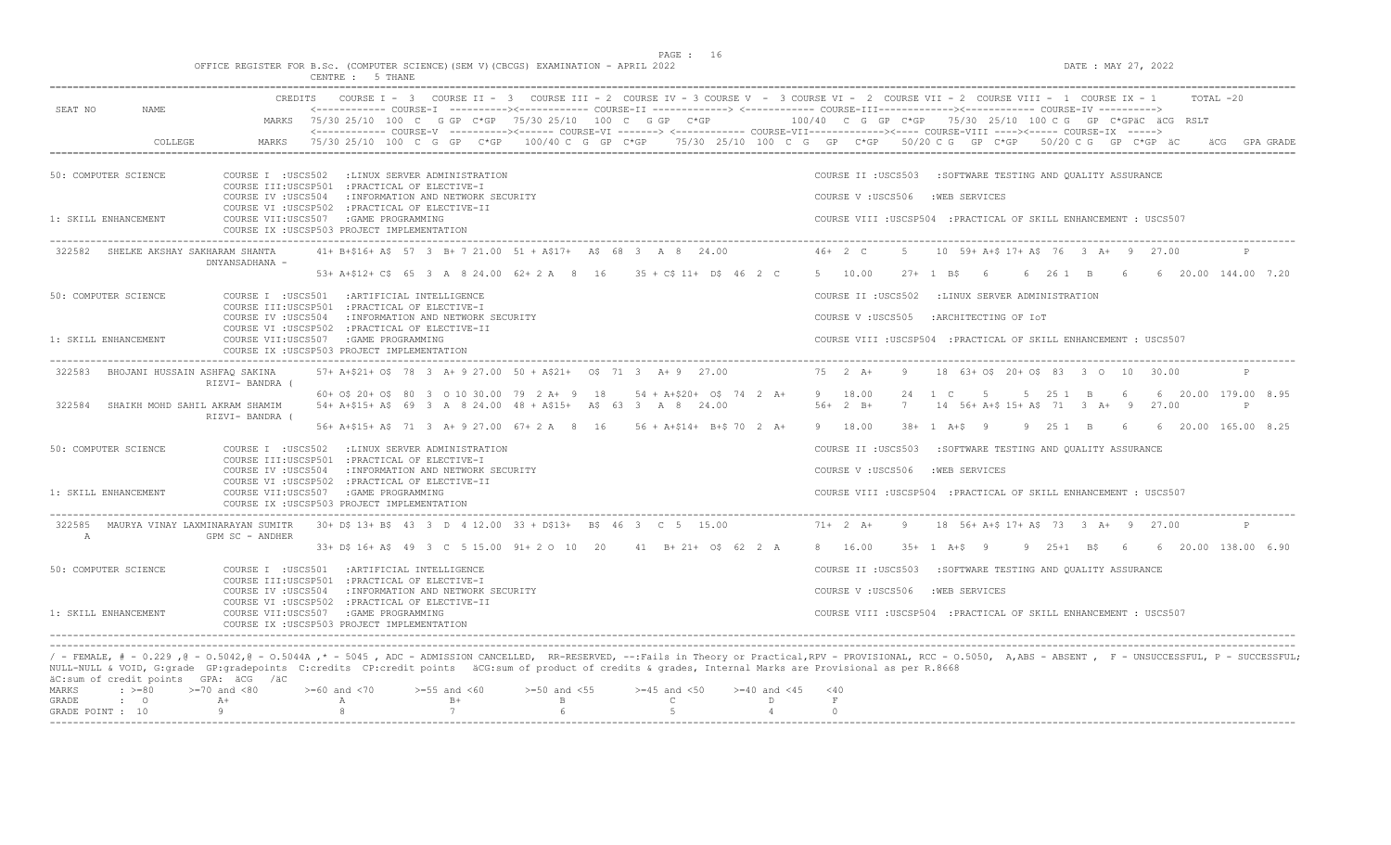$DATA: MAX 27, 2022$ 

| OFFICE REGISTER FOR B.Sc. (COMPUTER SCIENCE) (SEM V) (CBCGS) EXAMINATION - APRIL 2022 |          |         |  |  |
|---------------------------------------------------------------------------------------|----------|---------|--|--|
|                                                                                       | CENTRE : | 5 THANE |  |  |

| NAME.                                      | <b>CREDITS</b>                                                                                                                                            |                                        | COURSE I - 3 COURSE II - 3 COURSE III - 2 COURSE IV - 3 COURSE V - 3 COURSE VI - 2 COURSE VII - 2 COURSE VIII - 1 COURSE IX - 1<br>$TOTAT. -20$<br><------------ COURSE-T ----------><----------- COURSE-TT -------------> <------------ COURSE-TTT----------><--------><---------- COURSE-TT |
|--------------------------------------------|-----------------------------------------------------------------------------------------------------------------------------------------------------------|----------------------------------------|-----------------------------------------------------------------------------------------------------------------------------------------------------------------------------------------------------------------------------------------------------------------------------------------------|
| SEAT NO                                    | MARKS 75/30 25/10 100 C G GP C*GP 75/30 25/10 100 C G GP C*GP                                                                                             |                                        | 100/40 C G GP C*GP 75/30 25/10 100 C G GP C*GPäC äCG RSLT<br><------------- COURSE-V ----------><------ COURSE-VI -------> <------------ COURSE-VII-----------><---- COURSE-VIII ----><----- COURSE-IX ----->                                                                                 |
| COLLEGE                                    | MARKS                                                                                                                                                     |                                        | 75/30 25/10 100 C G GP C*GP 100/40 C G GP C*GP 75/30 25/10 100 C G GP C*GP 50/20 C G GP C*GP 50/20 C G GP C*GP äC<br>äCG GPA GRADE                                                                                                                                                            |
| 50: COMPUTER SCIENCE                       | COURSE I : USCS502 : LINUX SERVER ADMINISTRATION<br>COURSE III:USCSP501 : PRACTICAL OF ELECTIVE-I                                                         |                                        | COURSE II : USCS503 : SOFTWARE TESTING AND QUALITY ASSURANCE                                                                                                                                                                                                                                  |
|                                            | COURSE IV : USCS504 : INFORMATION AND NETWORK SECURITY<br>COURSE VI : USCSP502 : PRACTICAL OF ELECTIVE-II                                                 |                                        | COURSE V: USCS506 : WEB SERVICES                                                                                                                                                                                                                                                              |
| 1: SKILL ENHANCEMENT                       | COURSE VII:USCS507 : GAME PROGRAMMING<br>COURSE IX : USCSP503 PROJECT IMPLEMENTATION                                                                      |                                        | COURSE VIII : USCSP504 : PRACTICAL OF SKILL ENHANCEMENT : USCS507                                                                                                                                                                                                                             |
| 322582 SHELKE AKSHAY SAKHARAM SHANTA       | 41+ B+\$16+ A\$ 57 3 B+ 7 21.00 51 + A\$17+ A\$ 68 3 A 8 24.00<br>DNYANSADHANA -                                                                          |                                        | $46+2$ C<br>10 59+ A+\$ 17+ A\$ 76 3 A+ 9 27.00<br>-5                                                                                                                                                                                                                                         |
|                                            | 53+ A+\$12+ C\$ 65 3 A 8 24.00 62+ 2 A 8 16 35 + C\$ 11+ D\$ 46 2 C                                                                                       |                                        | 5 10.00<br>$27+$ 1 RS 6<br>6 26 1 B 6 6 20.00 144.00 7.20                                                                                                                                                                                                                                     |
| 50: COMPUTER SCIENCE                       | COURSE I : USCS501 : ARTIFICIAL INTELLIGENCE<br>COURSE III:USCSP501 : PRACTICAL OF ELECTIVE-I                                                             |                                        | COURSE II : USCS502 : LINUX SERVER ADMINISTRATION                                                                                                                                                                                                                                             |
|                                            | COURSE IV : USCS504 : INFORMATION AND NETWORK SECURITY<br>COURSE VI : USCSP502 : PRACTICAL OF ELECTIVE-II                                                 |                                        | COURSE V: USCS505<br>:ARCHITECTING OF IOT                                                                                                                                                                                                                                                     |
| 1: SKILL ENHANCEMENT                       | COURSE VII:USCS507 : GAME PROGRAMMING<br>COURSE IX : USCSP503 PROJECT IMPLEMENTATION                                                                      |                                        | COURSE VIII : USCSP504 : PRACTICAL OF SKILL ENHANCEMENT : USCS507                                                                                                                                                                                                                             |
| BHOJANI HUSSAIN ASHFAQ SAKINA<br>322583    | 57+ A+\$21+ O\$ 78 3 A+ 9 27.00 50 + A\$21+ 0\$ 71 3 A+ 9 27.00<br>RIZVI- BANDRA (                                                                        |                                        | 75 2 A+<br>18 63+ 0\$ 20+ 0\$ 83 3 0 10 30.00<br>9                                                                                                                                                                                                                                            |
| 322584<br>SHAIKH MOHD SAHIL AKRAM SHAMIM   | 60+ 0\$ 20+ 0\$ 80 3 0 10 30.00 79 2 A+ 9 18 54 + A+\$20+ 0\$ 74 2 A+<br>54+ A+\$15+ A\$ 69 3 A 8 24.00 48 + A\$15+ A\$ 63 3 A 8 24.00<br>RIZVI- BANDRA ( |                                        | 9 18.00<br>$1 \quad C$<br>$5 - 5$<br>5 25 1 B 6 6 20.00 179.00 8.95<br>2.4<br>$56+2 B+$<br>7<br>14 56+ A+\$ 15+ A\$ 71 3 A+ 9 27.00<br>$\mathbb{P}$                                                                                                                                           |
|                                            | 56+ A+\$15+ A\$ 71 3 A+ 9 27.00 67+ 2 A 8 16 56 + A+\$14+ B+\$ 70 2 A+                                                                                    |                                        | 9 25 1 B 6 6 20.00 165.00 8.25<br>9 18.00<br>$38 + 1$ A+S 9                                                                                                                                                                                                                                   |
| 50: COMPUTER SCIENCE                       | COURSE I : USCS502 : LINUX SERVER ADMINISTRATION<br>COURSE III:USCSP501 : PRACTICAL OF ELECTIVE-I                                                         |                                        | : SOFTWARE TESTING AND QUALITY ASSURANCE<br>COURSE II : USCS503                                                                                                                                                                                                                               |
|                                            | : INFORMATION AND NETWORK SECURITY<br>COURSE IV :USCS504                                                                                                  |                                        | COURSE V: USCS506<br>: WEB SERVICES                                                                                                                                                                                                                                                           |
| 1: SKILL ENHANCEMENT                       | COURSE VI : USCSP502 : PRACTICAL OF ELECTIVE-II<br>COURSE VII:USCS507 : GAME PROGRAMMING<br>COURSE IX : USCSP503 PROJECT IMPLEMENTATION                   |                                        | COURSE VIII : USCSP504 : PRACTICAL OF SKILL ENHANCEMENT : USCS507                                                                                                                                                                                                                             |
| 322585<br>MAURYA VINAY LAXMINARAYAN SUMITR | 30+ D\$ 13+ B\$ 43 3 D 4 12.00 33 + D\$13+ B\$ 46 3 C 5 15.00                                                                                             |                                        | $71+2 A+$<br>18 56+ A+\$ 17+ A\$ 73 3 A+ 9 27.00<br>9                                                                                                                                                                                                                                         |
| $\mathbb{A}$                               | GPM SC - ANDHER<br>33+ D\$ 16+ A\$ 49 3 C 5 15.00 91+ 2 O 10 20 41 B+ 21+ O\$ 62 2 A                                                                      |                                        | 9 25+1 B\$ 6 6 20.00 138.00 6.90<br>8 16.00<br>35+ 1 A+\$ 9                                                                                                                                                                                                                                   |
| 50: COMPUTER SCIENCE                       | COURSE I : USCS501 : ARTIFICIAL INTELLIGENCE                                                                                                              |                                        | :SOFTWARE TESTING AND QUALITY ASSURANCE<br>COURSE II : USCS503                                                                                                                                                                                                                                |
|                                            | COURSE III:USCSP501 : PRACTICAL OF ELECTIVE-I<br>COURSE IV : USCS504<br>: INFORMATION AND NETWORK SECURITY                                                |                                        | COURSE V: USCS506<br>:WEB SERVICES                                                                                                                                                                                                                                                            |
| 1: SKILL ENHANCEMENT                       | COURSE VI : USCSP502 : PRACTICAL OF ELECTIVE-II<br>COURSE VII:USCS507 : GAME PROGRAMMING<br>COURSE IX : USCSP503 PROJECT IMPLEMENTATION                   |                                        | COURSE VIII : USCSP504 : PRACTICAL OF SKILL ENHANCEMENT : USCS507                                                                                                                                                                                                                             |
|                                            |                                                                                                                                                           |                                        |                                                                                                                                                                                                                                                                                               |
| äC:sum of credit points GPA: äCG /äC       | NULL-NULL & VOID, G:grade GP:gradepoints C:credits CP:credit points äCG:sum of product of credits & grades, Internal Marks are Provisional as per R.8668  |                                        | / - FEMALE, # - 0.229 ,0 - 0.5042,0 - 0.5044A ,* - 5045 , ADC - ADMISSION CANCELLED, RR-RESERVED, --:Fails in Theory or Practical,RPV - PROVISIONAL, RCC - 0.5050, A,ABS - ABSENT , F - UNSUCCESSFUL, P - SUCCESSFUL;                                                                         |
| $: \; > = 80$<br><b>MARKS</b>              | $>=70$ and $<80$<br>$>= 60$ and $< 70$<br>$>=55$ and $<60$<br>$>=50$ and $<55$                                                                            | $>=45$ and $<50$<br>$>= 40$ and $< 45$ | < 40                                                                                                                                                                                                                                                                                          |
| GRADE<br>$\cdot$ 0<br>GRADE POINT : 10     | $B+$<br>$A+$<br>$\mathbb{A}$<br>$\mathbf{B}$<br>7<br>Q                                                                                                    | $\mathsf{C}$<br>D<br>5                 | $\;$ F<br>$\cap$                                                                                                                                                                                                                                                                              |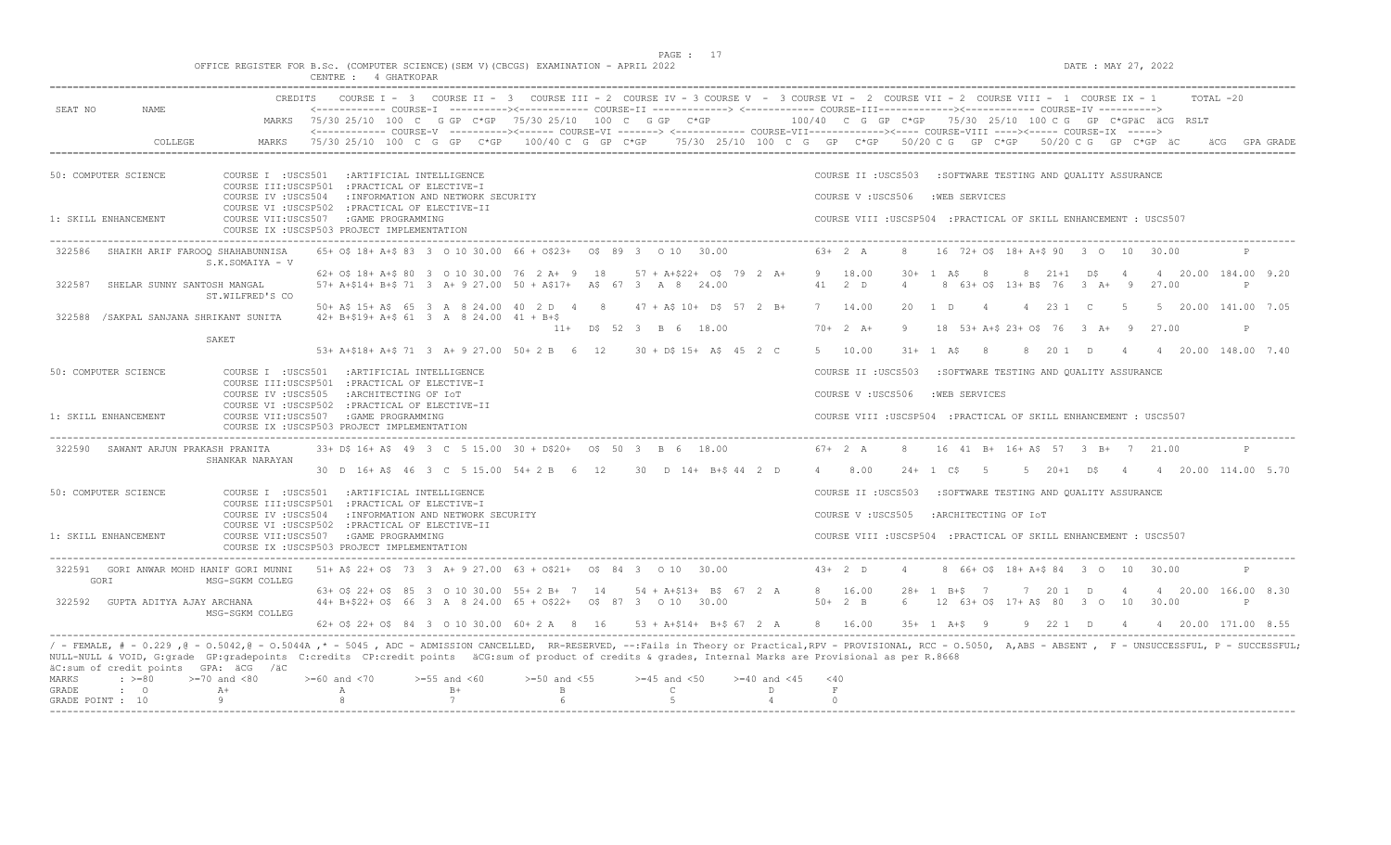$DATE: MAX 27, 2022$ 

|  |  |          |  |             |  | OFFICE REGISTER FOR B.Sc. (COMPUTER SCIENCE)(SEM V)(CBCGS) EXAMINATION - APRIL 2022 |  |  |
|--|--|----------|--|-------------|--|-------------------------------------------------------------------------------------|--|--|
|  |  | CENTRE : |  | 4 GHATKOPAR |  |                                                                                     |  |  |

| COURSE I - 3 COURSE II - 3 COURSE III - 2 COURSE IV - 3 COURSE V - 3 COURSE VI - 2 COURSE VII - 2 COURSE VIII - 1 COURSE IX - 1<br>CREDITS                                                                                                                                                                                                                                                                                  | $TOTAI. -20$                                                                                                                               |  |  |  |  |  |  |  |  |
|-----------------------------------------------------------------------------------------------------------------------------------------------------------------------------------------------------------------------------------------------------------------------------------------------------------------------------------------------------------------------------------------------------------------------------|--------------------------------------------------------------------------------------------------------------------------------------------|--|--|--|--|--|--|--|--|
| SEAT NO<br>NAME.<br><------------ COURSE-I ----------><----------- COURSE-II -------------> <------------ COURSE-III-----------><---------><---------- COURSE-IV ---------->><br>MARKS 75/30 25/10 100 C G GP C*GP 75/30 25/10 100 C G GP C*GP                                                                                                                                                                              | $100/40$ C G GP C*GP 75/30 25/10 100 C G GP C*GPäC äCG RSLT                                                                                |  |  |  |  |  |  |  |  |
| <------------ COURSE-V ----------><----- COURSE-VI -------> <----------- COURSE-VII------------><---- COURSE-VIII ----><----- COURSE-VII<br>COLLEGE<br>$75/30$ 25/10 100 C G GP C*GP 100/40 C G GP C*GP $75/30$ 25/10 100 C G GP C*GP 50/20 C G GP C*GP 50/20 C G GP C*GP äC<br>MARKS                                                                                                                                       |                                                                                                                                            |  |  |  |  |  |  |  |  |
| COURSE I : USCS501<br>50: COMPUTER SCIENCE<br>: ARTIFICIAL INTELLIGENCE<br>COURSE III:USCSP501 : PRACTICAL OF ELECTIVE-I                                                                                                                                                                                                                                                                                                    | COURSE II : USCS503<br>:SOFTWARE TESTING AND QUALITY ASSURANCE                                                                             |  |  |  |  |  |  |  |  |
| COURSE IV : USCS504<br>: INFORMATION AND NETWORK SECURITY                                                                                                                                                                                                                                                                                                                                                                   | COURSE V: USCS506<br>:WEB SERVICES                                                                                                         |  |  |  |  |  |  |  |  |
| COURSE VI : USCSP502 : PRACTICAL OF ELECTIVE-II<br>1: SKILL ENHANCEMENT<br>COURSE VII:USCS507 :GAME PROGRAMMING<br>COURSE IX : USCSP503 PROJECT IMPLEMENTATION                                                                                                                                                                                                                                                              | COURSE VIII : USCSP504 : PRACTICAL OF SKILL ENHANCEMENT : USCS507                                                                          |  |  |  |  |  |  |  |  |
| 65+ 0\$ 18+ A+\$ 83 3 0 10 30.00 66 + 0\$23+ 0\$ 89 3 0 10 30.00<br>SHAIKH ARIF FAROOO SHAHABUNNISA<br>322586<br>S.K.SOMAIYA - V                                                                                                                                                                                                                                                                                            | $63+2 A$<br>16 72 + 0\$ 18 + A + \$ 90 3 0 10<br>30.00                                                                                     |  |  |  |  |  |  |  |  |
| 62+ 0\$ 18+ A+\$ 80 3 0 10 30.00 76 2 A+ 9 18 57 + A+\$22+ 0\$ 79 2 A+<br>SHELAR SUNNY SANTOSH MANGAL<br>57+ A+\$14+ B+\$ 71 3 A+ 9 27.00 50 + A\$17+ A\$ 67 3 A 8 24.00<br>322587<br>ST.WILFRED'S CO                                                                                                                                                                                                                       | 9 18.00<br>$30 + 1$ AS<br>$8$ 21+1 D\$ 4<br>4 20.00 184.00 9.20<br>- 8<br>41 2 D<br>8 63+ 0\$ 13+ B\$ 76 3 A+ 9<br>27.00<br>$\overline{4}$ |  |  |  |  |  |  |  |  |
| 50+ A\$ 15+ A\$ 65 3 A 8 24.00 40 2 D 4 8 47 + A\$ 10+ D\$ 57 2 B+                                                                                                                                                                                                                                                                                                                                                          | 7 14.00<br>5 20.00 141.00 7.05<br>20<br>1 D<br>$\overline{4}$<br>4 23 1 C<br>5 <sub>1</sub>                                                |  |  |  |  |  |  |  |  |
| 322588 /SAKPAL SANJANA SHRIKANT SUNITA<br>$42+ B+$19+ A+$613A824.0041+B+$$<br>$11+$ DS 52 3 B 6 18.00                                                                                                                                                                                                                                                                                                                       | $70+2$ A+<br>9<br>18 53+ A+\$ 23+ 0\$ 76 3 A+ 9<br>27.00<br>P                                                                              |  |  |  |  |  |  |  |  |
| SAKET<br>53+ A+\$18+ A+\$ 71 3 A+ 9 27.00 50+ 2 B 6 12 30 + D\$ 15+ A\$ 45 2 C                                                                                                                                                                                                                                                                                                                                              | 5 10.00<br>8 20 1 D 4 4 20.00 148.00 7.40<br>$31+ 1 A5 8$                                                                                  |  |  |  |  |  |  |  |  |
| 50: COMPUTER SCIENCE<br>COURSE I : USCS501 : ARTIFICIAL INTELLIGENCE                                                                                                                                                                                                                                                                                                                                                        | COURSE II : USCS503 : SOFTWARE TESTING AND OUALITY ASSURANCE                                                                               |  |  |  |  |  |  |  |  |
| COURSE III:USCSP501 : PRACTICAL OF ELECTIVE-I<br>COURSE IV : USCS505<br>:ARCHITECTING OF IOT                                                                                                                                                                                                                                                                                                                                | COURSE V: USCS506<br>:WEB SERVICES                                                                                                         |  |  |  |  |  |  |  |  |
| COURSE VI : USCSP502 : PRACTICAL OF ELECTIVE-II<br>1: SKILL ENHANCEMENT<br>COURSE VII:USCS507<br>:GAME PROGRAMMING<br>COURSE IX : USCSP503 PROJECT IMPLEMENTATION                                                                                                                                                                                                                                                           | COURSE VIII : USCSP504 : PRACTICAL OF SKILL ENHANCEMENT : USCS507                                                                          |  |  |  |  |  |  |  |  |
| 322590 SAWANT ARJUN PRAKASH PRANITA<br>33+ D\$ 16+ A\$ 49 3 C 5 15.00 30 + D\$20+ 0\$ 50 3 B 6 18.00                                                                                                                                                                                                                                                                                                                        | $67 + 2 A$<br>8<br>16 41 B+ 16+ A\$ 57 3 B+ 7 21.00                                                                                        |  |  |  |  |  |  |  |  |
| SHANKAR NARAYAN<br>30 D 16+ A\$ 46 3 C 5 15.00 54+ 2 B 6 12 30 D 14+ B+\$ 44 2 D                                                                                                                                                                                                                                                                                                                                            | $4 \t 8.00$<br>$24+1$ CS 5<br>5 20+1 D\$ 4 4 20.00 114.00 5.70                                                                             |  |  |  |  |  |  |  |  |
| 50: COMPUTER SCIENCE<br>COURSE I : USCS501 : ARTIFICIAL INTELLIGENCE                                                                                                                                                                                                                                                                                                                                                        | :SOFTWARE TESTING AND QUALITY ASSURANCE<br>COURSE II : USCS503                                                                             |  |  |  |  |  |  |  |  |
| COURSE III:USCSP501 : PRACTICAL OF ELECTIVE-I<br>COURSE IV : USCS504<br>: INFORMATION AND NETWORK SECURITY                                                                                                                                                                                                                                                                                                                  | COURSE V: USCS505<br>:ARCHITECTING OF IOT                                                                                                  |  |  |  |  |  |  |  |  |
| COURSE VI : USCSP502 : PRACTICAL OF ELECTIVE-II<br>1: SKILL ENHANCEMENT<br>COURSE VII:USCS507<br>:GAME PROGRAMMING<br>COURSE IX : USCSP503 PROJECT IMPLEMENTATION                                                                                                                                                                                                                                                           | COURSE VIII : USCSP504 : PRACTICAL OF SKILL ENHANCEMENT : USCS507                                                                          |  |  |  |  |  |  |  |  |
| 322591 GORI ANWAR MOHD HANIF GORI MUNNI<br>51+ A\$ 22+ O\$ 73 3 A+ 9 27.00 63 + O\$ 21+ 0\$ 84 3 0 10 30.00                                                                                                                                                                                                                                                                                                                 | $43+2$ D<br>8 66+ 0\$ 18+ A+\$ 84 3 0 10 30.00<br>$\overline{4}$                                                                           |  |  |  |  |  |  |  |  |
| MSG-SGKM COLLEG<br>GORI<br>63+ 0\$ 22+ 0\$ 85 3 0 10 30.00 55+ 2 B+ 7 14 54 + A+\$13+ B\$ 67 2 A                                                                                                                                                                                                                                                                                                                            | $28 + 1$ B+S 7<br>8 16.00<br>7 201 D<br>4 <sup>1</sup><br>4 20.00 166.00 8.30                                                              |  |  |  |  |  |  |  |  |
| 322592 GUPTA ADITYA AJAY ARCHANA<br>$44+ B+522+ O5$ 66 3 A 8 24.00 65 + 0\$22+ 0\$ 87 3 0 10 30.00<br>MSG-SGKM COLLEG                                                                                                                                                                                                                                                                                                       | $50+2$ B<br>6<br>12 63+ 0\$ 17+ A\$ 80 3 0 10 30.00                                                                                        |  |  |  |  |  |  |  |  |
| $62+$ 0\$ 22+ 0\$ 84 3 0 10 30.00 60+ 2 A 8 16 53 + A+\$14+ B+\$ 67 2 A                                                                                                                                                                                                                                                                                                                                                     | 8 16.00<br>$35+1$ $A+5$ 9<br>9 22 1 D 4 4 20.00 171.00 8.55                                                                                |  |  |  |  |  |  |  |  |
| / - FEMALE, # - 0.229, @ - 0.5042, @ - 0.5044A, * - 5045, ADC - ADMISSION CANCELLED, RR-RESERVED, --: Fails in Theory or Practical, RPV - PROVISIONAL, RCC - 0.5050, A, ABS - ABSENT, F - UNSUCCESSFUL, P - SUCCESSFUL;<br>NULL-NULL & VOID, G:grade GP:gradepoints C:credits CP:credit points äCG:sum of product of credits & grades, Internal Marks are Provisional as per R.8668<br>äC:sum of credit points GPA: äCG /äC |                                                                                                                                            |  |  |  |  |  |  |  |  |
| $\div$ >=80<br>$>=70$ and $<80$<br>$>= 60$ and $< 70$<br>$>=55$ and $<60$<br>$>=50$ and $<55$<br>$>=45$ and $<50$<br>$>= 40$ and $< 45$<br>MARKS<br>$B+$<br>$\mathbf{B}$<br>$\mathtt{C}$<br>GRADE<br>$A+$<br>A<br>D                                                                                                                                                                                                         | $<$ 40<br>$\,$ F                                                                                                                           |  |  |  |  |  |  |  |  |
| $\cdot$ 0<br>7<br>-5<br>$\overline{4}$<br>GRADE POINT : 10                                                                                                                                                                                                                                                                                                                                                                  | $\cap$                                                                                                                                     |  |  |  |  |  |  |  |  |